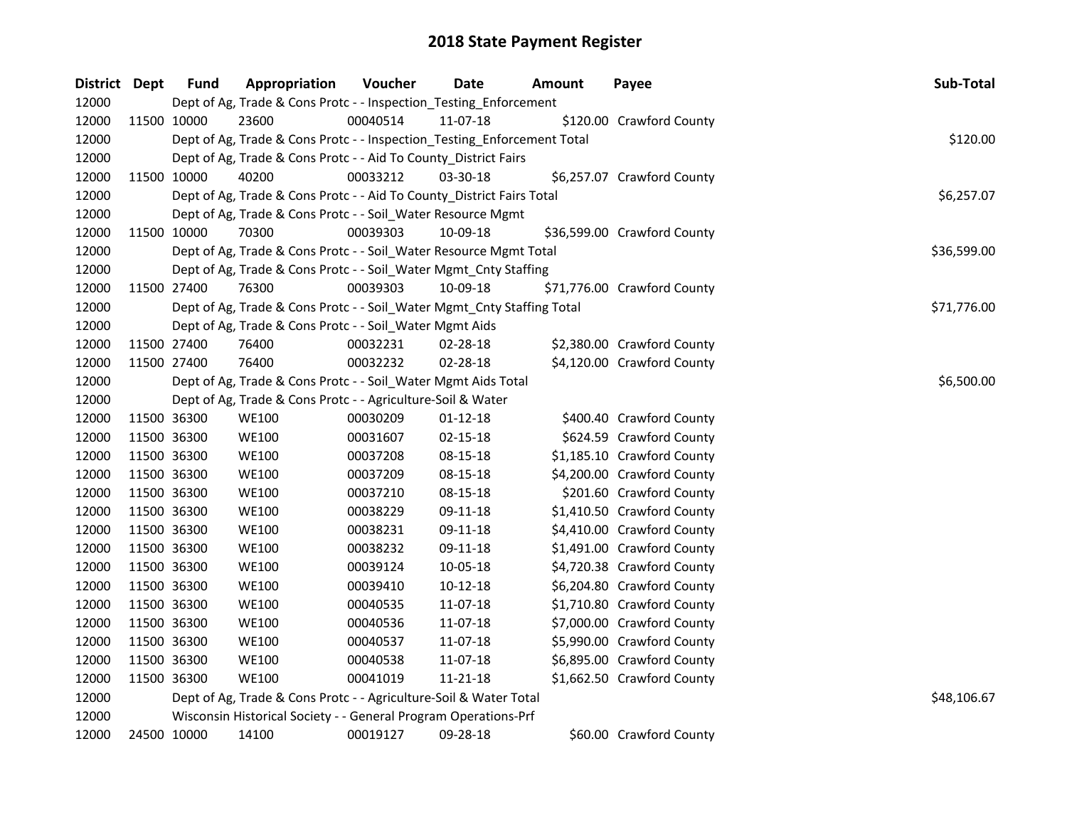| District Dept | <b>Fund</b> | Appropriation                                                           | Voucher    | Date           | <b>Amount</b> | Payee                       | Sub-Total   |
|---------------|-------------|-------------------------------------------------------------------------|------------|----------------|---------------|-----------------------------|-------------|
| 12000         |             | Dept of Ag, Trade & Cons Protc - - Inspection_Testing_Enforcement       |            |                |               |                             |             |
| 12000         | 11500 10000 | 23600                                                                   | 00040514   | 11-07-18       |               | \$120.00 Crawford County    |             |
| 12000         |             | Dept of Ag, Trade & Cons Protc - - Inspection_Testing_Enforcement Total |            |                |               |                             | \$120.00    |
| 12000         |             | Dept of Ag, Trade & Cons Protc - - Aid To County_District Fairs         |            |                |               |                             |             |
| 12000         | 11500 10000 | 40200                                                                   | 00033212   | $03 - 30 - 18$ |               | \$6,257.07 Crawford County  |             |
| 12000         |             | Dept of Ag, Trade & Cons Protc - - Aid To County_District Fairs Total   |            |                |               |                             | \$6,257.07  |
| 12000         |             | Dept of Ag, Trade & Cons Protc - - Soil_Water Resource Mgmt             |            |                |               |                             |             |
| 12000         | 11500 10000 | 70300                                                                   | 00039303   | 10-09-18       |               | \$36,599.00 Crawford County |             |
| 12000         |             | Dept of Ag, Trade & Cons Protc - - Soil_Water Resource Mgmt Total       |            |                |               |                             | \$36,599.00 |
| 12000         |             | Dept of Ag, Trade & Cons Protc - - Soil_Water Mgmt_Cnty Staffing        |            |                |               |                             |             |
| 12000         | 11500 27400 | 76300                                                                   | 00039303   | 10-09-18       |               | \$71,776.00 Crawford County |             |
| 12000         |             | Dept of Ag, Trade & Cons Protc - - Soil_Water Mgmt_Cnty Staffing Total  |            |                |               |                             | \$71,776.00 |
| 12000         |             | Dept of Ag, Trade & Cons Protc - - Soil_Water Mgmt Aids                 |            |                |               |                             |             |
| 12000         | 11500 27400 | 76400                                                                   | 00032231   | 02-28-18       |               | \$2,380.00 Crawford County  |             |
| 12000         | 11500 27400 | 76400                                                                   | 00032232   | 02-28-18       |               | \$4,120.00 Crawford County  |             |
| 12000         |             | Dept of Ag, Trade & Cons Protc - - Soil_Water Mgmt Aids Total           | \$6,500.00 |                |               |                             |             |
| 12000         |             | Dept of Ag, Trade & Cons Protc - - Agriculture-Soil & Water             |            |                |               |                             |             |
| 12000         | 11500 36300 | <b>WE100</b>                                                            | 00030209   | $01 - 12 - 18$ |               | \$400.40 Crawford County    |             |
| 12000         | 11500 36300 | <b>WE100</b>                                                            | 00031607   | 02-15-18       |               | \$624.59 Crawford County    |             |
| 12000         | 11500 36300 | <b>WE100</b>                                                            | 00037208   | 08-15-18       |               | \$1,185.10 Crawford County  |             |
| 12000         | 11500 36300 | <b>WE100</b>                                                            | 00037209   | 08-15-18       |               | \$4,200.00 Crawford County  |             |
| 12000         | 11500 36300 | <b>WE100</b>                                                            | 00037210   | 08-15-18       |               | \$201.60 Crawford County    |             |
| 12000         | 11500 36300 | <b>WE100</b>                                                            | 00038229   | 09-11-18       |               | \$1,410.50 Crawford County  |             |
| 12000         | 11500 36300 | <b>WE100</b>                                                            | 00038231   | 09-11-18       |               | \$4,410.00 Crawford County  |             |
| 12000         | 11500 36300 | <b>WE100</b>                                                            | 00038232   | 09-11-18       |               | \$1,491.00 Crawford County  |             |
| 12000         | 11500 36300 | <b>WE100</b>                                                            | 00039124   | 10-05-18       |               | \$4,720.38 Crawford County  |             |
| 12000         | 11500 36300 | <b>WE100</b>                                                            | 00039410   | 10-12-18       |               | \$6,204.80 Crawford County  |             |
| 12000         | 11500 36300 | <b>WE100</b>                                                            | 00040535   | 11-07-18       |               | \$1,710.80 Crawford County  |             |
| 12000         | 11500 36300 | <b>WE100</b>                                                            | 00040536   | 11-07-18       |               | \$7,000.00 Crawford County  |             |
| 12000         | 11500 36300 | <b>WE100</b>                                                            | 00040537   | 11-07-18       |               | \$5,990.00 Crawford County  |             |
| 12000         | 11500 36300 | <b>WE100</b>                                                            | 00040538   | 11-07-18       |               | \$6,895.00 Crawford County  |             |
| 12000         | 11500 36300 | <b>WE100</b>                                                            | 00041019   | 11-21-18       |               | \$1,662.50 Crawford County  |             |
| 12000         |             | Dept of Ag, Trade & Cons Protc - - Agriculture-Soil & Water Total       |            |                |               |                             | \$48,106.67 |
| 12000         |             | Wisconsin Historical Society - - General Program Operations-Prf         |            |                |               |                             |             |
| 12000         | 24500 10000 | 14100                                                                   | 00019127   | 09-28-18       |               | \$60.00 Crawford County     |             |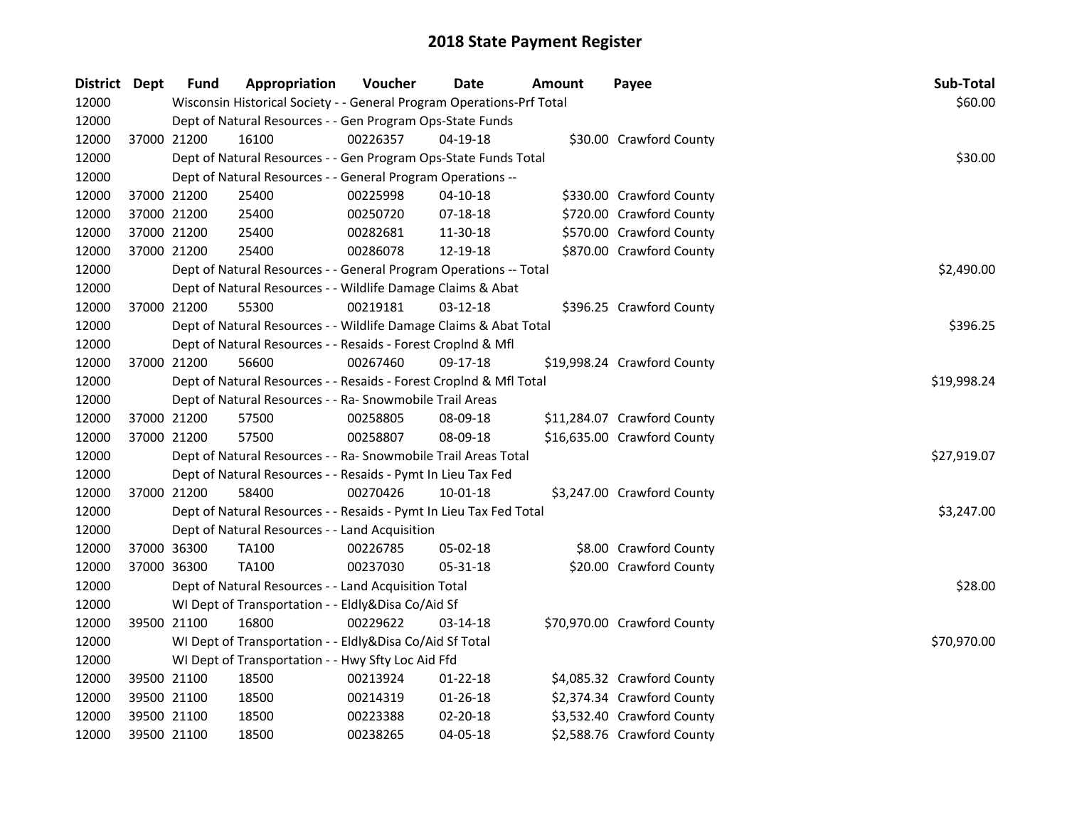| District Dept |             | Fund        | Appropriation                                                                     | Voucher  | Date           | Amount | Payee                       | Sub-Total   |  |  |  |
|---------------|-------------|-------------|-----------------------------------------------------------------------------------|----------|----------------|--------|-----------------------------|-------------|--|--|--|
| 12000         |             |             | Wisconsin Historical Society - - General Program Operations-Prf Total             |          |                |        |                             | \$60.00     |  |  |  |
| 12000         |             |             | Dept of Natural Resources - - Gen Program Ops-State Funds                         |          |                |        |                             |             |  |  |  |
| 12000         | 37000 21200 |             | 16100                                                                             | 00226357 | 04-19-18       |        | \$30.00 Crawford County     |             |  |  |  |
| 12000         |             |             | Dept of Natural Resources - - Gen Program Ops-State Funds Total                   |          |                |        |                             | \$30.00     |  |  |  |
| 12000         |             |             | Dept of Natural Resources - - General Program Operations --                       |          |                |        |                             |             |  |  |  |
| 12000         |             | 37000 21200 | 25400                                                                             | 00225998 | $04 - 10 - 18$ |        | \$330.00 Crawford County    |             |  |  |  |
| 12000         |             | 37000 21200 | 25400                                                                             | 00250720 | 07-18-18       |        | \$720.00 Crawford County    |             |  |  |  |
| 12000         |             | 37000 21200 | 25400                                                                             | 00282681 | 11-30-18       |        | \$570.00 Crawford County    |             |  |  |  |
| 12000         | 37000 21200 |             | 25400                                                                             | 00286078 | 12-19-18       |        | \$870.00 Crawford County    |             |  |  |  |
| 12000         |             |             | Dept of Natural Resources - - General Program Operations -- Total                 |          |                |        |                             | \$2,490.00  |  |  |  |
| 12000         |             |             | Dept of Natural Resources - - Wildlife Damage Claims & Abat                       |          |                |        |                             |             |  |  |  |
| 12000         |             | 37000 21200 | 55300                                                                             | 00219181 | 03-12-18       |        | \$396.25 Crawford County    |             |  |  |  |
| 12000         |             |             | Dept of Natural Resources - - Wildlife Damage Claims & Abat Total                 |          |                |        |                             | \$396.25    |  |  |  |
| 12000         |             |             | Dept of Natural Resources - - Resaids - Forest Croplnd & Mfl                      |          |                |        |                             |             |  |  |  |
| 12000         |             | 37000 21200 | 56600                                                                             | 00267460 | 09-17-18       |        | \$19,998.24 Crawford County |             |  |  |  |
| 12000         |             |             | \$19,998.24<br>Dept of Natural Resources - - Resaids - Forest CropInd & Mfl Total |          |                |        |                             |             |  |  |  |
| 12000         |             |             | Dept of Natural Resources - - Ra- Snowmobile Trail Areas                          |          |                |        |                             |             |  |  |  |
| 12000         | 37000 21200 |             | 57500                                                                             | 00258805 | 08-09-18       |        | \$11,284.07 Crawford County |             |  |  |  |
| 12000         | 37000 21200 |             | 57500                                                                             | 00258807 | 08-09-18       |        | \$16,635.00 Crawford County |             |  |  |  |
| 12000         |             |             | Dept of Natural Resources - - Ra- Snowmobile Trail Areas Total                    |          |                |        |                             | \$27,919.07 |  |  |  |
| 12000         |             |             | Dept of Natural Resources - - Resaids - Pymt In Lieu Tax Fed                      |          |                |        |                             |             |  |  |  |
| 12000         | 37000 21200 |             | 58400                                                                             | 00270426 | $10 - 01 - 18$ |        | \$3,247.00 Crawford County  |             |  |  |  |
| 12000         |             |             | Dept of Natural Resources - - Resaids - Pymt In Lieu Tax Fed Total                |          |                |        |                             | \$3,247.00  |  |  |  |
| 12000         |             |             | Dept of Natural Resources - - Land Acquisition                                    |          |                |        |                             |             |  |  |  |
| 12000         | 37000 36300 |             | <b>TA100</b>                                                                      | 00226785 | 05-02-18       |        | \$8.00 Crawford County      |             |  |  |  |
| 12000         | 37000 36300 |             | <b>TA100</b>                                                                      | 00237030 | 05-31-18       |        | \$20.00 Crawford County     |             |  |  |  |
| 12000         |             |             | Dept of Natural Resources - - Land Acquisition Total                              |          |                |        |                             | \$28.00     |  |  |  |
| 12000         |             |             | WI Dept of Transportation - - Eldly&Disa Co/Aid Sf                                |          |                |        |                             |             |  |  |  |
| 12000         |             | 39500 21100 | 16800                                                                             | 00229622 | 03-14-18       |        | \$70,970.00 Crawford County |             |  |  |  |
| 12000         |             |             | WI Dept of Transportation - - Eldly&Disa Co/Aid Sf Total                          |          |                |        |                             | \$70,970.00 |  |  |  |
| 12000         |             |             | WI Dept of Transportation - - Hwy Sfty Loc Aid Ffd                                |          |                |        |                             |             |  |  |  |
| 12000         | 39500 21100 |             | 18500                                                                             | 00213924 | $01 - 22 - 18$ |        | \$4,085.32 Crawford County  |             |  |  |  |
| 12000         |             | 39500 21100 | 18500                                                                             | 00214319 | 01-26-18       |        | \$2,374.34 Crawford County  |             |  |  |  |
| 12000         |             | 39500 21100 | 18500                                                                             | 00223388 | 02-20-18       |        | \$3,532.40 Crawford County  |             |  |  |  |
| 12000         | 39500 21100 |             | 18500                                                                             | 00238265 | 04-05-18       |        | \$2,588.76 Crawford County  |             |  |  |  |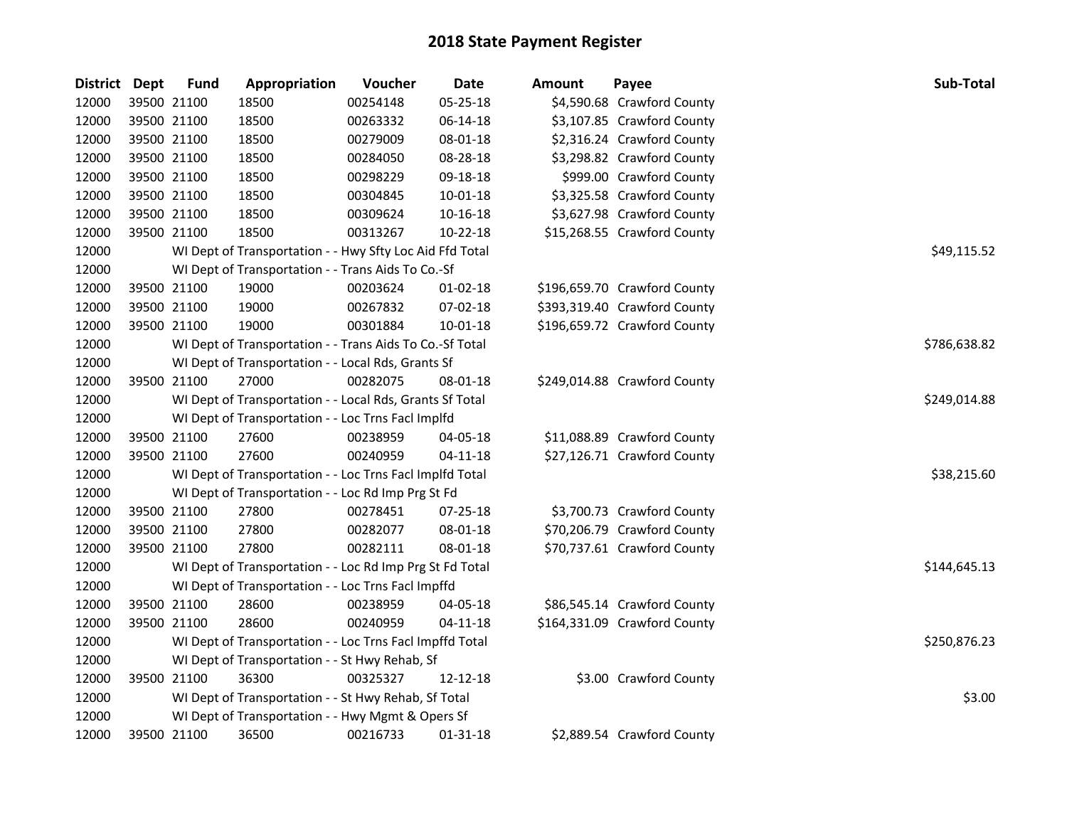| <b>District</b> | <b>Dept</b> | <b>Fund</b> | Appropriation                                            | Voucher  | <b>Date</b>    | Amount | Payee                        | Sub-Total    |
|-----------------|-------------|-------------|----------------------------------------------------------|----------|----------------|--------|------------------------------|--------------|
| 12000           |             | 39500 21100 | 18500                                                    | 00254148 | 05-25-18       |        | \$4,590.68 Crawford County   |              |
| 12000           |             | 39500 21100 | 18500                                                    | 00263332 | 06-14-18       |        | \$3,107.85 Crawford County   |              |
| 12000           | 39500 21100 |             | 18500                                                    | 00279009 | 08-01-18       |        | \$2,316.24 Crawford County   |              |
| 12000           |             | 39500 21100 | 18500                                                    | 00284050 | 08-28-18       |        | \$3,298.82 Crawford County   |              |
| 12000           |             | 39500 21100 | 18500                                                    | 00298229 | 09-18-18       |        | \$999.00 Crawford County     |              |
| 12000           | 39500 21100 |             | 18500                                                    | 00304845 | $10 - 01 - 18$ |        | \$3,325.58 Crawford County   |              |
| 12000           | 39500 21100 |             | 18500                                                    | 00309624 | 10-16-18       |        | \$3,627.98 Crawford County   |              |
| 12000           | 39500 21100 |             | 18500                                                    | 00313267 | 10-22-18       |        | \$15,268.55 Crawford County  |              |
| 12000           |             |             | WI Dept of Transportation - - Hwy Sfty Loc Aid Ffd Total |          |                |        |                              | \$49,115.52  |
| 12000           |             |             | WI Dept of Transportation - - Trans Aids To Co.-Sf       |          |                |        |                              |              |
| 12000           |             | 39500 21100 | 19000                                                    | 00203624 | 01-02-18       |        | \$196,659.70 Crawford County |              |
| 12000           |             | 39500 21100 | 19000                                                    | 00267832 | 07-02-18       |        | \$393,319.40 Crawford County |              |
| 12000           | 39500 21100 |             | 19000                                                    | 00301884 | 10-01-18       |        | \$196,659.72 Crawford County |              |
| 12000           |             |             | WI Dept of Transportation - - Trans Aids To Co.-Sf Total |          |                |        |                              | \$786,638.82 |
| 12000           |             |             | WI Dept of Transportation - - Local Rds, Grants Sf       |          |                |        |                              |              |
| 12000           | 39500 21100 |             | 27000                                                    | 00282075 | 08-01-18       |        | \$249,014.88 Crawford County |              |
| 12000           |             |             | WI Dept of Transportation - - Local Rds, Grants Sf Total |          |                |        |                              | \$249,014.88 |
| 12000           |             |             | WI Dept of Transportation - - Loc Trns Facl Implfd       |          |                |        |                              |              |
| 12000           |             | 39500 21100 | 27600                                                    | 00238959 | 04-05-18       |        | \$11,088.89 Crawford County  |              |
| 12000           |             | 39500 21100 | 27600                                                    | 00240959 | $04 - 11 - 18$ |        | \$27,126.71 Crawford County  |              |
| 12000           |             |             | WI Dept of Transportation - - Loc Trns Facl Implfd Total |          |                |        |                              | \$38,215.60  |
| 12000           |             |             | WI Dept of Transportation - - Loc Rd Imp Prg St Fd       |          |                |        |                              |              |
| 12000           |             | 39500 21100 | 27800                                                    | 00278451 | 07-25-18       |        | \$3,700.73 Crawford County   |              |
| 12000           |             | 39500 21100 | 27800                                                    | 00282077 | 08-01-18       |        | \$70,206.79 Crawford County  |              |
| 12000           | 39500 21100 |             | 27800                                                    | 00282111 | 08-01-18       |        | \$70,737.61 Crawford County  |              |
| 12000           |             |             | WI Dept of Transportation - - Loc Rd Imp Prg St Fd Total |          |                |        |                              | \$144,645.13 |
| 12000           |             |             | WI Dept of Transportation - - Loc Trns Facl Impffd       |          |                |        |                              |              |
| 12000           |             | 39500 21100 | 28600                                                    | 00238959 | 04-05-18       |        | \$86,545.14 Crawford County  |              |
| 12000           | 39500 21100 |             | 28600                                                    | 00240959 | $04 - 11 - 18$ |        | \$164,331.09 Crawford County |              |
| 12000           |             |             | WI Dept of Transportation - - Loc Trns Facl Impffd Total |          |                |        |                              | \$250,876.23 |
| 12000           |             |             | WI Dept of Transportation - - St Hwy Rehab, Sf           |          |                |        |                              |              |
| 12000           |             | 39500 21100 | 36300                                                    | 00325327 | 12-12-18       |        | \$3.00 Crawford County       |              |
| 12000           |             |             | WI Dept of Transportation - - St Hwy Rehab, Sf Total     |          |                |        |                              | \$3.00       |
| 12000           |             |             | WI Dept of Transportation - - Hwy Mgmt & Opers Sf        |          |                |        |                              |              |
| 12000           |             | 39500 21100 | 36500                                                    | 00216733 | 01-31-18       |        | \$2,889.54 Crawford County   |              |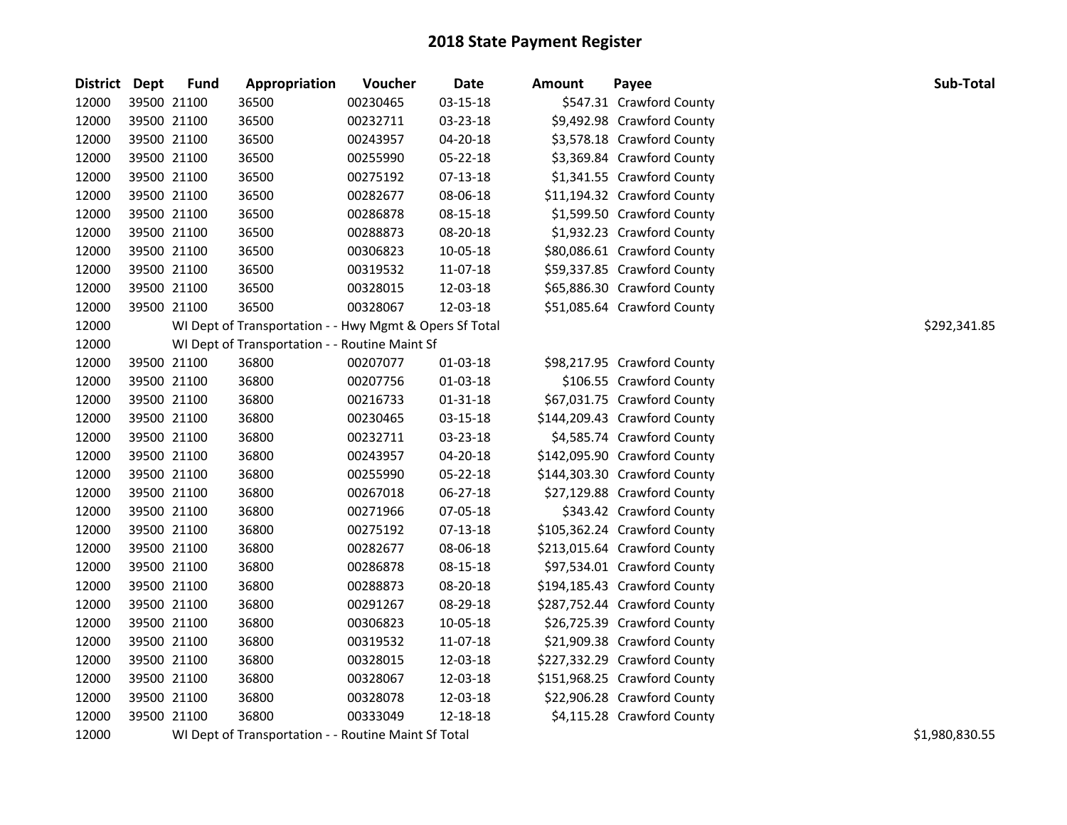| District Dept |             | <b>Fund</b> | Appropriation                                           | Voucher                                                                                    | Date           | <b>Amount</b> | Payee                        | Sub-Total     |
|---------------|-------------|-------------|---------------------------------------------------------|--------------------------------------------------------------------------------------------|----------------|---------------|------------------------------|---------------|
| 12000         |             | 39500 21100 | 36500                                                   | 00230465                                                                                   | 03-15-18       |               | \$547.31 Crawford County     |               |
| 12000         | 39500 21100 |             | 36500                                                   | 00232711                                                                                   | 03-23-18       |               | \$9,492.98 Crawford County   |               |
| 12000         | 39500 21100 |             | 36500                                                   | 00243957                                                                                   | 04-20-18       |               | \$3,578.18 Crawford County   |               |
| 12000         |             | 39500 21100 | 36500                                                   | 00255990                                                                                   | 05-22-18       |               | \$3,369.84 Crawford County   |               |
| 12000         |             | 39500 21100 | 36500                                                   | 00275192                                                                                   | 07-13-18       |               | \$1,341.55 Crawford County   |               |
| 12000         |             | 39500 21100 | 36500                                                   | 00282677                                                                                   | 08-06-18       |               | \$11,194.32 Crawford County  |               |
| 12000         |             | 39500 21100 | 36500                                                   | 00286878                                                                                   | 08-15-18       |               | \$1,599.50 Crawford County   |               |
| 12000         | 39500 21100 |             | 36500                                                   | 00288873                                                                                   | 08-20-18       |               | \$1,932.23 Crawford County   |               |
| 12000         | 39500 21100 |             | 36500                                                   | 00306823                                                                                   | 10-05-18       |               | \$80,086.61 Crawford County  |               |
| 12000         | 39500 21100 |             | 36500                                                   | 00319532                                                                                   | 11-07-18       |               | \$59,337.85 Crawford County  |               |
| 12000         |             | 39500 21100 | 36500                                                   | 00328015                                                                                   | 12-03-18       |               | \$65,886.30 Crawford County  |               |
| 12000         |             | 39500 21100 | 36500                                                   | 00328067                                                                                   | 12-03-18       |               | \$51,085.64 Crawford County  |               |
| 12000         |             |             | WI Dept of Transportation - - Hwy Mgmt & Opers Sf Total |                                                                                            |                |               |                              | \$292,341.85  |
| 12000         |             |             | WI Dept of Transportation - - Routine Maint Sf          |                                                                                            |                |               |                              |               |
| 12000         |             | 39500 21100 | 36800                                                   | 00207077                                                                                   | 01-03-18       |               | \$98,217.95 Crawford County  |               |
| 12000         | 39500 21100 |             | 36800                                                   | 00207756                                                                                   | $01 - 03 - 18$ |               | \$106.55 Crawford County     |               |
| 12000         | 39500 21100 |             | 36800                                                   | 00216733                                                                                   | $01 - 31 - 18$ |               | \$67,031.75 Crawford County  |               |
| 12000         | 39500 21100 |             | 36800                                                   | 00230465                                                                                   | 03-15-18       |               | \$144,209.43 Crawford County |               |
| 12000         | 39500 21100 |             | 36800                                                   | 00232711                                                                                   | 03-23-18       |               | \$4,585.74 Crawford County   |               |
| 12000         |             | 39500 21100 | 36800                                                   | 00243957                                                                                   | 04-20-18       |               | \$142,095.90 Crawford County |               |
| 12000         |             | 39500 21100 | 36800                                                   | 00255990                                                                                   | 05-22-18       |               | \$144,303.30 Crawford County |               |
| 12000         |             | 39500 21100 | 36800                                                   | 00267018                                                                                   | 06-27-18       |               | \$27,129.88 Crawford County  |               |
| 12000         |             | 39500 21100 | 36800                                                   | 00271966                                                                                   | 07-05-18       |               | \$343.42 Crawford County     |               |
| 12000         |             | 39500 21100 | 36800                                                   | 00275192                                                                                   | 07-13-18       |               | \$105,362.24 Crawford County |               |
| 12000         | 39500 21100 |             | 36800                                                   | 00282677                                                                                   | 08-06-18       |               | \$213,015.64 Crawford County |               |
| 12000         | 39500 21100 |             | 36800                                                   | 00286878                                                                                   | 08-15-18       |               | \$97,534.01 Crawford County  |               |
| 12000         | 39500 21100 |             | 36800                                                   | 00288873                                                                                   | 08-20-18       |               | \$194,185.43 Crawford County |               |
| 12000         |             | 39500 21100 | 36800                                                   | 00291267                                                                                   | 08-29-18       |               | \$287,752.44 Crawford County |               |
| 12000         |             | 39500 21100 | 36800                                                   | 00306823                                                                                   | 10-05-18       |               | \$26,725.39 Crawford County  |               |
| 12000         |             | 39500 21100 | 36800                                                   | 00319532                                                                                   | 11-07-18       |               | \$21,909.38 Crawford County  |               |
| 12000         |             | 39500 21100 | 36800                                                   | 00328015                                                                                   | 12-03-18       |               | \$227,332.29 Crawford County |               |
| 12000         | 39500 21100 |             | 36800                                                   | 00328067                                                                                   | 12-03-18       |               | \$151,968.25 Crawford County |               |
| 12000         | 39500 21100 |             | 36800                                                   | 00328078                                                                                   | 12-03-18       |               | \$22,906.28 Crawford County  |               |
| 12000         | 39500 21100 |             | 36800                                                   | 00333049                                                                                   | 12-18-18       |               | \$4,115.28 Crawford County   |               |
| 12000         |             |             | IIII Dont of Trongonautotion                            | $D_{\alpha}$ $A_{\alpha}$ $A_{\alpha}$ $A_{\alpha}$ $A_{\alpha}$ $A_{\alpha}$ $A_{\alpha}$ |                |               |                              | 0.10000000000 |

12000 WI Dept of Transportation - - Routine Maint Sf Total \$1,980,830.55 St. \$1,980,830.55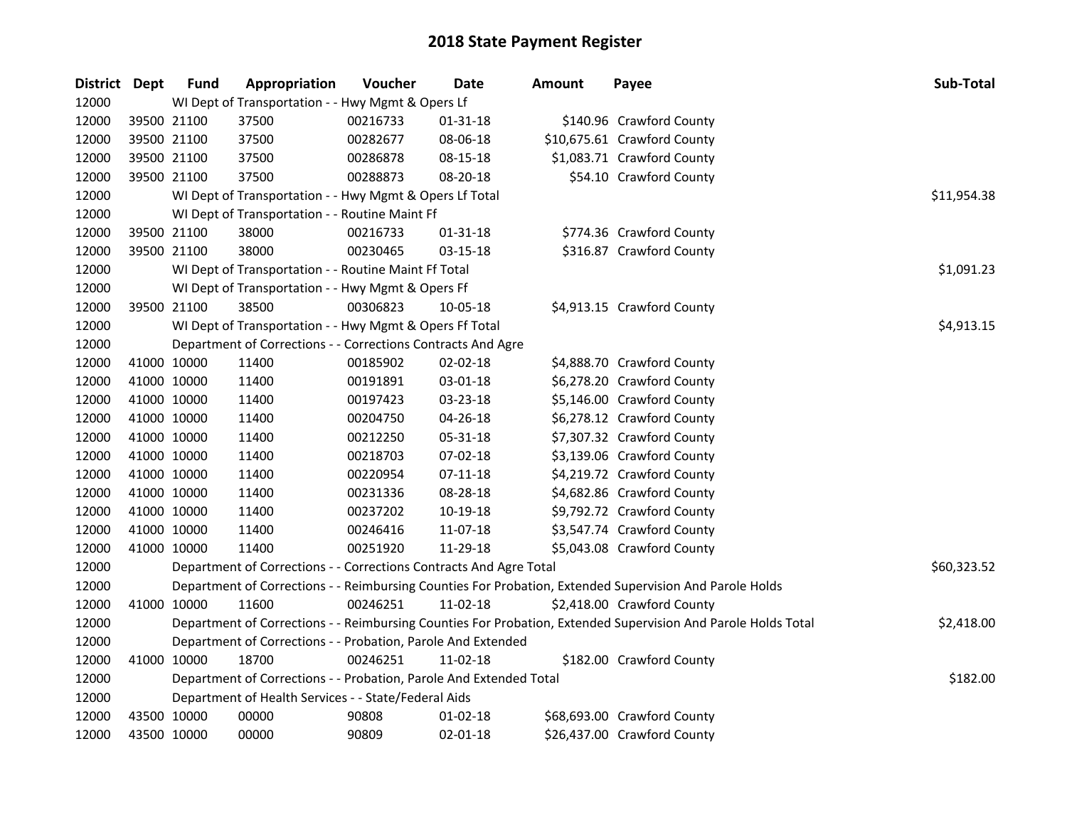| District Dept |             | <b>Fund</b> | Appropriation                                                      | Voucher  | Date           | Amount | Payee                                                                                                         | Sub-Total   |
|---------------|-------------|-------------|--------------------------------------------------------------------|----------|----------------|--------|---------------------------------------------------------------------------------------------------------------|-------------|
| 12000         |             |             | WI Dept of Transportation - - Hwy Mgmt & Opers Lf                  |          |                |        |                                                                                                               |             |
| 12000         |             | 39500 21100 | 37500                                                              | 00216733 | $01 - 31 - 18$ |        | \$140.96 Crawford County                                                                                      |             |
| 12000         | 39500 21100 |             | 37500                                                              | 00282677 | 08-06-18       |        | \$10,675.61 Crawford County                                                                                   |             |
| 12000         | 39500 21100 |             | 37500                                                              | 00286878 | 08-15-18       |        | \$1,083.71 Crawford County                                                                                    |             |
| 12000         |             | 39500 21100 | 37500                                                              | 00288873 | 08-20-18       |        | \$54.10 Crawford County                                                                                       |             |
| 12000         |             |             | WI Dept of Transportation - - Hwy Mgmt & Opers Lf Total            |          |                |        |                                                                                                               | \$11,954.38 |
| 12000         |             |             | WI Dept of Transportation - - Routine Maint Ff                     |          |                |        |                                                                                                               |             |
| 12000         | 39500 21100 |             | 38000                                                              | 00216733 | $01 - 31 - 18$ |        | \$774.36 Crawford County                                                                                      |             |
| 12000         |             | 39500 21100 | 38000                                                              | 00230465 | 03-15-18       |        | \$316.87 Crawford County                                                                                      |             |
| 12000         |             |             | WI Dept of Transportation - - Routine Maint Ff Total               |          |                |        |                                                                                                               | \$1,091.23  |
| 12000         |             |             | WI Dept of Transportation - - Hwy Mgmt & Opers Ff                  |          |                |        |                                                                                                               |             |
| 12000         |             | 39500 21100 | 38500                                                              | 00306823 | 10-05-18       |        | \$4,913.15 Crawford County                                                                                    |             |
| 12000         |             |             | WI Dept of Transportation - - Hwy Mgmt & Opers Ff Total            |          |                |        |                                                                                                               | \$4,913.15  |
| 12000         |             |             | Department of Corrections - - Corrections Contracts And Agre       |          |                |        |                                                                                                               |             |
| 12000         | 41000 10000 |             | 11400                                                              | 00185902 | 02-02-18       |        | \$4,888.70 Crawford County                                                                                    |             |
| 12000         | 41000 10000 |             | 11400                                                              | 00191891 | 03-01-18       |        | \$6,278.20 Crawford County                                                                                    |             |
| 12000         | 41000 10000 |             | 11400                                                              | 00197423 | 03-23-18       |        | \$5,146.00 Crawford County                                                                                    |             |
| 12000         | 41000 10000 |             | 11400                                                              | 00204750 | 04-26-18       |        | \$6,278.12 Crawford County                                                                                    |             |
| 12000         | 41000 10000 |             | 11400                                                              | 00212250 | 05-31-18       |        | \$7,307.32 Crawford County                                                                                    |             |
| 12000         | 41000 10000 |             | 11400                                                              | 00218703 | 07-02-18       |        | \$3,139.06 Crawford County                                                                                    |             |
| 12000         | 41000 10000 |             | 11400                                                              | 00220954 | $07 - 11 - 18$ |        | \$4,219.72 Crawford County                                                                                    |             |
| 12000         | 41000 10000 |             | 11400                                                              | 00231336 | 08-28-18       |        | \$4,682.86 Crawford County                                                                                    |             |
| 12000         | 41000 10000 |             | 11400                                                              | 00237202 | 10-19-18       |        | \$9,792.72 Crawford County                                                                                    |             |
| 12000         | 41000 10000 |             | 11400                                                              | 00246416 | 11-07-18       |        | \$3,547.74 Crawford County                                                                                    |             |
| 12000         | 41000 10000 |             | 11400                                                              | 00251920 | 11-29-18       |        | \$5,043.08 Crawford County                                                                                    |             |
| 12000         |             |             | Department of Corrections - - Corrections Contracts And Agre Total |          |                |        |                                                                                                               | \$60,323.52 |
| 12000         |             |             |                                                                    |          |                |        | Department of Corrections - - Reimbursing Counties For Probation, Extended Supervision And Parole Holds       |             |
| 12000         |             | 41000 10000 | 11600                                                              | 00246251 | 11-02-18       |        | \$2,418.00 Crawford County                                                                                    |             |
| 12000         |             |             |                                                                    |          |                |        | Department of Corrections - - Reimbursing Counties For Probation, Extended Supervision And Parole Holds Total | \$2,418.00  |
| 12000         |             |             | Department of Corrections - - Probation, Parole And Extended       |          |                |        |                                                                                                               |             |
| 12000         | 41000 10000 |             | 18700                                                              | 00246251 | 11-02-18       |        | \$182.00 Crawford County                                                                                      |             |
| 12000         |             |             | Department of Corrections - - Probation, Parole And Extended Total |          |                |        |                                                                                                               | \$182.00    |
| 12000         |             |             | Department of Health Services - - State/Federal Aids               |          |                |        |                                                                                                               |             |
| 12000         | 43500 10000 |             | 00000                                                              | 90808    | $01 - 02 - 18$ |        | \$68,693.00 Crawford County                                                                                   |             |
| 12000         | 43500 10000 |             | 00000                                                              | 90809    | $02 - 01 - 18$ |        | \$26,437.00 Crawford County                                                                                   |             |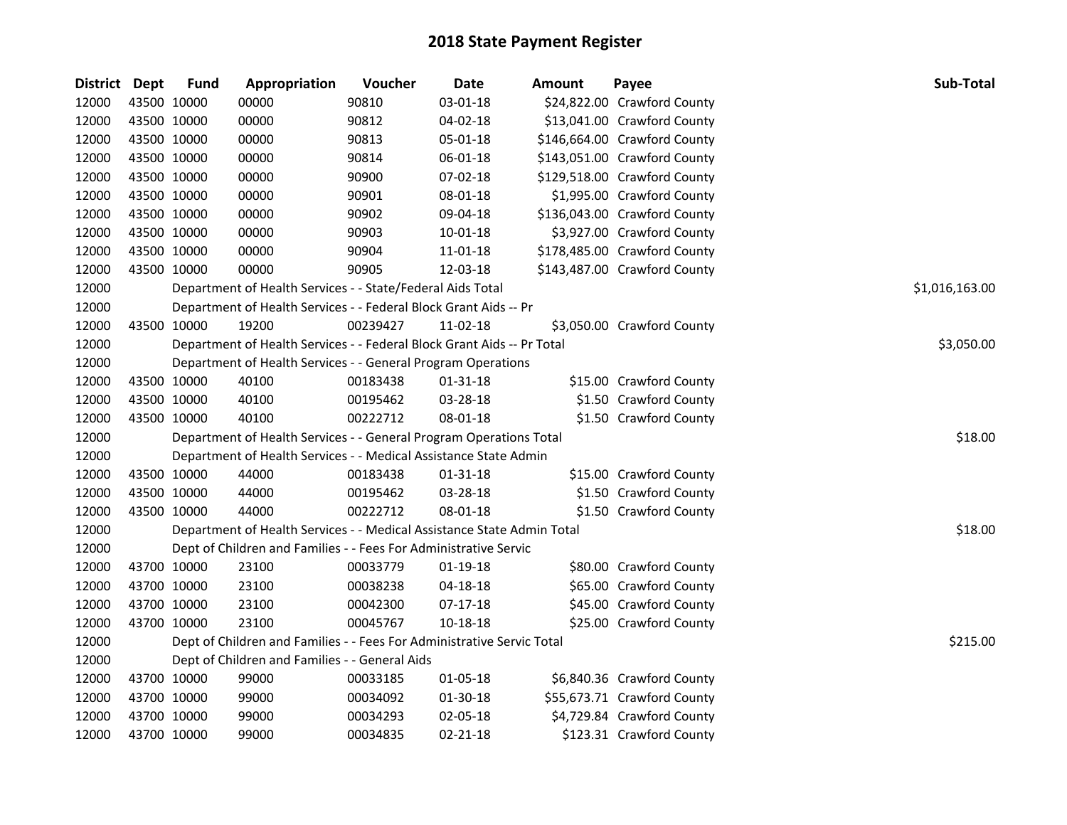| District Dept |             | <b>Fund</b> | Appropriation                                                          | Voucher  | <b>Date</b>    | Amount | Payee                        | Sub-Total      |
|---------------|-------------|-------------|------------------------------------------------------------------------|----------|----------------|--------|------------------------------|----------------|
| 12000         | 43500 10000 |             | 00000                                                                  | 90810    | 03-01-18       |        | \$24,822.00 Crawford County  |                |
| 12000         | 43500 10000 |             | 00000                                                                  | 90812    | 04-02-18       |        | \$13,041.00 Crawford County  |                |
| 12000         | 43500 10000 |             | 00000                                                                  | 90813    | 05-01-18       |        | \$146,664.00 Crawford County |                |
| 12000         | 43500 10000 |             | 00000                                                                  | 90814    | 06-01-18       |        | \$143,051.00 Crawford County |                |
| 12000         | 43500 10000 |             | 00000                                                                  | 90900    | 07-02-18       |        | \$129,518.00 Crawford County |                |
| 12000         | 43500 10000 |             | 00000                                                                  | 90901    | 08-01-18       |        | \$1,995.00 Crawford County   |                |
| 12000         | 43500 10000 |             | 00000                                                                  | 90902    | 09-04-18       |        | \$136,043.00 Crawford County |                |
| 12000         | 43500 10000 |             | 00000                                                                  | 90903    | 10-01-18       |        | \$3,927.00 Crawford County   |                |
| 12000         | 43500 10000 |             | 00000                                                                  | 90904    | 11-01-18       |        | \$178,485.00 Crawford County |                |
| 12000         | 43500 10000 |             | 00000                                                                  | 90905    | 12-03-18       |        | \$143,487.00 Crawford County |                |
| 12000         |             |             | Department of Health Services - - State/Federal Aids Total             |          |                |        |                              | \$1,016,163.00 |
| 12000         |             |             | Department of Health Services - - Federal Block Grant Aids -- Pr       |          |                |        |                              |                |
| 12000         | 43500 10000 |             | 19200                                                                  | 00239427 | 11-02-18       |        | \$3,050.00 Crawford County   |                |
| 12000         |             |             | Department of Health Services - - Federal Block Grant Aids -- Pr Total |          |                |        |                              | \$3,050.00     |
| 12000         |             |             | Department of Health Services - - General Program Operations           |          |                |        |                              |                |
| 12000         | 43500 10000 |             | 40100                                                                  | 00183438 | 01-31-18       |        | \$15.00 Crawford County      |                |
| 12000         | 43500 10000 |             | 40100                                                                  | 00195462 | 03-28-18       |        | \$1.50 Crawford County       |                |
| 12000         | 43500 10000 |             | 40100                                                                  | 00222712 | 08-01-18       |        | \$1.50 Crawford County       |                |
| 12000         |             |             | Department of Health Services - - General Program Operations Total     |          |                |        |                              | \$18.00        |
| 12000         |             |             | Department of Health Services - - Medical Assistance State Admin       |          |                |        |                              |                |
| 12000         | 43500 10000 |             | 44000                                                                  | 00183438 | $01 - 31 - 18$ |        | \$15.00 Crawford County      |                |
| 12000         | 43500 10000 |             | 44000                                                                  | 00195462 | 03-28-18       |        | \$1.50 Crawford County       |                |
| 12000         | 43500 10000 |             | 44000                                                                  | 00222712 | 08-01-18       |        | \$1.50 Crawford County       |                |
| 12000         |             |             | Department of Health Services - - Medical Assistance State Admin Total |          |                |        |                              | \$18.00        |
| 12000         |             |             | Dept of Children and Families - - Fees For Administrative Servic       |          |                |        |                              |                |
| 12000         | 43700 10000 |             | 23100                                                                  | 00033779 | 01-19-18       |        | \$80.00 Crawford County      |                |
| 12000         | 43700 10000 |             | 23100                                                                  | 00038238 | 04-18-18       |        | \$65.00 Crawford County      |                |
| 12000         | 43700 10000 |             | 23100                                                                  | 00042300 | $07-17-18$     |        | \$45.00 Crawford County      |                |
| 12000         | 43700 10000 |             | 23100                                                                  | 00045767 | 10-18-18       |        | \$25.00 Crawford County      |                |
| 12000         |             |             | Dept of Children and Families - - Fees For Administrative Servic Total |          |                |        |                              | \$215.00       |
| 12000         |             |             | Dept of Children and Families - - General Aids                         |          |                |        |                              |                |
| 12000         | 43700 10000 |             | 99000                                                                  | 00033185 | 01-05-18       |        | \$6,840.36 Crawford County   |                |
| 12000         | 43700 10000 |             | 99000                                                                  | 00034092 | 01-30-18       |        | \$55,673.71 Crawford County  |                |
| 12000         | 43700 10000 |             | 99000                                                                  | 00034293 | 02-05-18       |        | \$4,729.84 Crawford County   |                |
| 12000         | 43700 10000 |             | 99000                                                                  | 00034835 | $02 - 21 - 18$ |        | \$123.31 Crawford County     |                |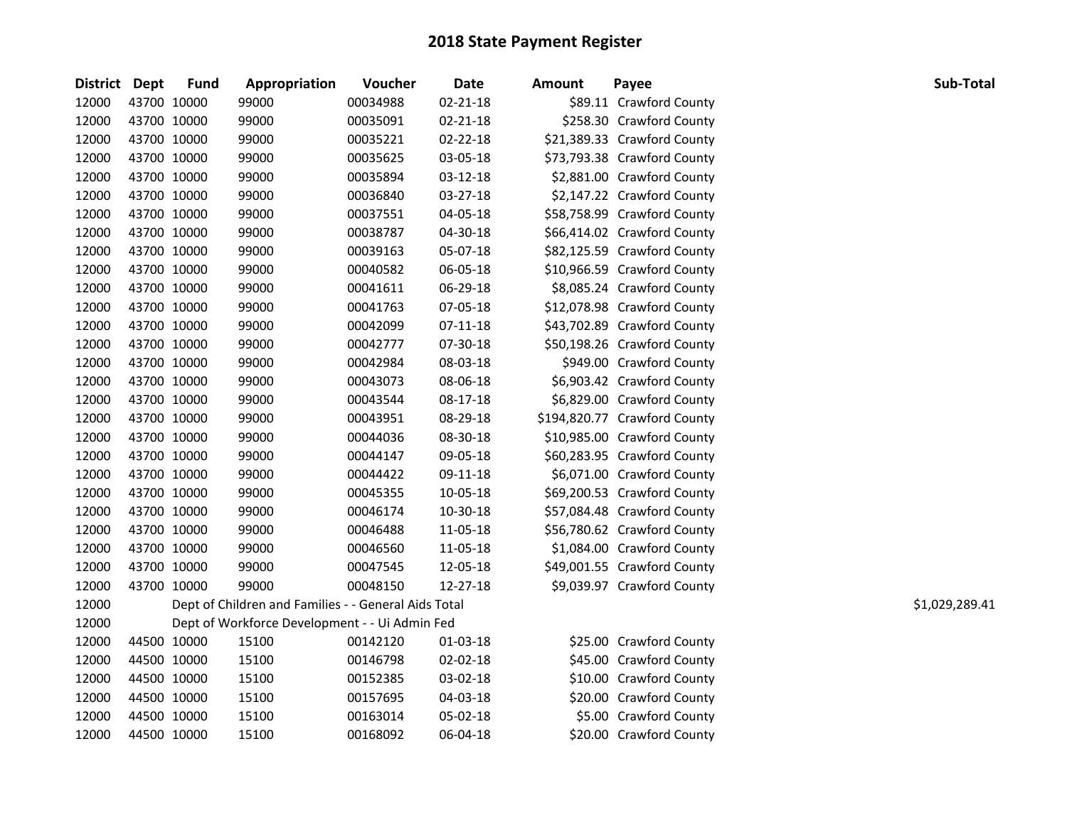| District Dept |             | <b>Fund</b> | Appropriation                                        | Voucher  | <b>Date</b>    | <b>Amount</b> | Payee                        | Sub-Total      |
|---------------|-------------|-------------|------------------------------------------------------|----------|----------------|---------------|------------------------------|----------------|
| 12000         | 43700 10000 |             | 99000                                                | 00034988 | $02 - 21 - 18$ |               | \$89.11 Crawford County      |                |
| 12000         | 43700 10000 |             | 99000                                                | 00035091 | $02 - 21 - 18$ |               | \$258.30 Crawford County     |                |
| 12000         | 43700 10000 |             | 99000                                                | 00035221 | 02-22-18       |               | \$21,389.33 Crawford County  |                |
| 12000         | 43700 10000 |             | 99000                                                | 00035625 | 03-05-18       |               | \$73,793.38 Crawford County  |                |
| 12000         | 43700 10000 |             | 99000                                                | 00035894 | 03-12-18       |               | \$2,881.00 Crawford County   |                |
| 12000         | 43700 10000 |             | 99000                                                | 00036840 | 03-27-18       |               | \$2,147.22 Crawford County   |                |
| 12000         | 43700 10000 |             | 99000                                                | 00037551 | 04-05-18       |               | \$58,758.99 Crawford County  |                |
| 12000         | 43700 10000 |             | 99000                                                | 00038787 | 04-30-18       |               | \$66,414.02 Crawford County  |                |
| 12000         | 43700 10000 |             | 99000                                                | 00039163 | 05-07-18       |               | \$82,125.59 Crawford County  |                |
| 12000         | 43700 10000 |             | 99000                                                | 00040582 | 06-05-18       |               | \$10,966.59 Crawford County  |                |
| 12000         | 43700 10000 |             | 99000                                                | 00041611 | 06-29-18       |               | \$8,085.24 Crawford County   |                |
| 12000         | 43700 10000 |             | 99000                                                | 00041763 | 07-05-18       |               | \$12,078.98 Crawford County  |                |
| 12000         | 43700 10000 |             | 99000                                                | 00042099 | 07-11-18       |               | \$43,702.89 Crawford County  |                |
| 12000         | 43700 10000 |             | 99000                                                | 00042777 | 07-30-18       |               | \$50,198.26 Crawford County  |                |
| 12000         | 43700 10000 |             | 99000                                                | 00042984 | 08-03-18       |               | \$949.00 Crawford County     |                |
| 12000         | 43700 10000 |             | 99000                                                | 00043073 | 08-06-18       |               | \$6,903.42 Crawford County   |                |
| 12000         | 43700 10000 |             | 99000                                                | 00043544 | 08-17-18       |               | \$6,829.00 Crawford County   |                |
| 12000         | 43700 10000 |             | 99000                                                | 00043951 | 08-29-18       |               | \$194,820.77 Crawford County |                |
| 12000         | 43700 10000 |             | 99000                                                | 00044036 | 08-30-18       |               | \$10,985.00 Crawford County  |                |
| 12000         | 43700 10000 |             | 99000                                                | 00044147 | 09-05-18       |               | \$60,283.95 Crawford County  |                |
| 12000         | 43700 10000 |             | 99000                                                | 00044422 | 09-11-18       |               | \$6,071.00 Crawford County   |                |
| 12000         | 43700 10000 |             | 99000                                                | 00045355 | 10-05-18       |               | \$69,200.53 Crawford County  |                |
| 12000         | 43700 10000 |             | 99000                                                | 00046174 | 10-30-18       |               | \$57,084.48 Crawford County  |                |
| 12000         | 43700 10000 |             | 99000                                                | 00046488 | 11-05-18       |               | \$56,780.62 Crawford County  |                |
| 12000         | 43700 10000 |             | 99000                                                | 00046560 | 11-05-18       |               | \$1,084.00 Crawford County   |                |
| 12000         | 43700 10000 |             | 99000                                                | 00047545 | 12-05-18       |               | \$49,001.55 Crawford County  |                |
| 12000         | 43700 10000 |             | 99000                                                | 00048150 | 12-27-18       |               | \$9,039.97 Crawford County   |                |
| 12000         |             |             | Dept of Children and Families - - General Aids Total |          |                |               |                              | \$1,029,289.41 |
| 12000         |             |             | Dept of Workforce Development - - Ui Admin Fed       |          |                |               |                              |                |
| 12000         | 44500 10000 |             | 15100                                                | 00142120 | 01-03-18       |               | \$25.00 Crawford County      |                |
| 12000         | 44500 10000 |             | 15100                                                | 00146798 | 02-02-18       |               | \$45.00 Crawford County      |                |
| 12000         | 44500 10000 |             | 15100                                                | 00152385 | 03-02-18       |               | \$10.00 Crawford County      |                |
| 12000         | 44500 10000 |             | 15100                                                | 00157695 | 04-03-18       |               | \$20.00 Crawford County      |                |
| 12000         |             | 44500 10000 | 15100                                                | 00163014 | 05-02-18       |               | \$5.00 Crawford County       |                |
| 12000         | 44500 10000 |             | 15100                                                | 00168092 | 06-04-18       |               | \$20.00 Crawford County      |                |
|               |             |             |                                                      |          |                |               |                              |                |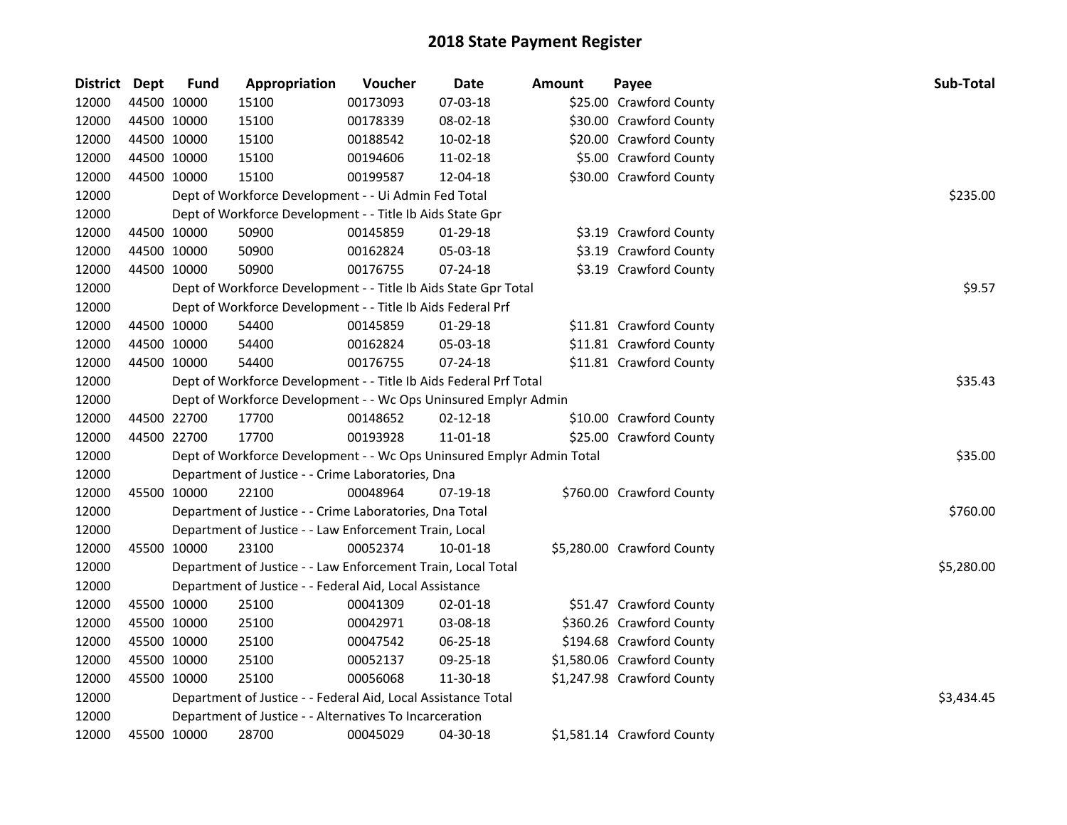| District Dept |             | <b>Fund</b> | Appropriation                                                         | Voucher  | Date           | <b>Amount</b> | Payee                      | Sub-Total  |
|---------------|-------------|-------------|-----------------------------------------------------------------------|----------|----------------|---------------|----------------------------|------------|
| 12000         |             | 44500 10000 | 15100                                                                 | 00173093 | 07-03-18       |               | \$25.00 Crawford County    |            |
| 12000         |             | 44500 10000 | 15100                                                                 | 00178339 | 08-02-18       |               | \$30.00 Crawford County    |            |
| 12000         | 44500 10000 |             | 15100                                                                 | 00188542 | 10-02-18       |               | \$20.00 Crawford County    |            |
| 12000         |             | 44500 10000 | 15100                                                                 | 00194606 | 11-02-18       |               | \$5.00 Crawford County     |            |
| 12000         |             | 44500 10000 | 15100                                                                 | 00199587 | 12-04-18       |               | \$30.00 Crawford County    |            |
| 12000         |             |             | Dept of Workforce Development - - Ui Admin Fed Total                  |          |                |               |                            | \$235.00   |
| 12000         |             |             | Dept of Workforce Development - - Title Ib Aids State Gpr             |          |                |               |                            |            |
| 12000         |             | 44500 10000 | 50900                                                                 | 00145859 | 01-29-18       |               | \$3.19 Crawford County     |            |
| 12000         |             | 44500 10000 | 50900                                                                 | 00162824 | 05-03-18       |               | \$3.19 Crawford County     |            |
| 12000         |             | 44500 10000 | 50900                                                                 | 00176755 | 07-24-18       |               | \$3.19 Crawford County     |            |
| 12000         |             |             | Dept of Workforce Development - - Title Ib Aids State Gpr Total       |          |                |               |                            | \$9.57     |
| 12000         |             |             | Dept of Workforce Development - - Title Ib Aids Federal Prf           |          |                |               |                            |            |
| 12000         |             | 44500 10000 | 54400                                                                 | 00145859 | $01-29-18$     |               | \$11.81 Crawford County    |            |
| 12000         |             | 44500 10000 | 54400                                                                 | 00162824 | 05-03-18       |               | \$11.81 Crawford County    |            |
| 12000         |             | 44500 10000 | 54400                                                                 | 00176755 | 07-24-18       |               | \$11.81 Crawford County    |            |
| 12000         |             |             | Dept of Workforce Development - - Title Ib Aids Federal Prf Total     | \$35.43  |                |               |                            |            |
| 12000         |             |             | Dept of Workforce Development - - Wc Ops Uninsured Emplyr Admin       |          |                |               |                            |            |
| 12000         |             | 44500 22700 | 17700                                                                 | 00148652 | $02 - 12 - 18$ |               | \$10.00 Crawford County    |            |
| 12000         |             | 44500 22700 | 17700                                                                 | 00193928 | 11-01-18       |               | \$25.00 Crawford County    |            |
| 12000         |             |             | Dept of Workforce Development - - Wc Ops Uninsured Emplyr Admin Total |          |                |               |                            | \$35.00    |
| 12000         |             |             | Department of Justice - - Crime Laboratories, Dna                     |          |                |               |                            |            |
| 12000         |             | 45500 10000 | 22100                                                                 | 00048964 | 07-19-18       |               | \$760.00 Crawford County   |            |
| 12000         |             |             | Department of Justice - - Crime Laboratories, Dna Total               |          |                |               |                            | \$760.00   |
| 12000         |             |             | Department of Justice - - Law Enforcement Train, Local                |          |                |               |                            |            |
| 12000         |             | 45500 10000 | 23100                                                                 | 00052374 | 10-01-18       |               | \$5,280.00 Crawford County |            |
| 12000         |             |             | Department of Justice - - Law Enforcement Train, Local Total          |          |                |               |                            | \$5,280.00 |
| 12000         |             |             | Department of Justice - - Federal Aid, Local Assistance               |          |                |               |                            |            |
| 12000         |             | 45500 10000 | 25100                                                                 | 00041309 | 02-01-18       |               | \$51.47 Crawford County    |            |
| 12000         |             | 45500 10000 | 25100                                                                 | 00042971 | 03-08-18       |               | \$360.26 Crawford County   |            |
| 12000         |             | 45500 10000 | 25100                                                                 | 00047542 | 06-25-18       |               | \$194.68 Crawford County   |            |
| 12000         |             | 45500 10000 | 25100                                                                 | 00052137 | 09-25-18       |               | \$1,580.06 Crawford County |            |
| 12000         |             | 45500 10000 | 25100                                                                 | 00056068 | 11-30-18       |               | \$1,247.98 Crawford County |            |
| 12000         |             |             | Department of Justice - - Federal Aid, Local Assistance Total         |          |                |               |                            | \$3,434.45 |
| 12000         |             |             | Department of Justice - - Alternatives To Incarceration               |          |                |               |                            |            |
| 12000         |             | 45500 10000 | 28700                                                                 | 00045029 | 04-30-18       |               | \$1,581.14 Crawford County |            |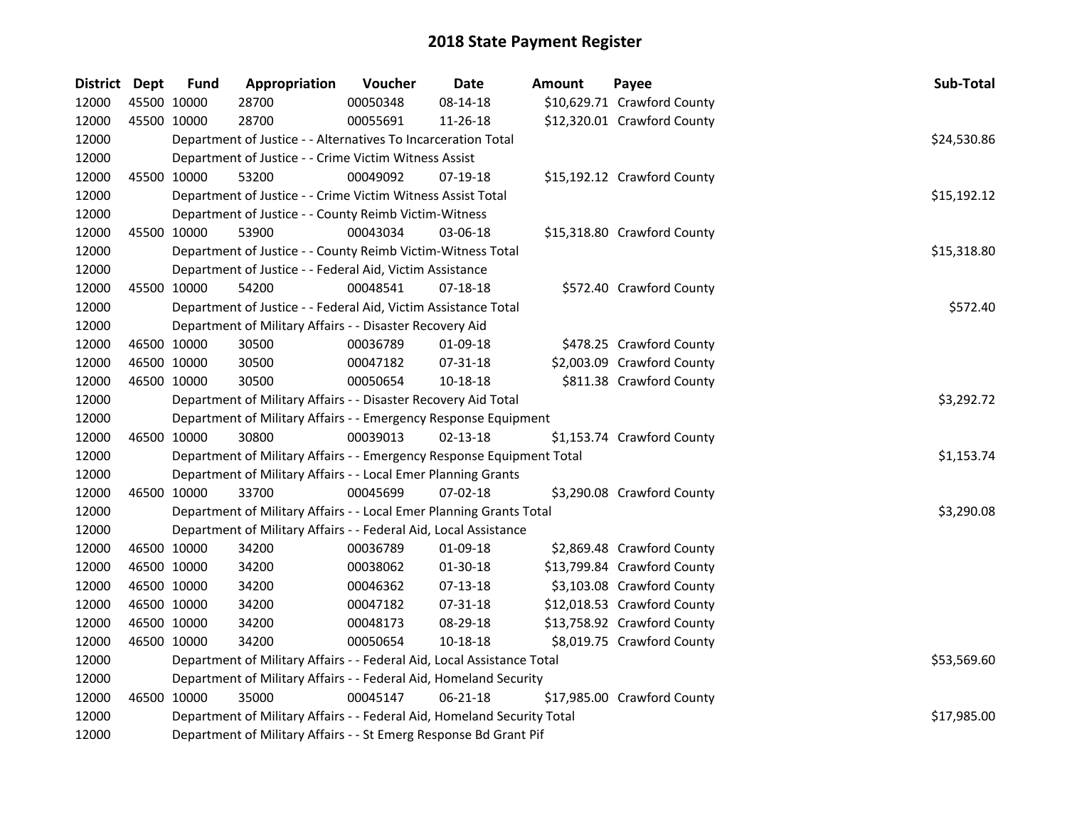| District Dept |             | <b>Fund</b> | Appropriation                                                                                                                                | Voucher    | Date           | Amount | Payee                       | Sub-Total   |  |  |  |  |
|---------------|-------------|-------------|----------------------------------------------------------------------------------------------------------------------------------------------|------------|----------------|--------|-----------------------------|-------------|--|--|--|--|
| 12000         | 45500 10000 |             | 28700                                                                                                                                        | 00050348   | 08-14-18       |        | \$10,629.71 Crawford County |             |  |  |  |  |
| 12000         | 45500 10000 |             | 28700                                                                                                                                        | 00055691   | 11-26-18       |        | \$12,320.01 Crawford County |             |  |  |  |  |
| 12000         |             |             | Department of Justice - - Alternatives To Incarceration Total                                                                                |            |                |        |                             | \$24,530.86 |  |  |  |  |
| 12000         |             |             | Department of Justice - - Crime Victim Witness Assist                                                                                        |            |                |        |                             |             |  |  |  |  |
| 12000         |             | 45500 10000 | 53200                                                                                                                                        | 00049092   | 07-19-18       |        | \$15,192.12 Crawford County |             |  |  |  |  |
| 12000         |             |             | Department of Justice - - Crime Victim Witness Assist Total                                                                                  |            |                |        |                             | \$15,192.12 |  |  |  |  |
| 12000         |             |             | Department of Justice - - County Reimb Victim-Witness                                                                                        |            |                |        |                             |             |  |  |  |  |
| 12000         |             | 45500 10000 | 53900                                                                                                                                        | 00043034   | 03-06-18       |        | \$15,318.80 Crawford County |             |  |  |  |  |
| 12000         |             |             | Department of Justice - - County Reimb Victim-Witness Total                                                                                  |            |                |        |                             | \$15,318.80 |  |  |  |  |
| 12000         |             |             | Department of Justice - - Federal Aid, Victim Assistance                                                                                     |            |                |        |                             |             |  |  |  |  |
| 12000         |             | 45500 10000 | 54200                                                                                                                                        | 00048541   | 07-18-18       |        | \$572.40 Crawford County    |             |  |  |  |  |
| 12000         |             |             | Department of Justice - - Federal Aid, Victim Assistance Total                                                                               |            |                |        |                             | \$572.40    |  |  |  |  |
| 12000         |             |             | Department of Military Affairs - - Disaster Recovery Aid                                                                                     |            |                |        |                             |             |  |  |  |  |
| 12000         | 46500 10000 |             | 30500                                                                                                                                        | 00036789   | 01-09-18       |        | \$478.25 Crawford County    |             |  |  |  |  |
| 12000         |             | 46500 10000 | 30500                                                                                                                                        | 00047182   | 07-31-18       |        | \$2,003.09 Crawford County  |             |  |  |  |  |
| 12000         | 46500 10000 |             | 30500                                                                                                                                        | 00050654   | 10-18-18       |        | \$811.38 Crawford County    |             |  |  |  |  |
| 12000         |             |             | Department of Military Affairs - - Disaster Recovery Aid Total                                                                               | \$3,292.72 |                |        |                             |             |  |  |  |  |
| 12000         |             |             | Department of Military Affairs - - Emergency Response Equipment                                                                              |            |                |        |                             |             |  |  |  |  |
| 12000         |             | 46500 10000 | 30800                                                                                                                                        | 00039013   | $02 - 13 - 18$ |        | \$1,153.74 Crawford County  |             |  |  |  |  |
| 12000         |             |             | Department of Military Affairs - - Emergency Response Equipment Total                                                                        |            |                |        |                             | \$1,153.74  |  |  |  |  |
| 12000         |             |             | Department of Military Affairs - - Local Emer Planning Grants                                                                                |            |                |        |                             |             |  |  |  |  |
| 12000         | 46500 10000 |             | 33700                                                                                                                                        | 00045699   | $07 - 02 - 18$ |        | \$3,290.08 Crawford County  |             |  |  |  |  |
| 12000         |             |             | Department of Military Affairs - - Local Emer Planning Grants Total                                                                          |            |                |        |                             | \$3,290.08  |  |  |  |  |
| 12000         |             |             | Department of Military Affairs - - Federal Aid, Local Assistance                                                                             |            |                |        |                             |             |  |  |  |  |
| 12000         |             | 46500 10000 | 34200                                                                                                                                        | 00036789   | 01-09-18       |        | \$2,869.48 Crawford County  |             |  |  |  |  |
| 12000         |             | 46500 10000 | 34200                                                                                                                                        | 00038062   | 01-30-18       |        | \$13,799.84 Crawford County |             |  |  |  |  |
| 12000         |             | 46500 10000 | 34200                                                                                                                                        | 00046362   | $07-13-18$     |        | \$3,103.08 Crawford County  |             |  |  |  |  |
| 12000         |             | 46500 10000 | 34200                                                                                                                                        | 00047182   | 07-31-18       |        | \$12,018.53 Crawford County |             |  |  |  |  |
| 12000         | 46500 10000 |             | 34200                                                                                                                                        | 00048173   | 08-29-18       |        | \$13,758.92 Crawford County |             |  |  |  |  |
| 12000         | 46500 10000 |             | 34200                                                                                                                                        | 00050654   | 10-18-18       |        | \$8,019.75 Crawford County  |             |  |  |  |  |
| 12000         |             |             | Department of Military Affairs - - Federal Aid, Local Assistance Total                                                                       |            |                |        |                             | \$53,569.60 |  |  |  |  |
| 12000         |             |             | Department of Military Affairs - - Federal Aid, Homeland Security                                                                            |            |                |        |                             |             |  |  |  |  |
| 12000         |             | 46500 10000 | 35000                                                                                                                                        | 00045147   | 06-21-18       |        | \$17,985.00 Crawford County |             |  |  |  |  |
| 12000         |             |             |                                                                                                                                              |            |                |        |                             | \$17,985.00 |  |  |  |  |
| 12000         |             |             | Department of Military Affairs - - Federal Aid, Homeland Security Total<br>Department of Military Affairs - - St Emerg Response Bd Grant Pif |            |                |        |                             |             |  |  |  |  |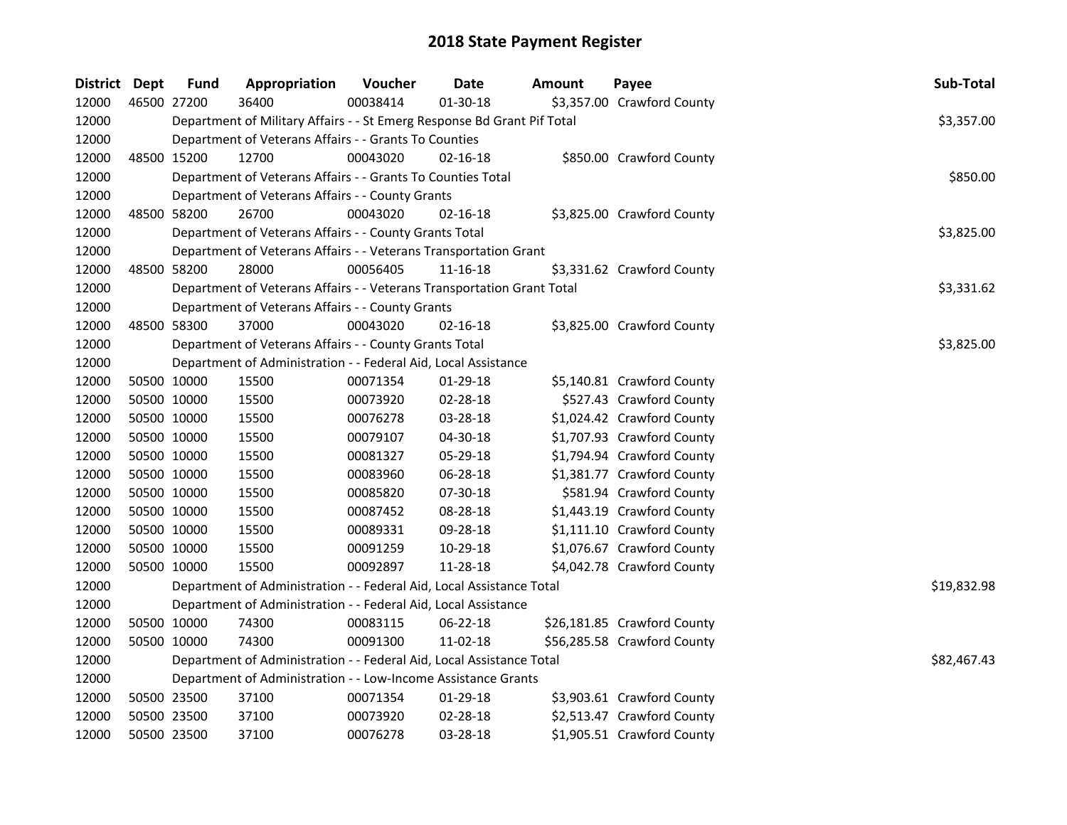| <b>District Dept</b> |             | <b>Fund</b> | Appropriation                                                           | Voucher  | <b>Date</b>    | Amount | Payee                       | Sub-Total   |
|----------------------|-------------|-------------|-------------------------------------------------------------------------|----------|----------------|--------|-----------------------------|-------------|
| 12000                | 46500 27200 |             | 36400                                                                   | 00038414 | $01-30-18$     |        | \$3,357.00 Crawford County  |             |
| 12000                |             |             | Department of Military Affairs - - St Emerg Response Bd Grant Pif Total |          |                |        |                             | \$3,357.00  |
| 12000                |             |             | Department of Veterans Affairs - - Grants To Counties                   |          |                |        |                             |             |
| 12000                | 48500 15200 |             | 12700                                                                   | 00043020 | $02 - 16 - 18$ |        | \$850.00 Crawford County    |             |
| 12000                |             |             | Department of Veterans Affairs - - Grants To Counties Total             |          |                |        |                             | \$850.00    |
| 12000                |             |             | Department of Veterans Affairs - - County Grants                        |          |                |        |                             |             |
| 12000                |             | 48500 58200 | 26700                                                                   | 00043020 | $02 - 16 - 18$ |        | \$3,825.00 Crawford County  |             |
| 12000                |             |             | Department of Veterans Affairs - - County Grants Total                  |          |                |        |                             | \$3,825.00  |
| 12000                |             |             | Department of Veterans Affairs - - Veterans Transportation Grant        |          |                |        |                             |             |
| 12000                |             | 48500 58200 | 28000                                                                   | 00056405 | 11-16-18       |        | \$3,331.62 Crawford County  |             |
| 12000                |             |             | Department of Veterans Affairs - - Veterans Transportation Grant Total  |          |                |        |                             | \$3,331.62  |
| 12000                |             |             | Department of Veterans Affairs - - County Grants                        |          |                |        |                             |             |
| 12000                |             | 48500 58300 | 37000                                                                   | 00043020 | 02-16-18       |        | \$3,825.00 Crawford County  |             |
| 12000                |             |             | Department of Veterans Affairs - - County Grants Total                  |          |                |        |                             | \$3,825.00  |
| 12000                |             |             | Department of Administration - - Federal Aid, Local Assistance          |          |                |        |                             |             |
| 12000                | 50500 10000 |             | 15500                                                                   | 00071354 | 01-29-18       |        | \$5,140.81 Crawford County  |             |
| 12000                | 50500 10000 |             | 15500                                                                   | 00073920 | 02-28-18       |        | \$527.43 Crawford County    |             |
| 12000                |             | 50500 10000 | 15500                                                                   | 00076278 | 03-28-18       |        | \$1,024.42 Crawford County  |             |
| 12000                |             | 50500 10000 | 15500                                                                   | 00079107 | 04-30-18       |        | \$1,707.93 Crawford County  |             |
| 12000                |             | 50500 10000 | 15500                                                                   | 00081327 | 05-29-18       |        | \$1,794.94 Crawford County  |             |
| 12000                |             | 50500 10000 | 15500                                                                   | 00083960 | 06-28-18       |        | \$1,381.77 Crawford County  |             |
| 12000                |             | 50500 10000 | 15500                                                                   | 00085820 | 07-30-18       |        | \$581.94 Crawford County    |             |
| 12000                |             | 50500 10000 | 15500                                                                   | 00087452 | 08-28-18       |        | \$1,443.19 Crawford County  |             |
| 12000                |             | 50500 10000 | 15500                                                                   | 00089331 | 09-28-18       |        | \$1,111.10 Crawford County  |             |
| 12000                | 50500 10000 |             | 15500                                                                   | 00091259 | 10-29-18       |        | \$1,076.67 Crawford County  |             |
| 12000                | 50500 10000 |             | 15500                                                                   | 00092897 | 11-28-18       |        | \$4,042.78 Crawford County  |             |
| 12000                |             |             | Department of Administration - - Federal Aid, Local Assistance Total    |          |                |        |                             | \$19,832.98 |
| 12000                |             |             | Department of Administration - - Federal Aid, Local Assistance          |          |                |        |                             |             |
| 12000                |             | 50500 10000 | 74300                                                                   | 00083115 | 06-22-18       |        | \$26,181.85 Crawford County |             |
| 12000                | 50500 10000 |             | 74300                                                                   | 00091300 | 11-02-18       |        | \$56,285.58 Crawford County |             |
| 12000                |             |             | Department of Administration - - Federal Aid, Local Assistance Total    |          |                |        |                             | \$82,467.43 |
| 12000                |             |             | Department of Administration - - Low-Income Assistance Grants           |          |                |        |                             |             |
| 12000                |             | 50500 23500 | 37100                                                                   | 00071354 | 01-29-18       |        | \$3,903.61 Crawford County  |             |
| 12000                |             | 50500 23500 | 37100                                                                   | 00073920 | 02-28-18       |        | \$2,513.47 Crawford County  |             |
| 12000                | 50500 23500 |             | 37100                                                                   | 00076278 | 03-28-18       |        | \$1,905.51 Crawford County  |             |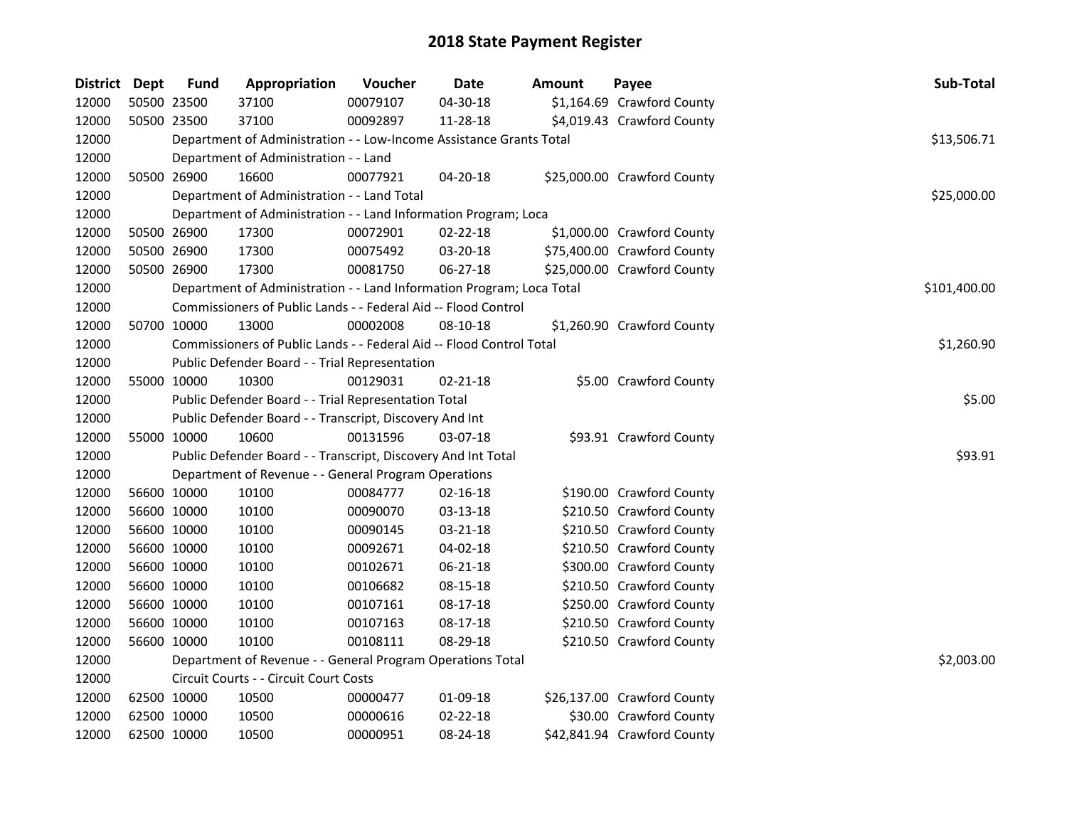| District Dept | <b>Fund</b> | Appropriation                                                         | Voucher  | <b>Date</b>    | Amount | Payee                       | Sub-Total    |
|---------------|-------------|-----------------------------------------------------------------------|----------|----------------|--------|-----------------------------|--------------|
| 12000         | 50500 23500 | 37100                                                                 | 00079107 | 04-30-18       |        | \$1,164.69 Crawford County  |              |
| 12000         | 50500 23500 | 37100                                                                 | 00092897 | 11-28-18       |        | \$4,019.43 Crawford County  |              |
| 12000         |             | Department of Administration - - Low-Income Assistance Grants Total   |          |                |        |                             | \$13,506.71  |
| 12000         |             | Department of Administration - - Land                                 |          |                |        |                             |              |
| 12000         | 50500 26900 | 16600                                                                 | 00077921 | 04-20-18       |        | \$25,000.00 Crawford County |              |
| 12000         |             | Department of Administration - - Land Total                           |          |                |        |                             | \$25,000.00  |
| 12000         |             | Department of Administration - - Land Information Program; Loca       |          |                |        |                             |              |
| 12000         | 50500 26900 | 17300                                                                 | 00072901 | 02-22-18       |        | \$1,000.00 Crawford County  |              |
| 12000         | 50500 26900 | 17300                                                                 | 00075492 | 03-20-18       |        | \$75,400.00 Crawford County |              |
| 12000         | 50500 26900 | 17300                                                                 | 00081750 | 06-27-18       |        | \$25,000.00 Crawford County |              |
| 12000         |             | Department of Administration - - Land Information Program; Loca Total |          |                |        |                             | \$101,400.00 |
| 12000         |             | Commissioners of Public Lands - - Federal Aid -- Flood Control        |          |                |        |                             |              |
| 12000         | 50700 10000 | 13000                                                                 | 00002008 | 08-10-18       |        | \$1,260.90 Crawford County  |              |
| 12000         |             | Commissioners of Public Lands - - Federal Aid -- Flood Control Total  |          |                |        |                             | \$1,260.90   |
| 12000         |             | Public Defender Board - - Trial Representation                        |          |                |        |                             |              |
| 12000         | 55000 10000 | 10300                                                                 | 00129031 | $02 - 21 - 18$ |        | \$5.00 Crawford County      |              |
| 12000         |             | Public Defender Board - - Trial Representation Total                  |          |                |        |                             | \$5.00       |
| 12000         |             | Public Defender Board - - Transcript, Discovery And Int               |          |                |        |                             |              |
| 12000         | 55000 10000 | 10600                                                                 | 00131596 | 03-07-18       |        | \$93.91 Crawford County     |              |
| 12000         |             | Public Defender Board - - Transcript, Discovery And Int Total         |          |                |        |                             | \$93.91      |
| 12000         |             | Department of Revenue - - General Program Operations                  |          |                |        |                             |              |
| 12000         | 56600 10000 | 10100                                                                 | 00084777 | $02 - 16 - 18$ |        | \$190.00 Crawford County    |              |
| 12000         | 56600 10000 | 10100                                                                 | 00090070 | 03-13-18       |        | \$210.50 Crawford County    |              |
| 12000         | 56600 10000 | 10100                                                                 | 00090145 | 03-21-18       |        | \$210.50 Crawford County    |              |
| 12000         | 56600 10000 | 10100                                                                 | 00092671 | 04-02-18       |        | \$210.50 Crawford County    |              |
| 12000         | 56600 10000 | 10100                                                                 | 00102671 | 06-21-18       |        | \$300.00 Crawford County    |              |
| 12000         | 56600 10000 | 10100                                                                 | 00106682 | 08-15-18       |        | \$210.50 Crawford County    |              |
| 12000         | 56600 10000 | 10100                                                                 | 00107161 | 08-17-18       |        | \$250.00 Crawford County    |              |
| 12000         | 56600 10000 | 10100                                                                 | 00107163 | 08-17-18       |        | \$210.50 Crawford County    |              |
| 12000         | 56600 10000 | 10100                                                                 | 00108111 | 08-29-18       |        | \$210.50 Crawford County    |              |
| 12000         |             | Department of Revenue - - General Program Operations Total            |          |                |        |                             | \$2,003.00   |
| 12000         |             | Circuit Courts - - Circuit Court Costs                                |          |                |        |                             |              |
| 12000         | 62500 10000 | 10500                                                                 | 00000477 | 01-09-18       |        | \$26,137.00 Crawford County |              |
| 12000         | 62500 10000 | 10500                                                                 | 00000616 | $02 - 22 - 18$ |        | \$30.00 Crawford County     |              |
| 12000         | 62500 10000 | 10500                                                                 | 00000951 | 08-24-18       |        | \$42,841.94 Crawford County |              |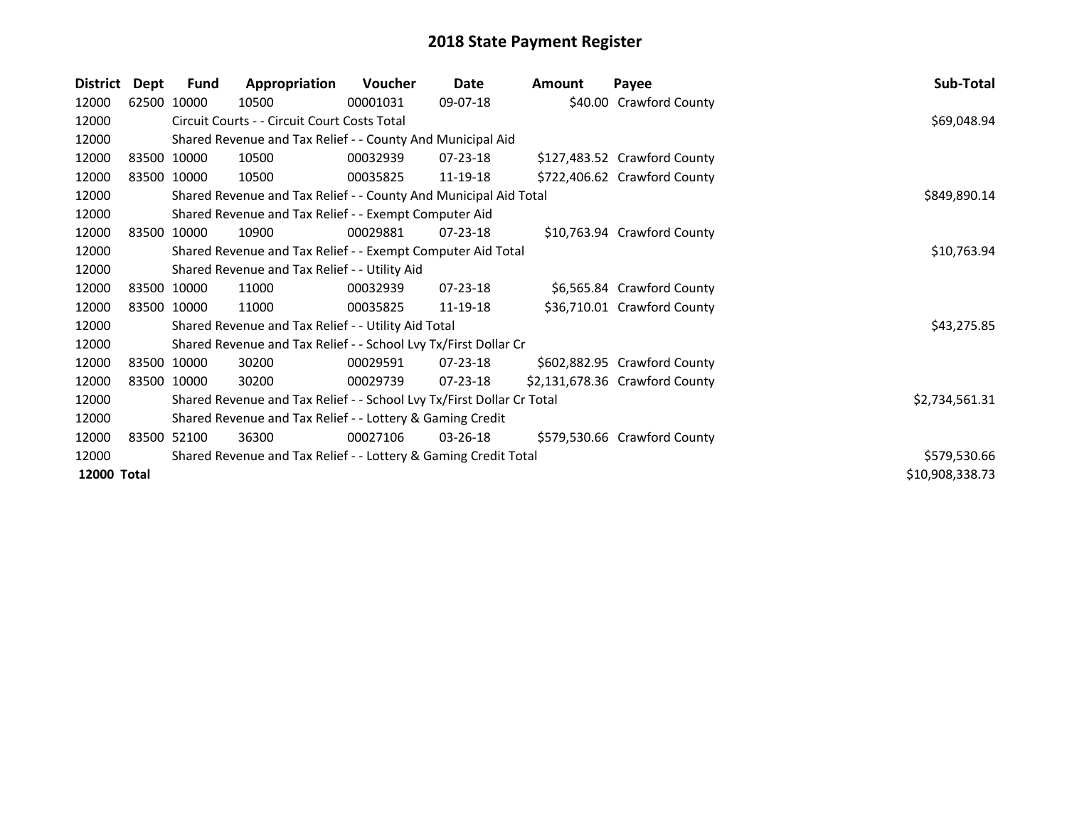| <b>District</b> | Dept | Fund        | Appropriation                                                         | Voucher  | Date           | <b>Amount</b> | Payee                          | Sub-Total       |
|-----------------|------|-------------|-----------------------------------------------------------------------|----------|----------------|---------------|--------------------------------|-----------------|
| 12000           |      | 62500 10000 | 10500                                                                 | 00001031 | 09-07-18       |               | \$40.00 Crawford County        |                 |
| 12000           |      |             | Circuit Courts - - Circuit Court Costs Total                          |          |                |               |                                | \$69,048.94     |
| 12000           |      |             | Shared Revenue and Tax Relief - - County And Municipal Aid            |          |                |               |                                |                 |
| 12000           |      | 83500 10000 | 10500                                                                 | 00032939 | 07-23-18       |               | \$127,483.52 Crawford County   |                 |
| 12000           |      | 83500 10000 | 10500                                                                 | 00035825 | 11-19-18       |               | \$722,406.62 Crawford County   |                 |
| 12000           |      |             | Shared Revenue and Tax Relief - - County And Municipal Aid Total      |          |                |               |                                | \$849,890.14    |
| 12000           |      |             | Shared Revenue and Tax Relief - - Exempt Computer Aid                 |          |                |               |                                |                 |
| 12000           |      | 83500 10000 | 10900                                                                 | 00029881 | $07 - 23 - 18$ |               | \$10,763.94 Crawford County    |                 |
| 12000           |      |             | Shared Revenue and Tax Relief - - Exempt Computer Aid Total           |          |                |               |                                | \$10,763.94     |
| 12000           |      |             | Shared Revenue and Tax Relief - - Utility Aid                         |          |                |               |                                |                 |
| 12000           |      | 83500 10000 | 11000                                                                 | 00032939 | 07-23-18       |               | \$6,565.84 Crawford County     |                 |
| 12000           |      | 83500 10000 | 11000                                                                 | 00035825 | 11-19-18       |               | \$36,710.01 Crawford County    |                 |
| 12000           |      |             | Shared Revenue and Tax Relief - - Utility Aid Total                   |          |                |               |                                | \$43,275.85     |
| 12000           |      |             | Shared Revenue and Tax Relief - - School Lvy Tx/First Dollar Cr       |          |                |               |                                |                 |
| 12000           |      | 83500 10000 | 30200                                                                 | 00029591 | $07 - 23 - 18$ |               | \$602,882.95 Crawford County   |                 |
| 12000           |      | 83500 10000 | 30200                                                                 | 00029739 | $07 - 23 - 18$ |               | \$2,131,678.36 Crawford County |                 |
| 12000           |      |             | Shared Revenue and Tax Relief - - School Lvy Tx/First Dollar Cr Total |          |                |               |                                | \$2,734,561.31  |
| 12000           |      |             | Shared Revenue and Tax Relief - - Lottery & Gaming Credit             |          |                |               |                                |                 |
| 12000           |      | 83500 52100 | 36300                                                                 | 00027106 | 03-26-18       |               | \$579,530.66 Crawford County   |                 |
| 12000           |      |             | Shared Revenue and Tax Relief - - Lottery & Gaming Credit Total       |          |                |               |                                | \$579,530.66    |
| 12000 Total     |      |             |                                                                       |          |                |               |                                | \$10,908,338.73 |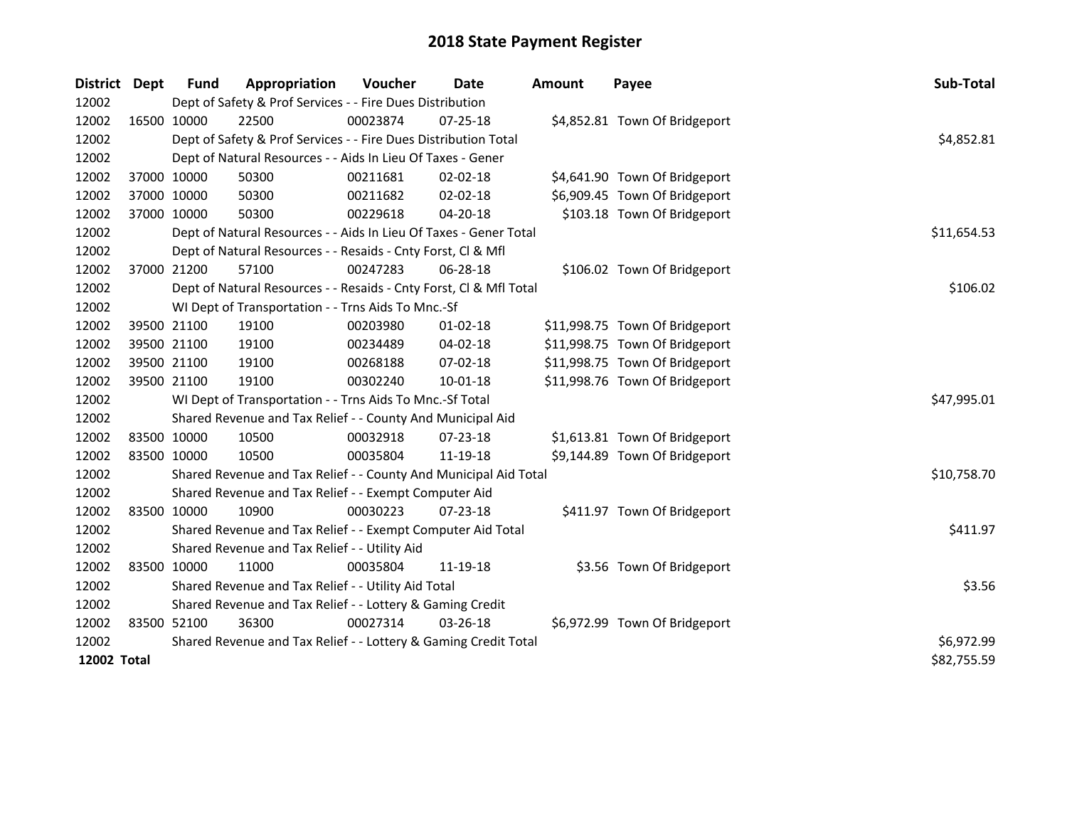| <b>District</b> | Dept        | <b>Fund</b>                                                     | Appropriation                                                      | Voucher  | <b>Date</b>    | <b>Amount</b> | Payee                          | Sub-Total   |
|-----------------|-------------|-----------------------------------------------------------------|--------------------------------------------------------------------|----------|----------------|---------------|--------------------------------|-------------|
| 12002           |             |                                                                 | Dept of Safety & Prof Services - - Fire Dues Distribution          |          |                |               |                                |             |
| 12002           | 16500 10000 |                                                                 | 22500                                                              | 00023874 | $07 - 25 - 18$ |               | \$4,852.81 Town Of Bridgeport  |             |
| 12002           |             |                                                                 | Dept of Safety & Prof Services - - Fire Dues Distribution Total    |          |                |               |                                | \$4,852.81  |
| 12002           |             |                                                                 | Dept of Natural Resources - - Aids In Lieu Of Taxes - Gener        |          |                |               |                                |             |
| 12002           |             | 37000 10000                                                     | 50300                                                              | 00211681 | 02-02-18       |               | \$4,641.90 Town Of Bridgeport  |             |
| 12002           | 37000 10000 |                                                                 | 50300                                                              | 00211682 | 02-02-18       |               | \$6,909.45 Town Of Bridgeport  |             |
| 12002           | 37000 10000 |                                                                 | 50300                                                              | 00229618 | 04-20-18       |               | \$103.18 Town Of Bridgeport    |             |
| 12002           |             |                                                                 | Dept of Natural Resources - - Aids In Lieu Of Taxes - Gener Total  |          |                |               |                                | \$11,654.53 |
| 12002           |             |                                                                 | Dept of Natural Resources - - Resaids - Cnty Forst, Cl & Mfl       |          |                |               |                                |             |
| 12002           |             | 37000 21200                                                     | 57100                                                              | 00247283 | 06-28-18       |               | \$106.02 Town Of Bridgeport    |             |
| 12002           |             |                                                                 | Dept of Natural Resources - - Resaids - Cnty Forst, Cl & Mfl Total |          |                |               |                                | \$106.02    |
| 12002           |             |                                                                 | WI Dept of Transportation - - Trns Aids To Mnc.-Sf                 |          |                |               |                                |             |
| 12002           |             | 39500 21100                                                     | 19100                                                              | 00203980 | $01 - 02 - 18$ |               | \$11,998.75 Town Of Bridgeport |             |
| 12002           |             | 39500 21100                                                     | 19100                                                              | 00234489 | 04-02-18       |               | \$11,998.75 Town Of Bridgeport |             |
| 12002           |             | 39500 21100                                                     | 19100                                                              | 00268188 | 07-02-18       |               | \$11,998.75 Town Of Bridgeport |             |
| 12002           | 39500 21100 |                                                                 | 19100                                                              | 00302240 | 10-01-18       |               | \$11,998.76 Town Of Bridgeport |             |
| 12002           |             |                                                                 | WI Dept of Transportation - - Trns Aids To Mnc.-Sf Total           |          |                |               |                                | \$47,995.01 |
| 12002           |             |                                                                 | Shared Revenue and Tax Relief - - County And Municipal Aid         |          |                |               |                                |             |
| 12002           | 83500 10000 |                                                                 | 10500                                                              | 00032918 | $07 - 23 - 18$ |               | \$1,613.81 Town Of Bridgeport  |             |
| 12002           | 83500 10000 |                                                                 | 10500                                                              | 00035804 | 11-19-18       |               | \$9,144.89 Town Of Bridgeport  |             |
| 12002           |             |                                                                 | Shared Revenue and Tax Relief - - County And Municipal Aid Total   |          |                |               |                                | \$10,758.70 |
| 12002           |             |                                                                 | Shared Revenue and Tax Relief - - Exempt Computer Aid              |          |                |               |                                |             |
| 12002           | 83500 10000 |                                                                 | 10900                                                              | 00030223 | $07 - 23 - 18$ |               | \$411.97 Town Of Bridgeport    |             |
| 12002           |             |                                                                 | Shared Revenue and Tax Relief - - Exempt Computer Aid Total        |          |                |               |                                | \$411.97    |
| 12002           |             |                                                                 | Shared Revenue and Tax Relief - - Utility Aid                      |          |                |               |                                |             |
| 12002           | 83500 10000 |                                                                 | 11000                                                              | 00035804 | 11-19-18       |               | \$3.56 Town Of Bridgeport      |             |
| 12002           |             |                                                                 | Shared Revenue and Tax Relief - - Utility Aid Total                | \$3.56   |                |               |                                |             |
| 12002           |             |                                                                 | Shared Revenue and Tax Relief - - Lottery & Gaming Credit          |          |                |               |                                |             |
| 12002           | 83500 52100 |                                                                 | 36300                                                              | 00027314 | $03 - 26 - 18$ |               | \$6,972.99 Town Of Bridgeport  |             |
| 12002           |             | Shared Revenue and Tax Relief - - Lottery & Gaming Credit Total | \$6,972.99                                                         |          |                |               |                                |             |
| 12002 Total     |             |                                                                 |                                                                    |          |                |               |                                | \$82,755.59 |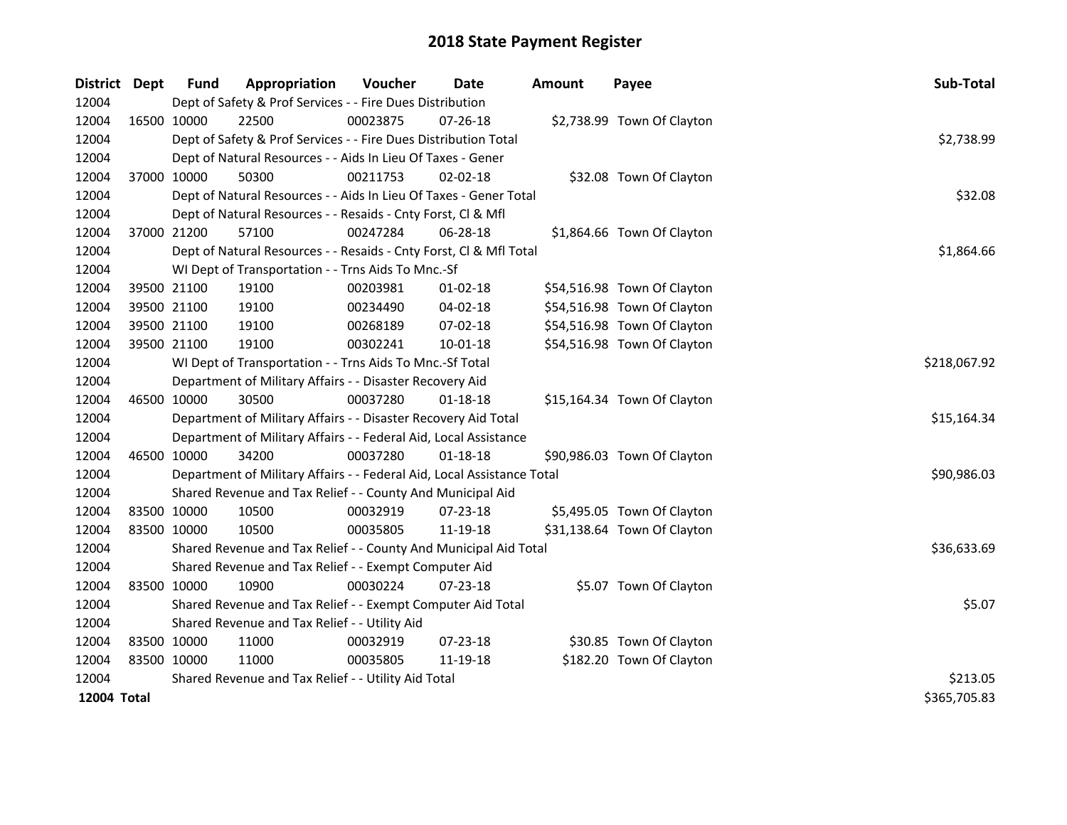| <b>District</b> | Dept        | <b>Fund</b>                                   | Appropriation                                                          | Voucher      | <b>Date</b>    | <b>Amount</b> | Payee                       | Sub-Total    |  |  |
|-----------------|-------------|-----------------------------------------------|------------------------------------------------------------------------|--------------|----------------|---------------|-----------------------------|--------------|--|--|
| 12004           |             |                                               | Dept of Safety & Prof Services - - Fire Dues Distribution              |              |                |               |                             |              |  |  |
| 12004           |             | 16500 10000                                   | 22500                                                                  | 00023875     | $07 - 26 - 18$ |               | \$2,738.99 Town Of Clayton  |              |  |  |
| 12004           |             |                                               | Dept of Safety & Prof Services - - Fire Dues Distribution Total        |              |                |               |                             | \$2,738.99   |  |  |
| 12004           |             |                                               | Dept of Natural Resources - - Aids In Lieu Of Taxes - Gener            |              |                |               |                             |              |  |  |
| 12004           |             | 37000 10000                                   | 50300                                                                  | 00211753     | $02 - 02 - 18$ |               | \$32.08 Town Of Clayton     |              |  |  |
| 12004           |             |                                               | Dept of Natural Resources - - Aids In Lieu Of Taxes - Gener Total      |              |                |               |                             | \$32.08      |  |  |
| 12004           |             |                                               | Dept of Natural Resources - - Resaids - Cnty Forst, Cl & Mfl           |              |                |               |                             |              |  |  |
| 12004           |             | 37000 21200                                   | 57100                                                                  | 00247284     | 06-28-18       |               | \$1,864.66 Town Of Clayton  |              |  |  |
| 12004           |             |                                               | Dept of Natural Resources - - Resaids - Cnty Forst, Cl & Mfl Total     |              |                |               |                             | \$1,864.66   |  |  |
| 12004           |             |                                               | WI Dept of Transportation - - Trns Aids To Mnc.-Sf                     |              |                |               |                             |              |  |  |
| 12004           |             | 39500 21100                                   | 19100                                                                  | 00203981     | 01-02-18       |               | \$54,516.98 Town Of Clayton |              |  |  |
| 12004           |             | 39500 21100                                   | 19100                                                                  | 00234490     | 04-02-18       |               | \$54,516.98 Town Of Clayton |              |  |  |
| 12004           |             | 39500 21100                                   | 19100                                                                  | 00268189     | 07-02-18       |               | \$54,516.98 Town Of Clayton |              |  |  |
| 12004           |             | 39500 21100                                   | 19100                                                                  | 00302241     | 10-01-18       |               | \$54,516.98 Town Of Clayton |              |  |  |
| 12004           |             |                                               | WI Dept of Transportation - - Trns Aids To Mnc.-Sf Total               | \$218,067.92 |                |               |                             |              |  |  |
| 12004           |             |                                               | Department of Military Affairs - - Disaster Recovery Aid               |              |                |               |                             |              |  |  |
| 12004           |             | 46500 10000                                   | 30500                                                                  | 00037280     | $01 - 18 - 18$ |               | \$15,164.34 Town Of Clayton |              |  |  |
| 12004           |             |                                               | Department of Military Affairs - - Disaster Recovery Aid Total         |              |                |               |                             | \$15,164.34  |  |  |
| 12004           |             |                                               | Department of Military Affairs - - Federal Aid, Local Assistance       |              |                |               |                             |              |  |  |
| 12004           |             | 46500 10000                                   | 34200                                                                  | 00037280     | $01 - 18 - 18$ |               | \$90,986.03 Town Of Clayton |              |  |  |
| 12004           |             |                                               | Department of Military Affairs - - Federal Aid, Local Assistance Total |              |                |               |                             | \$90,986.03  |  |  |
| 12004           |             |                                               | Shared Revenue and Tax Relief - - County And Municipal Aid             |              |                |               |                             |              |  |  |
| 12004           |             | 83500 10000                                   | 10500                                                                  | 00032919     | 07-23-18       |               | \$5,495.05 Town Of Clayton  |              |  |  |
| 12004           |             | 83500 10000                                   | 10500                                                                  | 00035805     | 11-19-18       |               | \$31,138.64 Town Of Clayton |              |  |  |
| 12004           |             |                                               | Shared Revenue and Tax Relief - - County And Municipal Aid Total       |              |                |               |                             | \$36,633.69  |  |  |
| 12004           |             |                                               | Shared Revenue and Tax Relief - - Exempt Computer Aid                  |              |                |               |                             |              |  |  |
| 12004           |             | 83500 10000                                   | 10900                                                                  | 00030224     | 07-23-18       |               | \$5.07 Town Of Clayton      |              |  |  |
| 12004           |             |                                               | Shared Revenue and Tax Relief - - Exempt Computer Aid Total            |              |                |               |                             | \$5.07       |  |  |
| 12004           |             | Shared Revenue and Tax Relief - - Utility Aid |                                                                        |              |                |               |                             |              |  |  |
| 12004           |             | 83500 10000                                   | 11000                                                                  | 00032919     | $07 - 23 - 18$ |               | \$30.85 Town Of Clayton     |              |  |  |
| 12004           | 83500 10000 |                                               | 11000                                                                  | 00035805     | 11-19-18       |               | \$182.20 Town Of Clayton    |              |  |  |
| 12004           |             |                                               | Shared Revenue and Tax Relief - - Utility Aid Total                    | \$213.05     |                |               |                             |              |  |  |
| 12004 Total     |             |                                               |                                                                        |              |                |               |                             | \$365,705.83 |  |  |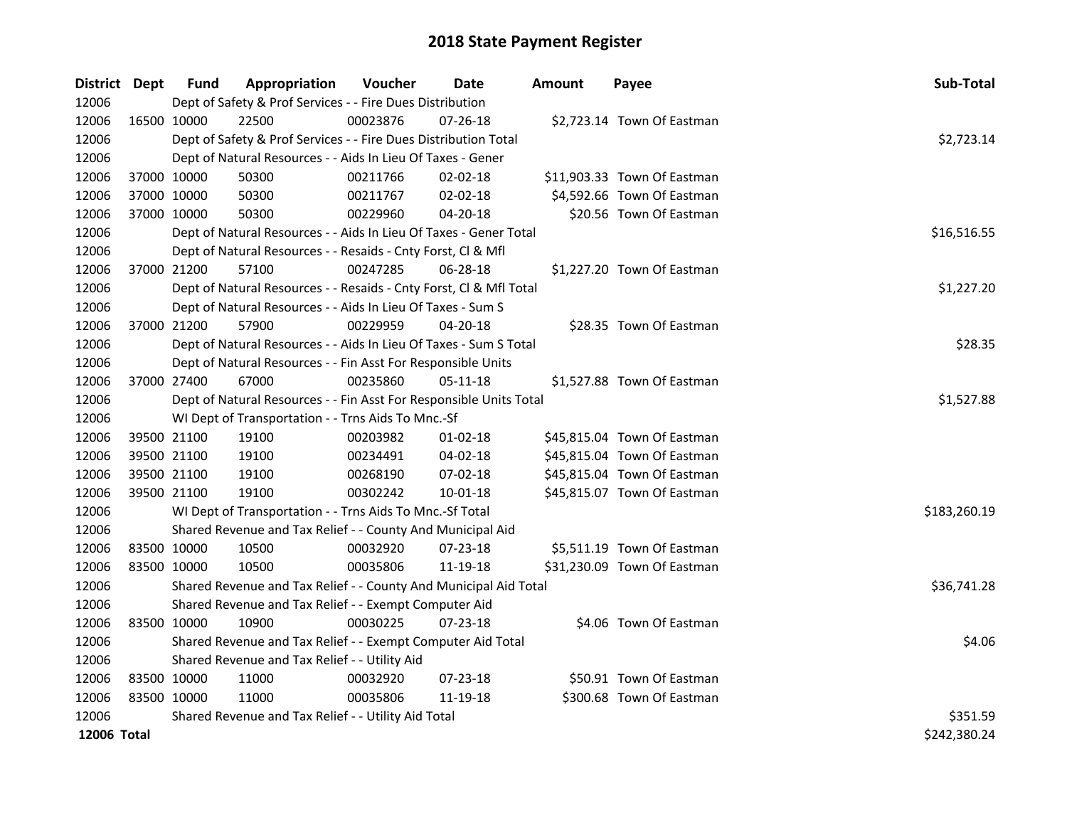| District Dept |             | <b>Fund</b> | Appropriation                                                      | Voucher    | Date           | <b>Amount</b> | Payee                       | Sub-Total    |
|---------------|-------------|-------------|--------------------------------------------------------------------|------------|----------------|---------------|-----------------------------|--------------|
| 12006         |             |             | Dept of Safety & Prof Services - - Fire Dues Distribution          |            |                |               |                             |              |
| 12006         |             | 16500 10000 | 22500                                                              | 00023876   | 07-26-18       |               | \$2,723.14 Town Of Eastman  |              |
| 12006         |             |             | Dept of Safety & Prof Services - - Fire Dues Distribution Total    |            |                |               |                             | \$2,723.14   |
| 12006         |             |             | Dept of Natural Resources - - Aids In Lieu Of Taxes - Gener        |            |                |               |                             |              |
| 12006         | 37000 10000 |             | 50300                                                              | 00211766   | 02-02-18       |               | \$11,903.33 Town Of Eastman |              |
| 12006         | 37000 10000 |             | 50300                                                              | 00211767   | 02-02-18       |               | \$4,592.66 Town Of Eastman  |              |
| 12006         | 37000 10000 |             | 50300                                                              | 00229960   | 04-20-18       |               | \$20.56 Town Of Eastman     |              |
| 12006         |             |             | Dept of Natural Resources - - Aids In Lieu Of Taxes - Gener Total  |            |                |               |                             | \$16,516.55  |
| 12006         |             |             | Dept of Natural Resources - - Resaids - Cnty Forst, Cl & Mfl       |            |                |               |                             |              |
| 12006         |             | 37000 21200 | 57100                                                              | 00247285   | 06-28-18       |               | \$1,227.20 Town Of Eastman  |              |
| 12006         |             |             | Dept of Natural Resources - - Resaids - Cnty Forst, Cl & Mfl Total |            |                |               |                             | \$1,227.20   |
| 12006         |             |             | Dept of Natural Resources - - Aids In Lieu Of Taxes - Sum S        |            |                |               |                             |              |
| 12006         | 37000 21200 |             | 57900                                                              | 00229959   | 04-20-18       |               | \$28.35 Town Of Eastman     |              |
| 12006         |             |             | Dept of Natural Resources - - Aids In Lieu Of Taxes - Sum S Total  |            |                |               |                             | \$28.35      |
| 12006         |             |             | Dept of Natural Resources - - Fin Asst For Responsible Units       |            |                |               |                             |              |
| 12006         |             | 37000 27400 | 67000                                                              | 00235860   | $05-11-18$     |               | \$1,527.88 Town Of Eastman  |              |
| 12006         |             |             | Dept of Natural Resources - - Fin Asst For Responsible Units Total | \$1,527.88 |                |               |                             |              |
| 12006         |             |             | WI Dept of Transportation - - Trns Aids To Mnc.-Sf                 |            |                |               |                             |              |
| 12006         | 39500 21100 |             | 19100                                                              | 00203982   | $01 - 02 - 18$ |               | \$45,815.04 Town Of Eastman |              |
| 12006         | 39500 21100 |             | 19100                                                              | 00234491   | 04-02-18       |               | \$45,815.04 Town Of Eastman |              |
| 12006         | 39500 21100 |             | 19100                                                              | 00268190   | 07-02-18       |               | \$45,815.04 Town Of Eastman |              |
| 12006         | 39500 21100 |             | 19100                                                              | 00302242   | 10-01-18       |               | \$45,815.07 Town Of Eastman |              |
| 12006         |             |             | WI Dept of Transportation - - Trns Aids To Mnc.-Sf Total           |            |                |               |                             | \$183,260.19 |
| 12006         |             |             | Shared Revenue and Tax Relief - - County And Municipal Aid         |            |                |               |                             |              |
| 12006         | 83500 10000 |             | 10500                                                              | 00032920   | 07-23-18       |               | \$5,511.19 Town Of Eastman  |              |
| 12006         | 83500 10000 |             | 10500                                                              | 00035806   | 11-19-18       |               | \$31,230.09 Town Of Eastman |              |
| 12006         |             |             | Shared Revenue and Tax Relief - - County And Municipal Aid Total   |            |                |               |                             | \$36,741.28  |
| 12006         |             |             | Shared Revenue and Tax Relief - - Exempt Computer Aid              |            |                |               |                             |              |
| 12006         | 83500 10000 |             | 10900                                                              | 00030225   | 07-23-18       |               | \$4.06 Town Of Eastman      |              |
| 12006         |             |             | Shared Revenue and Tax Relief - - Exempt Computer Aid Total        | \$4.06     |                |               |                             |              |
| 12006         |             |             | Shared Revenue and Tax Relief - - Utility Aid                      |            |                |               |                             |              |
| 12006         |             | 83500 10000 | 11000                                                              | 00032920   | $07 - 23 - 18$ |               | \$50.91 Town Of Eastman     |              |
| 12006         | 83500 10000 |             | 11000                                                              | 00035806   | 11-19-18       |               | \$300.68 Town Of Eastman    |              |
| 12006         |             |             | Shared Revenue and Tax Relief - - Utility Aid Total                |            |                |               |                             | \$351.59     |
| 12006 Total   |             |             |                                                                    |            |                |               |                             | \$242,380.24 |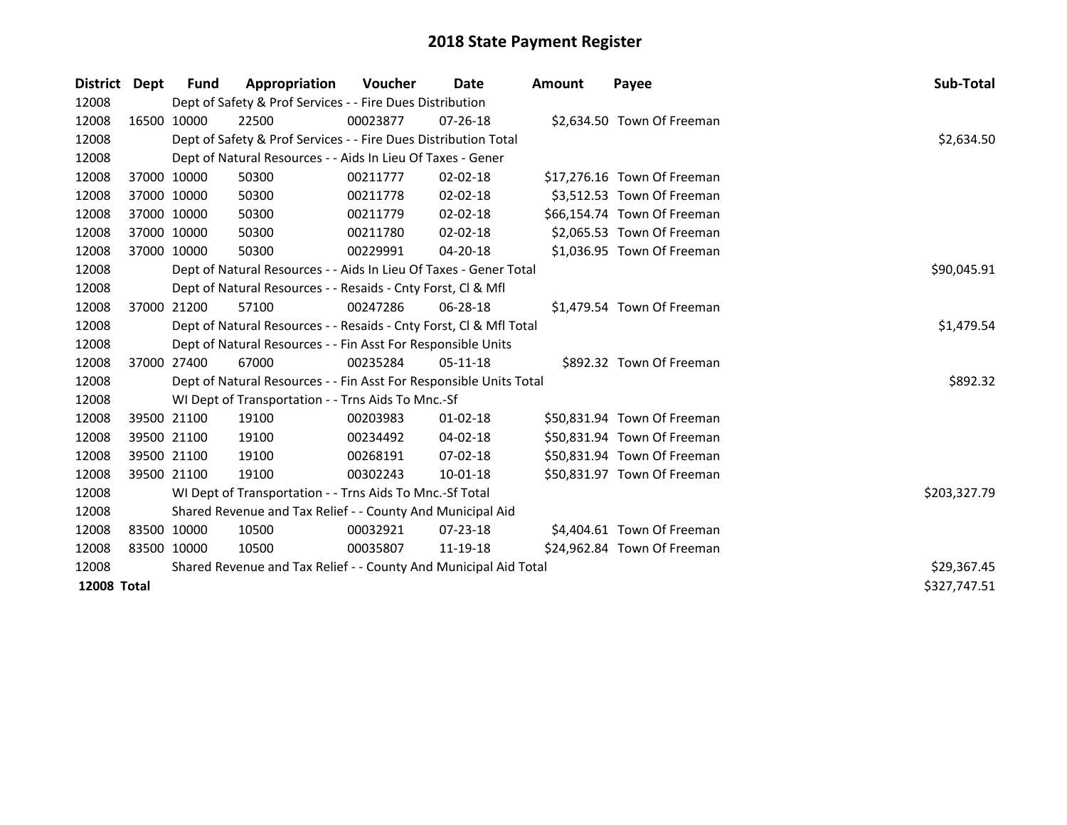| District Dept      | <b>Fund</b> | Appropriation                                                      | <b>Voucher</b> | Date           | <b>Amount</b> | Payee                       | Sub-Total    |
|--------------------|-------------|--------------------------------------------------------------------|----------------|----------------|---------------|-----------------------------|--------------|
| 12008              |             | Dept of Safety & Prof Services - - Fire Dues Distribution          |                |                |               |                             |              |
| 12008              | 16500 10000 | 22500                                                              | 00023877       | $07 - 26 - 18$ |               | \$2,634.50 Town Of Freeman  |              |
| 12008              |             | Dept of Safety & Prof Services - - Fire Dues Distribution Total    |                |                |               |                             | \$2,634.50   |
| 12008              |             | Dept of Natural Resources - - Aids In Lieu Of Taxes - Gener        |                |                |               |                             |              |
| 12008              | 37000 10000 | 50300                                                              | 00211777       | $02 - 02 - 18$ |               | \$17,276.16 Town Of Freeman |              |
| 12008              | 37000 10000 | 50300                                                              | 00211778       | 02-02-18       |               | \$3,512.53 Town Of Freeman  |              |
| 12008              | 37000 10000 | 50300                                                              | 00211779       | $02 - 02 - 18$ |               | \$66,154.74 Town Of Freeman |              |
| 12008              | 37000 10000 | 50300                                                              | 00211780       | $02 - 02 - 18$ |               | \$2,065.53 Town Of Freeman  |              |
| 12008              | 37000 10000 | 50300                                                              | 00229991       | 04-20-18       |               | \$1,036.95 Town Of Freeman  |              |
| 12008              |             | Dept of Natural Resources - - Aids In Lieu Of Taxes - Gener Total  |                | \$90,045.91    |               |                             |              |
| 12008              |             | Dept of Natural Resources - - Resaids - Cnty Forst, CI & Mfl       |                |                |               |                             |              |
| 12008              | 37000 21200 | 57100                                                              | 00247286       | $06 - 28 - 18$ |               | \$1,479.54 Town Of Freeman  |              |
| 12008              |             | Dept of Natural Resources - - Resaids - Cnty Forst, CI & Mfl Total |                |                |               |                             | \$1,479.54   |
| 12008              |             | Dept of Natural Resources - - Fin Asst For Responsible Units       |                |                |               |                             |              |
| 12008              | 37000 27400 | 67000                                                              | 00235284       | $05-11-18$     |               | \$892.32 Town Of Freeman    |              |
| 12008              |             | Dept of Natural Resources - - Fin Asst For Responsible Units Total |                |                |               |                             | \$892.32     |
| 12008              |             | WI Dept of Transportation - - Trns Aids To Mnc.-Sf                 |                |                |               |                             |              |
| 12008              | 39500 21100 | 19100                                                              | 00203983       | $01 - 02 - 18$ |               | \$50,831.94 Town Of Freeman |              |
| 12008              | 39500 21100 | 19100                                                              | 00234492       | 04-02-18       |               | \$50,831.94 Town Of Freeman |              |
| 12008              | 39500 21100 | 19100                                                              | 00268191       | 07-02-18       |               | \$50,831.94 Town Of Freeman |              |
| 12008              | 39500 21100 | 19100                                                              | 00302243       | $10 - 01 - 18$ |               | \$50,831.97 Town Of Freeman |              |
| 12008              |             | WI Dept of Transportation - - Trns Aids To Mnc.-Sf Total           |                |                |               |                             | \$203,327.79 |
| 12008              |             | Shared Revenue and Tax Relief - - County And Municipal Aid         |                |                |               |                             |              |
| 12008              | 83500 10000 | 10500                                                              | 00032921       | $07 - 23 - 18$ |               | \$4,404.61 Town Of Freeman  |              |
| 12008              | 83500 10000 | 10500                                                              | 00035807       | 11-19-18       |               | \$24,962.84 Town Of Freeman |              |
| 12008              |             | Shared Revenue and Tax Relief - - County And Municipal Aid Total   |                |                |               |                             | \$29,367.45  |
| <b>12008 Total</b> |             |                                                                    |                |                |               |                             | \$327,747.51 |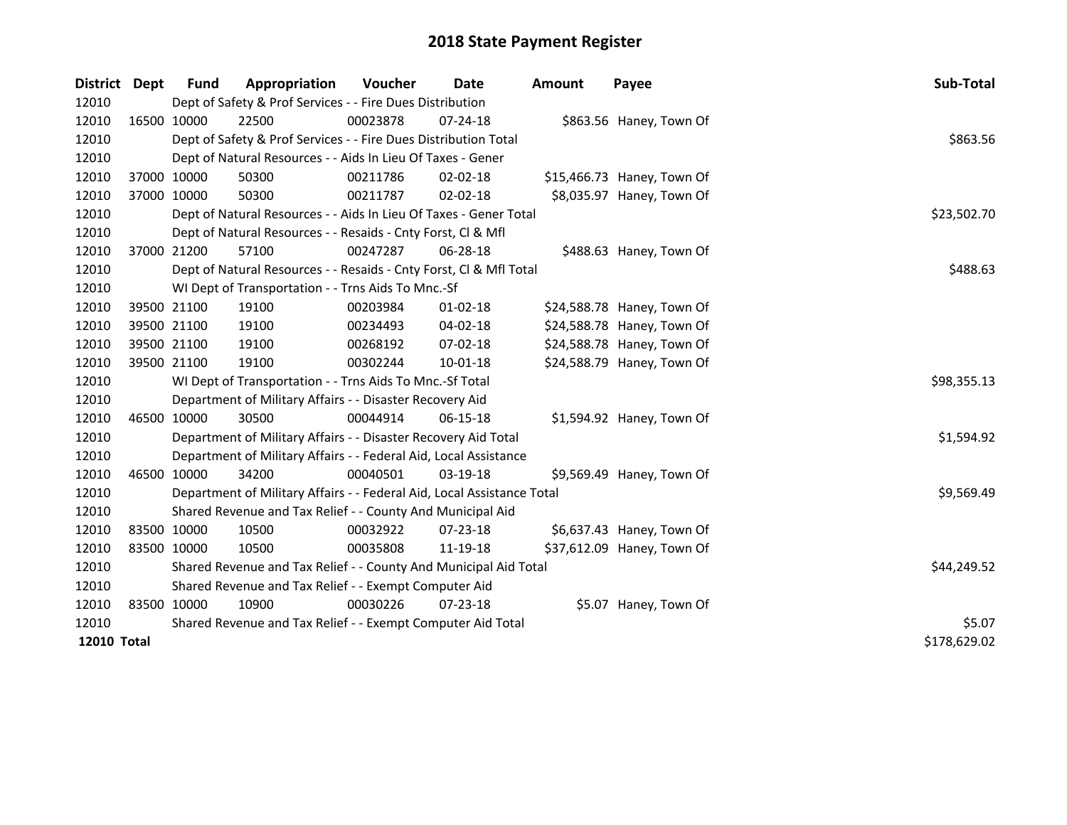| <b>District</b>    | Dept         | <b>Fund</b> | Appropriation                                                          | Voucher     | Date           | <b>Amount</b> | Payee                      | Sub-Total   |
|--------------------|--------------|-------------|------------------------------------------------------------------------|-------------|----------------|---------------|----------------------------|-------------|
| 12010              |              |             | Dept of Safety & Prof Services - - Fire Dues Distribution              |             |                |               |                            |             |
| 12010              | 16500 10000  |             | 22500                                                                  | 00023878    | 07-24-18       |               | \$863.56 Haney, Town Of    |             |
| 12010              |              |             | Dept of Safety & Prof Services - - Fire Dues Distribution Total        |             |                |               |                            | \$863.56    |
| 12010              |              |             | Dept of Natural Resources - - Aids In Lieu Of Taxes - Gener            |             |                |               |                            |             |
| 12010              |              | 37000 10000 | 50300                                                                  | 00211786    | $02 - 02 - 18$ |               | \$15,466.73 Haney, Town Of |             |
| 12010              |              | 37000 10000 | 50300                                                                  | 00211787    | 02-02-18       |               | \$8,035.97 Haney, Town Of  |             |
| 12010              |              |             | Dept of Natural Resources - - Aids In Lieu Of Taxes - Gener Total      | \$23,502.70 |                |               |                            |             |
| 12010              |              |             | Dept of Natural Resources - - Resaids - Cnty Forst, Cl & Mfl           |             |                |               |                            |             |
| 12010              | 37000 21200  |             | 57100                                                                  | 00247287    | 06-28-18       |               | \$488.63 Haney, Town Of    |             |
| 12010              |              |             | Dept of Natural Resources - - Resaids - Cnty Forst, Cl & Mfl Total     |             |                |               |                            | \$488.63    |
| 12010              |              |             | WI Dept of Transportation - - Trns Aids To Mnc.-Sf                     |             |                |               |                            |             |
| 12010              | 39500 21100  |             | 19100                                                                  | 00203984    | $01 - 02 - 18$ |               | \$24,588.78 Haney, Town Of |             |
| 12010              | 39500 21100  |             | 19100                                                                  | 00234493    | $04 - 02 - 18$ |               | \$24,588.78 Haney, Town Of |             |
| 12010              | 39500 21100  |             | 19100                                                                  | 00268192    | 07-02-18       |               | \$24,588.78 Haney, Town Of |             |
| 12010              | 39500 21100  |             | 19100                                                                  | 00302244    | $10 - 01 - 18$ |               | \$24,588.79 Haney, Town Of |             |
| 12010              |              |             | WI Dept of Transportation - - Trns Aids To Mnc.-Sf Total               |             |                |               |                            | \$98,355.13 |
| 12010              |              |             | Department of Military Affairs - - Disaster Recovery Aid               |             |                |               |                            |             |
| 12010              |              | 46500 10000 | 30500                                                                  | 00044914    | $06-15-18$     |               | \$1,594.92 Haney, Town Of  |             |
| 12010              |              |             | Department of Military Affairs - - Disaster Recovery Aid Total         |             |                |               |                            | \$1,594.92  |
| 12010              |              |             | Department of Military Affairs - - Federal Aid, Local Assistance       |             |                |               |                            |             |
| 12010              |              | 46500 10000 | 34200                                                                  | 00040501    | 03-19-18       |               | \$9,569.49 Haney, Town Of  |             |
| 12010              |              |             | Department of Military Affairs - - Federal Aid, Local Assistance Total |             |                |               |                            | \$9,569.49  |
| 12010              |              |             | Shared Revenue and Tax Relief - - County And Municipal Aid             |             |                |               |                            |             |
| 12010              | 83500 10000  |             | 10500                                                                  | 00032922    | 07-23-18       |               | \$6,637.43 Haney, Town Of  |             |
| 12010              | 83500 10000  |             | 10500                                                                  | 00035808    | 11-19-18       |               | \$37,612.09 Haney, Town Of |             |
| 12010              |              |             | Shared Revenue and Tax Relief - - County And Municipal Aid Total       | \$44,249.52 |                |               |                            |             |
| 12010              |              |             | Shared Revenue and Tax Relief - - Exempt Computer Aid                  |             |                |               |                            |             |
| 12010              | 83500 10000  |             | 10900                                                                  | 00030226    | $07 - 23 - 18$ |               | \$5.07 Haney, Town Of      |             |
| 12010              |              |             | Shared Revenue and Tax Relief - - Exempt Computer Aid Total            | \$5.07      |                |               |                            |             |
| <b>12010 Total</b> | \$178,629.02 |             |                                                                        |             |                |               |                            |             |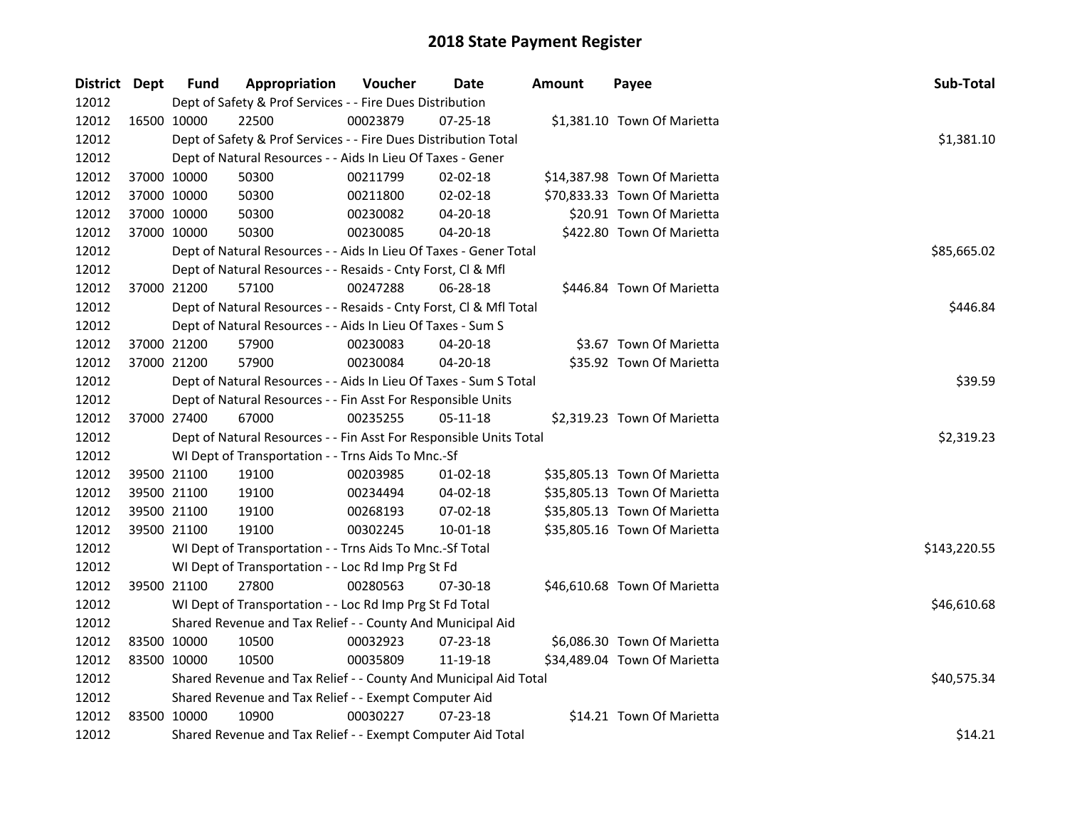| District Dept |             | <b>Fund</b> | Appropriation                                                      | Voucher     | Date       | <b>Amount</b> | Payee                        | Sub-Total    |
|---------------|-------------|-------------|--------------------------------------------------------------------|-------------|------------|---------------|------------------------------|--------------|
| 12012         |             |             | Dept of Safety & Prof Services - - Fire Dues Distribution          |             |            |               |                              |              |
| 12012         | 16500 10000 |             | 22500                                                              | 00023879    | 07-25-18   |               | \$1,381.10 Town Of Marietta  |              |
| 12012         |             |             | Dept of Safety & Prof Services - - Fire Dues Distribution Total    |             |            |               |                              | \$1,381.10   |
| 12012         |             |             | Dept of Natural Resources - - Aids In Lieu Of Taxes - Gener        |             |            |               |                              |              |
| 12012         | 37000 10000 |             | 50300                                                              | 00211799    | 02-02-18   |               | \$14,387.98 Town Of Marietta |              |
| 12012         | 37000 10000 |             | 50300                                                              | 00211800    | 02-02-18   |               | \$70,833.33 Town Of Marietta |              |
| 12012         | 37000 10000 |             | 50300                                                              | 00230082    | 04-20-18   |               | \$20.91 Town Of Marietta     |              |
| 12012         | 37000 10000 |             | 50300                                                              | 00230085    | 04-20-18   |               | \$422.80 Town Of Marietta    |              |
| 12012         |             |             | Dept of Natural Resources - - Aids In Lieu Of Taxes - Gener Total  | \$85,665.02 |            |               |                              |              |
| 12012         |             |             | Dept of Natural Resources - - Resaids - Cnty Forst, Cl & Mfl       |             |            |               |                              |              |
| 12012         | 37000 21200 |             | 57100                                                              | 00247288    | 06-28-18   |               | \$446.84 Town Of Marietta    |              |
| 12012         |             |             | Dept of Natural Resources - - Resaids - Cnty Forst, Cl & Mfl Total |             |            |               |                              | \$446.84     |
| 12012         |             |             | Dept of Natural Resources - - Aids In Lieu Of Taxes - Sum S        |             |            |               |                              |              |
| 12012         | 37000 21200 |             | 57900                                                              | 00230083    | 04-20-18   |               | \$3.67 Town Of Marietta      |              |
| 12012         | 37000 21200 |             | 57900                                                              | 00230084    | 04-20-18   |               | \$35.92 Town Of Marietta     |              |
| 12012         |             |             | Dept of Natural Resources - - Aids In Lieu Of Taxes - Sum S Total  | \$39.59     |            |               |                              |              |
| 12012         |             |             | Dept of Natural Resources - - Fin Asst For Responsible Units       |             |            |               |                              |              |
| 12012         | 37000 27400 |             | 67000                                                              | 00235255    | 05-11-18   |               | \$2,319.23 Town Of Marietta  |              |
| 12012         |             |             | Dept of Natural Resources - - Fin Asst For Responsible Units Total |             |            |               |                              | \$2,319.23   |
| 12012         |             |             | WI Dept of Transportation - - Trns Aids To Mnc.-Sf                 |             |            |               |                              |              |
| 12012         | 39500 21100 |             | 19100                                                              | 00203985    | $01-02-18$ |               | \$35,805.13 Town Of Marietta |              |
| 12012         | 39500 21100 |             | 19100                                                              | 00234494    | 04-02-18   |               | \$35,805.13 Town Of Marietta |              |
| 12012         | 39500 21100 |             | 19100                                                              | 00268193    | 07-02-18   |               | \$35,805.13 Town Of Marietta |              |
| 12012         | 39500 21100 |             | 19100                                                              | 00302245    | 10-01-18   |               | \$35,805.16 Town Of Marietta |              |
| 12012         |             |             | WI Dept of Transportation - - Trns Aids To Mnc.-Sf Total           |             |            |               |                              | \$143,220.55 |
| 12012         |             |             | WI Dept of Transportation - - Loc Rd Imp Prg St Fd                 |             |            |               |                              |              |
| 12012         | 39500 21100 |             | 27800                                                              | 00280563    | 07-30-18   |               | \$46,610.68 Town Of Marietta |              |
| 12012         |             |             | WI Dept of Transportation - - Loc Rd Imp Prg St Fd Total           |             |            |               |                              | \$46,610.68  |
| 12012         |             |             | Shared Revenue and Tax Relief - - County And Municipal Aid         |             |            |               |                              |              |
| 12012         | 83500 10000 |             | 10500                                                              | 00032923    | 07-23-18   |               | \$6,086.30 Town Of Marietta  |              |
| 12012         | 83500 10000 |             | 10500                                                              | 00035809    | 11-19-18   |               | \$34,489.04 Town Of Marietta |              |
| 12012         |             |             | Shared Revenue and Tax Relief - - County And Municipal Aid Total   | \$40,575.34 |            |               |                              |              |
| 12012         |             |             | Shared Revenue and Tax Relief - - Exempt Computer Aid              |             |            |               |                              |              |
| 12012         | 83500 10000 |             | 10900                                                              | 00030227    | 07-23-18   |               | \$14.21 Town Of Marietta     |              |
| 12012         |             |             | Shared Revenue and Tax Relief - - Exempt Computer Aid Total        |             |            |               |                              | \$14.21      |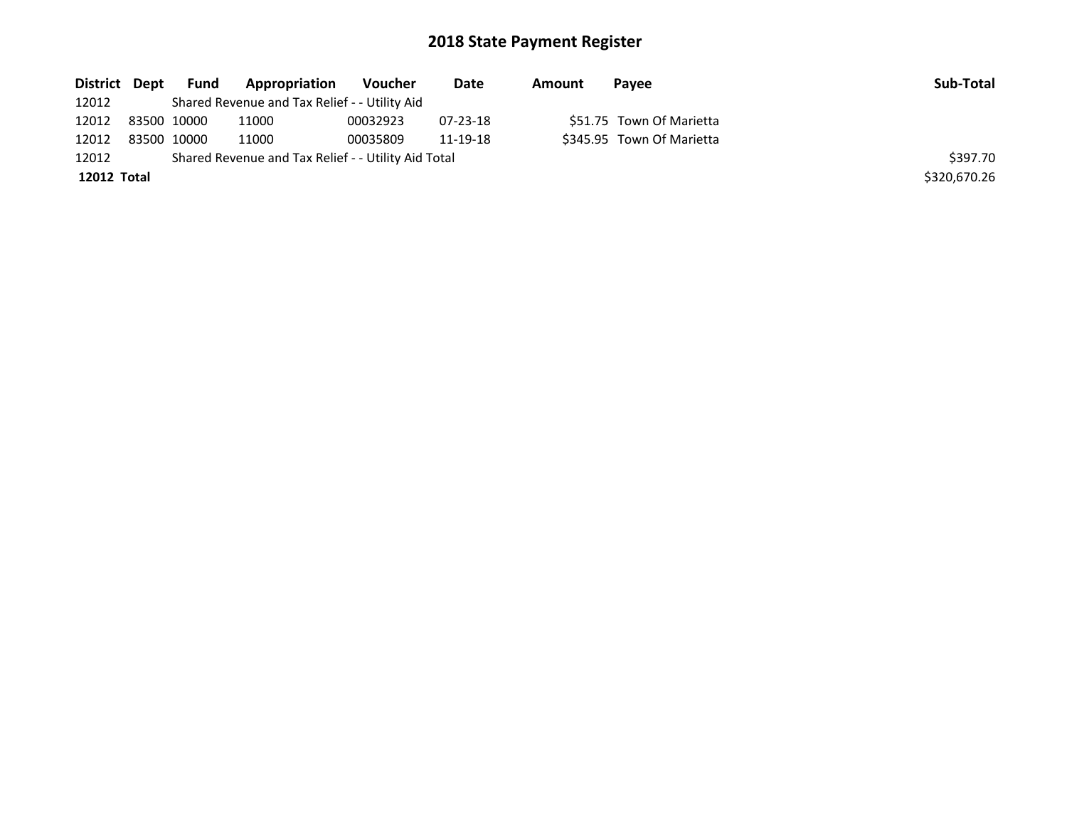| District Dept | <b>Fund</b> | Appropriation                                       | Voucher  | Date           | Amount | Payee                     | Sub-Total    |
|---------------|-------------|-----------------------------------------------------|----------|----------------|--------|---------------------------|--------------|
| 12012         |             | Shared Revenue and Tax Relief - - Utility Aid       |          |                |        |                           |              |
| 12012         | 83500 10000 | 11000                                               | 00032923 | $07 - 23 - 18$ |        | \$51.75 Town Of Marietta  |              |
| 12012         | 83500 10000 | 11000                                               | 00035809 | 11-19-18       |        | \$345.95 Town Of Marietta |              |
| 12012         |             | Shared Revenue and Tax Relief - - Utility Aid Total |          |                |        |                           | \$397.70     |
| 12012 Total   |             |                                                     |          |                |        |                           | \$320,670.26 |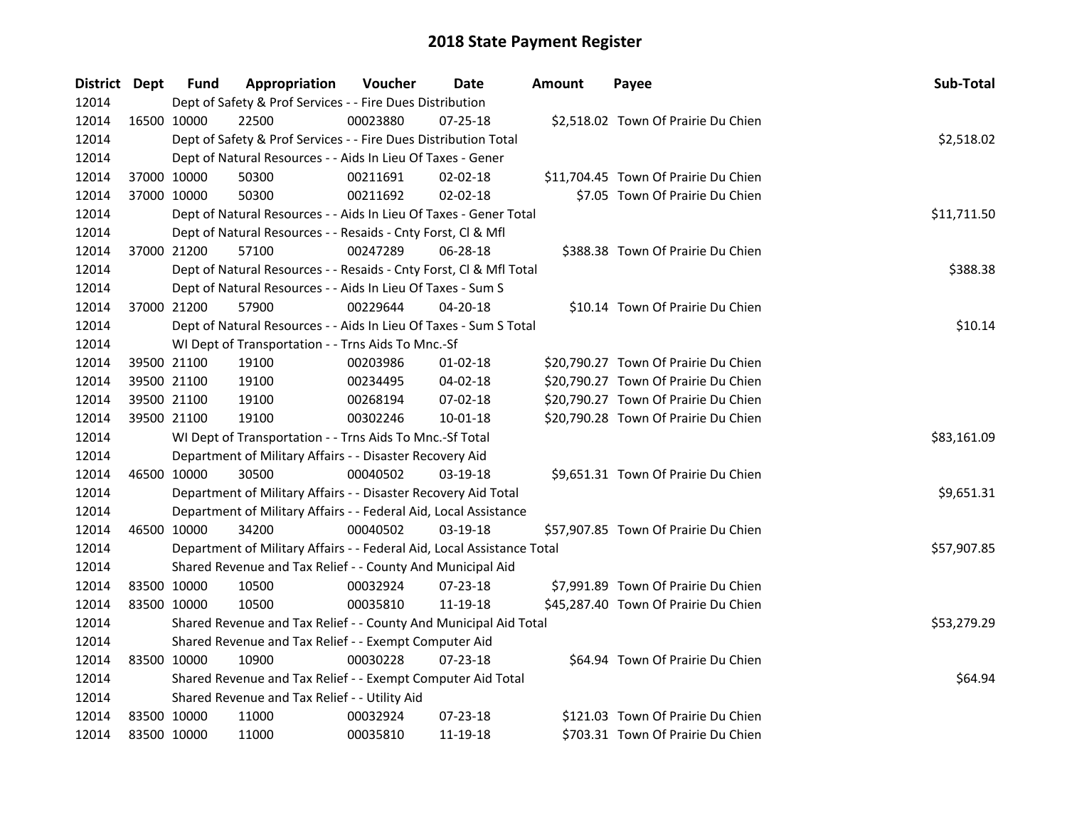| District Dept |             | <b>Fund</b> | Appropriation                                                          | Voucher  | <b>Date</b>    | <b>Amount</b> | Payee                                | Sub-Total   |
|---------------|-------------|-------------|------------------------------------------------------------------------|----------|----------------|---------------|--------------------------------------|-------------|
| 12014         |             |             | Dept of Safety & Prof Services - - Fire Dues Distribution              |          |                |               |                                      |             |
| 12014         |             | 16500 10000 | 22500                                                                  | 00023880 | $07 - 25 - 18$ |               | \$2,518.02 Town Of Prairie Du Chien  |             |
| 12014         |             |             | Dept of Safety & Prof Services - - Fire Dues Distribution Total        |          |                |               |                                      | \$2,518.02  |
| 12014         |             |             | Dept of Natural Resources - - Aids In Lieu Of Taxes - Gener            |          |                |               |                                      |             |
| 12014         | 37000 10000 |             | 50300                                                                  | 00211691 | $02 - 02 - 18$ |               | \$11,704.45 Town Of Prairie Du Chien |             |
| 12014         | 37000 10000 |             | 50300                                                                  | 00211692 | 02-02-18       |               | \$7.05 Town Of Prairie Du Chien      |             |
| 12014         |             |             | Dept of Natural Resources - - Aids In Lieu Of Taxes - Gener Total      |          |                |               |                                      | \$11,711.50 |
| 12014         |             |             | Dept of Natural Resources - - Resaids - Cnty Forst, Cl & Mfl           |          |                |               |                                      |             |
| 12014         | 37000 21200 |             | 57100                                                                  | 00247289 | 06-28-18       |               | \$388.38 Town Of Prairie Du Chien    |             |
| 12014         |             |             | Dept of Natural Resources - - Resaids - Cnty Forst, Cl & Mfl Total     |          |                |               |                                      | \$388.38    |
| 12014         |             |             | Dept of Natural Resources - - Aids In Lieu Of Taxes - Sum S            |          |                |               |                                      |             |
| 12014         | 37000 21200 |             | 57900                                                                  | 00229644 | 04-20-18       |               | \$10.14 Town Of Prairie Du Chien     |             |
| 12014         |             |             | Dept of Natural Resources - - Aids In Lieu Of Taxes - Sum S Total      |          |                |               |                                      | \$10.14     |
| 12014         |             |             | WI Dept of Transportation - - Trns Aids To Mnc.-Sf                     |          |                |               |                                      |             |
| 12014         | 39500 21100 |             | 19100                                                                  | 00203986 | $01 - 02 - 18$ |               | \$20,790.27 Town Of Prairie Du Chien |             |
| 12014         | 39500 21100 |             | 19100                                                                  | 00234495 | 04-02-18       |               | \$20,790.27 Town Of Prairie Du Chien |             |
| 12014         | 39500 21100 |             | 19100                                                                  | 00268194 | 07-02-18       |               | \$20,790.27 Town Of Prairie Du Chien |             |
| 12014         | 39500 21100 |             | 19100                                                                  | 00302246 | $10 - 01 - 18$ |               | \$20,790.28 Town Of Prairie Du Chien |             |
| 12014         |             |             | WI Dept of Transportation - - Trns Aids To Mnc.-Sf Total               |          |                |               |                                      | \$83,161.09 |
| 12014         |             |             | Department of Military Affairs - - Disaster Recovery Aid               |          |                |               |                                      |             |
| 12014         | 46500 10000 |             | 30500                                                                  | 00040502 | 03-19-18       |               | \$9,651.31 Town Of Prairie Du Chien  |             |
| 12014         |             |             | Department of Military Affairs - - Disaster Recovery Aid Total         |          |                |               |                                      | \$9,651.31  |
| 12014         |             |             | Department of Military Affairs - - Federal Aid, Local Assistance       |          |                |               |                                      |             |
| 12014         | 46500 10000 |             | 34200                                                                  | 00040502 | 03-19-18       |               | \$57,907.85 Town Of Prairie Du Chien |             |
| 12014         |             |             | Department of Military Affairs - - Federal Aid, Local Assistance Total |          |                |               |                                      | \$57,907.85 |
| 12014         |             |             | Shared Revenue and Tax Relief - - County And Municipal Aid             |          |                |               |                                      |             |
| 12014         | 83500 10000 |             | 10500                                                                  | 00032924 | 07-23-18       |               | \$7,991.89 Town Of Prairie Du Chien  |             |
| 12014         | 83500 10000 |             | 10500                                                                  | 00035810 | 11-19-18       |               | \$45,287.40 Town Of Prairie Du Chien |             |
| 12014         |             |             | Shared Revenue and Tax Relief - - County And Municipal Aid Total       |          |                |               |                                      | \$53,279.29 |
| 12014         |             |             | Shared Revenue and Tax Relief - - Exempt Computer Aid                  |          |                |               |                                      |             |
| 12014         |             | 83500 10000 | 10900                                                                  | 00030228 | $07 - 23 - 18$ |               | \$64.94 Town Of Prairie Du Chien     |             |
| 12014         |             |             | Shared Revenue and Tax Relief - - Exempt Computer Aid Total            |          |                |               |                                      | \$64.94     |
| 12014         |             |             | Shared Revenue and Tax Relief - - Utility Aid                          |          |                |               |                                      |             |
| 12014         | 83500 10000 |             | 11000                                                                  | 00032924 | 07-23-18       |               | \$121.03 Town Of Prairie Du Chien    |             |
| 12014         | 83500 10000 |             | 11000                                                                  | 00035810 | 11-19-18       |               | \$703.31 Town Of Prairie Du Chien    |             |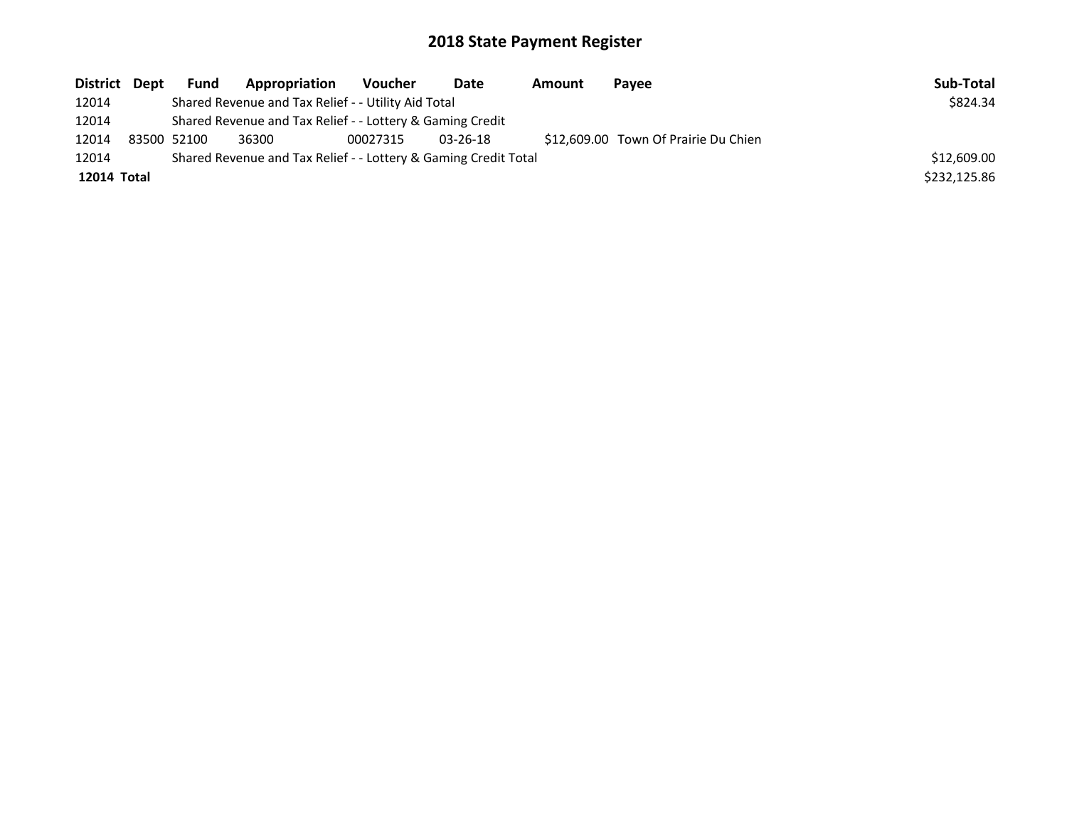| District Dept |                                                                 | <b>Fund</b>                                               | Appropriation                                       | Voucher  | Date           | Amount | Payee                                | Sub-Total    |
|---------------|-----------------------------------------------------------------|-----------------------------------------------------------|-----------------------------------------------------|----------|----------------|--------|--------------------------------------|--------------|
| 12014         |                                                                 |                                                           | Shared Revenue and Tax Relief - - Utility Aid Total |          |                |        |                                      | \$824.34     |
| 12014         |                                                                 | Shared Revenue and Tax Relief - - Lottery & Gaming Credit |                                                     |          |                |        |                                      |              |
| 12014         |                                                                 | 83500 52100                                               | 36300                                               | 00027315 | $03 - 26 - 18$ |        | \$12,609.00 Town Of Prairie Du Chien |              |
| 12014         | Shared Revenue and Tax Relief - - Lottery & Gaming Credit Total | \$12,609.00                                               |                                                     |          |                |        |                                      |              |
| 12014 Total   |                                                                 |                                                           |                                                     |          |                |        |                                      | \$232,125.86 |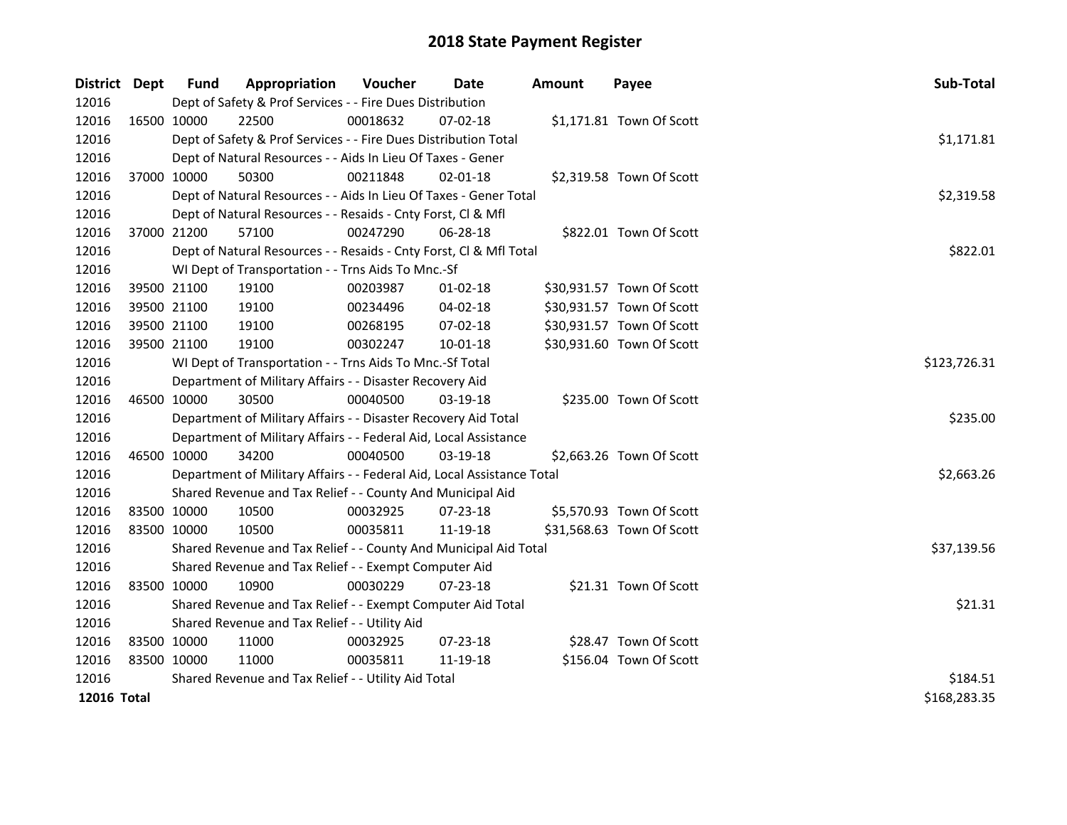| District Dept |             | <b>Fund</b>                                   | Appropriation                                                          | Voucher      | <b>Date</b>    | <b>Amount</b> | Payee                     | Sub-Total   |  |
|---------------|-------------|-----------------------------------------------|------------------------------------------------------------------------|--------------|----------------|---------------|---------------------------|-------------|--|
| 12016         |             |                                               | Dept of Safety & Prof Services - - Fire Dues Distribution              |              |                |               |                           |             |  |
| 12016         | 16500 10000 |                                               | 22500                                                                  | 00018632     | $07 - 02 - 18$ |               | \$1,171.81 Town Of Scott  |             |  |
| 12016         |             |                                               | Dept of Safety & Prof Services - - Fire Dues Distribution Total        |              |                |               |                           | \$1,171.81  |  |
| 12016         |             |                                               | Dept of Natural Resources - - Aids In Lieu Of Taxes - Gener            |              |                |               |                           |             |  |
| 12016         |             | 37000 10000                                   | 50300                                                                  | 00211848     | $02 - 01 - 18$ |               | \$2,319.58 Town Of Scott  |             |  |
| 12016         |             |                                               | Dept of Natural Resources - - Aids In Lieu Of Taxes - Gener Total      |              |                |               |                           | \$2,319.58  |  |
| 12016         |             |                                               | Dept of Natural Resources - - Resaids - Cnty Forst, Cl & Mfl           |              |                |               |                           |             |  |
| 12016         |             | 37000 21200                                   | 57100                                                                  | 00247290     | 06-28-18       |               | \$822.01 Town Of Scott    |             |  |
| 12016         |             |                                               | Dept of Natural Resources - - Resaids - Cnty Forst, Cl & Mfl Total     |              |                |               |                           | \$822.01    |  |
| 12016         |             |                                               | WI Dept of Transportation - - Trns Aids To Mnc.-Sf                     |              |                |               |                           |             |  |
| 12016         |             | 39500 21100                                   | 19100                                                                  | 00203987     | 01-02-18       |               | \$30,931.57 Town Of Scott |             |  |
| 12016         |             | 39500 21100                                   | 19100                                                                  | 00234496     | 04-02-18       |               | \$30,931.57 Town Of Scott |             |  |
| 12016         |             | 39500 21100                                   | 19100                                                                  | 00268195     | 07-02-18       |               | \$30,931.57 Town Of Scott |             |  |
| 12016         |             | 39500 21100                                   | 19100                                                                  | 00302247     | 10-01-18       |               | \$30,931.60 Town Of Scott |             |  |
| 12016         |             |                                               | WI Dept of Transportation - - Trns Aids To Mnc.-Sf Total               | \$123,726.31 |                |               |                           |             |  |
| 12016         |             |                                               | Department of Military Affairs - - Disaster Recovery Aid               |              |                |               |                           |             |  |
| 12016         | 46500 10000 |                                               | 30500                                                                  | 00040500     | $03-19-18$     |               | \$235.00 Town Of Scott    |             |  |
| 12016         |             |                                               | Department of Military Affairs - - Disaster Recovery Aid Total         |              |                |               |                           | \$235.00    |  |
| 12016         |             |                                               | Department of Military Affairs - - Federal Aid, Local Assistance       |              |                |               |                           |             |  |
| 12016         | 46500 10000 |                                               | 34200                                                                  | 00040500     | 03-19-18       |               | \$2,663.26 Town Of Scott  |             |  |
| 12016         |             |                                               | Department of Military Affairs - - Federal Aid, Local Assistance Total |              |                |               |                           | \$2,663.26  |  |
| 12016         |             |                                               | Shared Revenue and Tax Relief - - County And Municipal Aid             |              |                |               |                           |             |  |
| 12016         |             | 83500 10000                                   | 10500                                                                  | 00032925     | 07-23-18       |               | \$5,570.93 Town Of Scott  |             |  |
| 12016         | 83500 10000 |                                               | 10500                                                                  | 00035811     | 11-19-18       |               | \$31,568.63 Town Of Scott |             |  |
| 12016         |             |                                               | Shared Revenue and Tax Relief - - County And Municipal Aid Total       |              |                |               |                           | \$37,139.56 |  |
| 12016         |             |                                               | Shared Revenue and Tax Relief - - Exempt Computer Aid                  |              |                |               |                           |             |  |
| 12016         | 83500 10000 |                                               | 10900                                                                  | 00030229     | 07-23-18       |               | \$21.31 Town Of Scott     |             |  |
| 12016         |             |                                               | Shared Revenue and Tax Relief - - Exempt Computer Aid Total            |              |                |               |                           | \$21.31     |  |
| 12016         |             | Shared Revenue and Tax Relief - - Utility Aid |                                                                        |              |                |               |                           |             |  |
| 12016         | 83500 10000 |                                               | 11000                                                                  | 00032925     | 07-23-18       |               | \$28.47 Town Of Scott     |             |  |
| 12016         | 83500 10000 |                                               | 11000                                                                  | 00035811     | 11-19-18       |               | \$156.04 Town Of Scott    |             |  |
| 12016         |             |                                               | Shared Revenue and Tax Relief - - Utility Aid Total                    | \$184.51     |                |               |                           |             |  |
| 12016 Total   |             | \$168,283.35                                  |                                                                        |              |                |               |                           |             |  |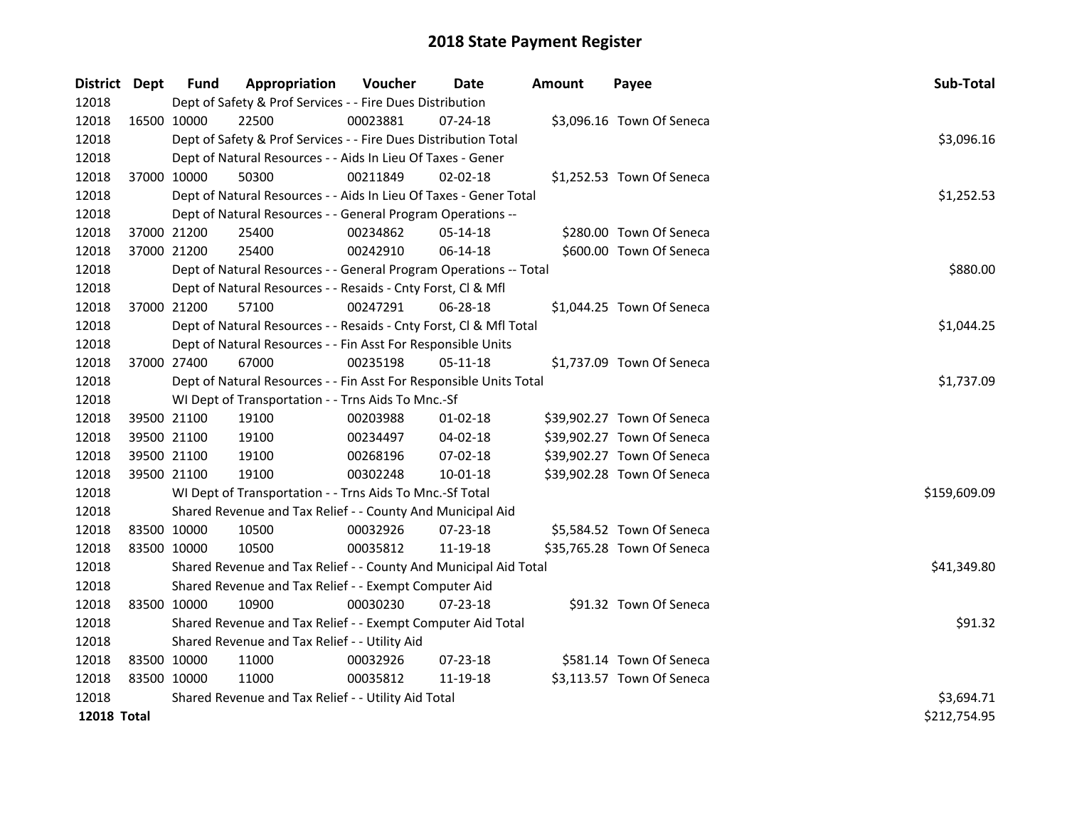| District Dept      |             | Fund        | Appropriation                                                      | Voucher    | Date           | <b>Amount</b> | Payee                      | Sub-Total    |
|--------------------|-------------|-------------|--------------------------------------------------------------------|------------|----------------|---------------|----------------------------|--------------|
| 12018              |             |             | Dept of Safety & Prof Services - - Fire Dues Distribution          |            |                |               |                            |              |
| 12018              |             | 16500 10000 | 22500                                                              | 00023881   | 07-24-18       |               | \$3,096.16 Town Of Seneca  |              |
| 12018              |             |             | Dept of Safety & Prof Services - - Fire Dues Distribution Total    |            |                |               |                            | \$3,096.16   |
| 12018              |             |             | Dept of Natural Resources - - Aids In Lieu Of Taxes - Gener        |            |                |               |                            |              |
| 12018              |             | 37000 10000 | 50300                                                              | 00211849   | 02-02-18       |               | \$1,252.53 Town Of Seneca  |              |
| 12018              |             |             | Dept of Natural Resources - - Aids In Lieu Of Taxes - Gener Total  |            |                |               |                            | \$1,252.53   |
| 12018              |             |             | Dept of Natural Resources - - General Program Operations --        |            |                |               |                            |              |
| 12018              |             | 37000 21200 | 25400                                                              | 00234862   | 05-14-18       |               | \$280.00 Town Of Seneca    |              |
| 12018              |             | 37000 21200 | 25400                                                              | 00242910   | 06-14-18       |               | \$600.00 Town Of Seneca    |              |
| 12018              |             |             | Dept of Natural Resources - - General Program Operations -- Total  |            |                |               |                            | \$880.00     |
| 12018              |             |             | Dept of Natural Resources - - Resaids - Cnty Forst, Cl & Mfl       |            |                |               |                            |              |
| 12018              |             | 37000 21200 | 57100                                                              | 00247291   | 06-28-18       |               | \$1,044.25 Town Of Seneca  |              |
| 12018              |             |             | Dept of Natural Resources - - Resaids - Cnty Forst, Cl & Mfl Total |            |                |               |                            | \$1,044.25   |
| 12018              |             |             | Dept of Natural Resources - - Fin Asst For Responsible Units       |            |                |               |                            |              |
| 12018              |             | 37000 27400 | 67000                                                              | 00235198   | 05-11-18       |               | \$1,737.09 Town Of Seneca  |              |
| 12018              |             |             | Dept of Natural Resources - - Fin Asst For Responsible Units Total |            |                |               |                            | \$1,737.09   |
| 12018              |             |             | WI Dept of Transportation - - Trns Aids To Mnc.-Sf                 |            |                |               |                            |              |
| 12018              |             | 39500 21100 | 19100                                                              | 00203988   | $01 - 02 - 18$ |               | \$39,902.27 Town Of Seneca |              |
| 12018              |             | 39500 21100 | 19100                                                              | 00234497   | 04-02-18       |               | \$39,902.27 Town Of Seneca |              |
| 12018              |             | 39500 21100 | 19100                                                              | 00268196   | 07-02-18       |               | \$39,902.27 Town Of Seneca |              |
| 12018              |             | 39500 21100 | 19100                                                              | 00302248   | $10 - 01 - 18$ |               | \$39,902.28 Town Of Seneca |              |
| 12018              |             |             | WI Dept of Transportation - - Trns Aids To Mnc.-Sf Total           |            |                |               |                            | \$159,609.09 |
| 12018              |             |             | Shared Revenue and Tax Relief - - County And Municipal Aid         |            |                |               |                            |              |
| 12018              |             | 83500 10000 | 10500                                                              | 00032926   | 07-23-18       |               | \$5,584.52 Town Of Seneca  |              |
| 12018              |             | 83500 10000 | 10500                                                              | 00035812   | 11-19-18       |               | \$35,765.28 Town Of Seneca |              |
| 12018              |             |             | Shared Revenue and Tax Relief - - County And Municipal Aid Total   |            |                |               |                            | \$41,349.80  |
| 12018              |             |             | Shared Revenue and Tax Relief - - Exempt Computer Aid              |            |                |               |                            |              |
| 12018              | 83500 10000 |             | 10900                                                              | 00030230   | $07 - 23 - 18$ |               | \$91.32 Town Of Seneca     |              |
| 12018              |             |             | Shared Revenue and Tax Relief - - Exempt Computer Aid Total        |            |                |               |                            | \$91.32      |
| 12018              |             |             | Shared Revenue and Tax Relief - - Utility Aid                      |            |                |               |                            |              |
| 12018              |             | 83500 10000 | 11000                                                              | 00032926   | 07-23-18       |               | \$581.14 Town Of Seneca    |              |
| 12018              |             | 83500 10000 | 11000                                                              | 00035812   | 11-19-18       |               | \$3,113.57 Town Of Seneca  |              |
| 12018              |             |             | Shared Revenue and Tax Relief - - Utility Aid Total                | \$3,694.71 |                |               |                            |              |
| <b>12018 Total</b> |             |             |                                                                    |            |                |               |                            | \$212,754.95 |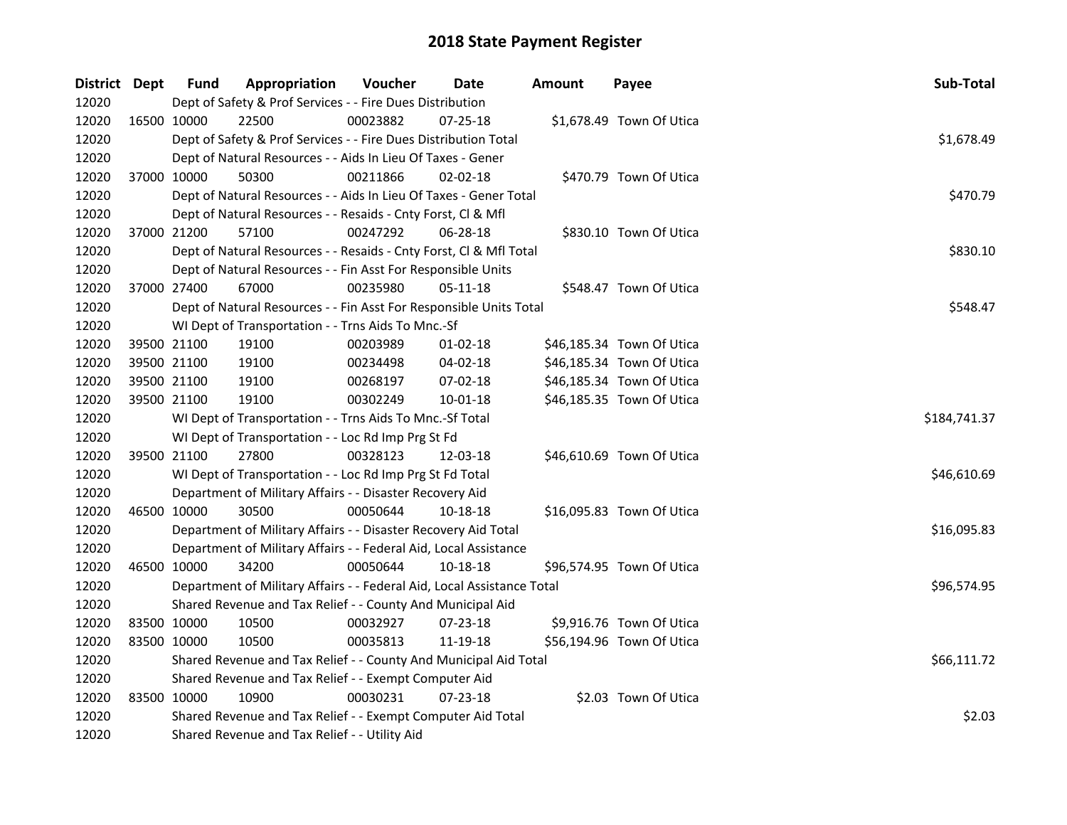| District Dept | <b>Fund</b>                                           | Appropriation                                                          | Voucher  | Date           | <b>Amount</b> | Payee                     | Sub-Total    |
|---------------|-------------------------------------------------------|------------------------------------------------------------------------|----------|----------------|---------------|---------------------------|--------------|
| 12020         |                                                       | Dept of Safety & Prof Services - - Fire Dues Distribution              |          |                |               |                           |              |
| 12020         | 16500 10000                                           | 22500                                                                  | 00023882 | $07 - 25 - 18$ |               | \$1,678.49 Town Of Utica  |              |
| 12020         |                                                       | Dept of Safety & Prof Services - - Fire Dues Distribution Total        |          |                |               |                           | \$1,678.49   |
| 12020         |                                                       | Dept of Natural Resources - - Aids In Lieu Of Taxes - Gener            |          |                |               |                           |              |
| 12020         | 37000 10000                                           | 50300                                                                  | 00211866 | 02-02-18       |               | \$470.79 Town Of Utica    |              |
| 12020         |                                                       | Dept of Natural Resources - - Aids In Lieu Of Taxes - Gener Total      |          |                |               |                           | \$470.79     |
| 12020         |                                                       | Dept of Natural Resources - - Resaids - Cnty Forst, Cl & Mfl           |          |                |               |                           |              |
| 12020         | 37000 21200                                           | 57100                                                                  | 00247292 | 06-28-18       |               | \$830.10 Town Of Utica    |              |
| 12020         |                                                       | Dept of Natural Resources - - Resaids - Cnty Forst, Cl & Mfl Total     |          |                |               |                           | \$830.10     |
| 12020         |                                                       | Dept of Natural Resources - - Fin Asst For Responsible Units           |          |                |               |                           |              |
| 12020         | 37000 27400                                           | 67000                                                                  | 00235980 | 05-11-18       |               | \$548.47 Town Of Utica    |              |
| 12020         |                                                       | Dept of Natural Resources - - Fin Asst For Responsible Units Total     |          |                |               |                           | \$548.47     |
| 12020         |                                                       | WI Dept of Transportation - - Trns Aids To Mnc.-Sf                     |          |                |               |                           |              |
| 12020         | 39500 21100                                           | 19100                                                                  | 00203989 | 01-02-18       |               | \$46,185.34 Town Of Utica |              |
| 12020         | 39500 21100                                           | 19100                                                                  | 00234498 | 04-02-18       |               | \$46,185.34 Town Of Utica |              |
| 12020         | 39500 21100                                           | 19100                                                                  | 00268197 | 07-02-18       |               | \$46,185.34 Town Of Utica |              |
| 12020         | 39500 21100                                           | 19100                                                                  | 00302249 | $10 - 01 - 18$ |               | \$46,185.35 Town Of Utica |              |
| 12020         |                                                       | WI Dept of Transportation - - Trns Aids To Mnc.-Sf Total               |          |                |               |                           | \$184,741.37 |
| 12020         |                                                       | WI Dept of Transportation - - Loc Rd Imp Prg St Fd                     |          |                |               |                           |              |
| 12020         | 39500 21100                                           | 27800                                                                  | 00328123 | 12-03-18       |               | \$46,610.69 Town Of Utica |              |
| 12020         |                                                       | WI Dept of Transportation - - Loc Rd Imp Prg St Fd Total               |          |                |               |                           | \$46,610.69  |
| 12020         |                                                       | Department of Military Affairs - - Disaster Recovery Aid               |          |                |               |                           |              |
| 12020         | 46500 10000                                           | 30500                                                                  | 00050644 | 10-18-18       |               | \$16,095.83 Town Of Utica |              |
| 12020         |                                                       | Department of Military Affairs - - Disaster Recovery Aid Total         |          |                |               |                           | \$16,095.83  |
| 12020         |                                                       | Department of Military Affairs - - Federal Aid, Local Assistance       |          |                |               |                           |              |
| 12020         | 46500 10000                                           | 34200                                                                  | 00050644 | 10-18-18       |               | \$96,574.95 Town Of Utica |              |
| 12020         |                                                       | Department of Military Affairs - - Federal Aid, Local Assistance Total |          |                |               |                           | \$96,574.95  |
| 12020         |                                                       | Shared Revenue and Tax Relief - - County And Municipal Aid             |          |                |               |                           |              |
| 12020         | 83500 10000                                           | 10500                                                                  | 00032927 | 07-23-18       |               | \$9,916.76 Town Of Utica  |              |
| 12020         | 83500 10000                                           | 10500                                                                  | 00035813 | 11-19-18       |               | \$56,194.96 Town Of Utica |              |
| 12020         |                                                       | Shared Revenue and Tax Relief - - County And Municipal Aid Total       |          |                |               |                           | \$66,111.72  |
| 12020         | Shared Revenue and Tax Relief - - Exempt Computer Aid |                                                                        |          |                |               |                           |              |
| 12020         | 83500 10000                                           | 10900                                                                  | 00030231 | 07-23-18       |               | \$2.03 Town Of Utica      |              |
| 12020         |                                                       | Shared Revenue and Tax Relief - - Exempt Computer Aid Total            |          |                |               |                           | \$2.03       |
| 12020         |                                                       | Shared Revenue and Tax Relief - - Utility Aid                          |          |                |               |                           |              |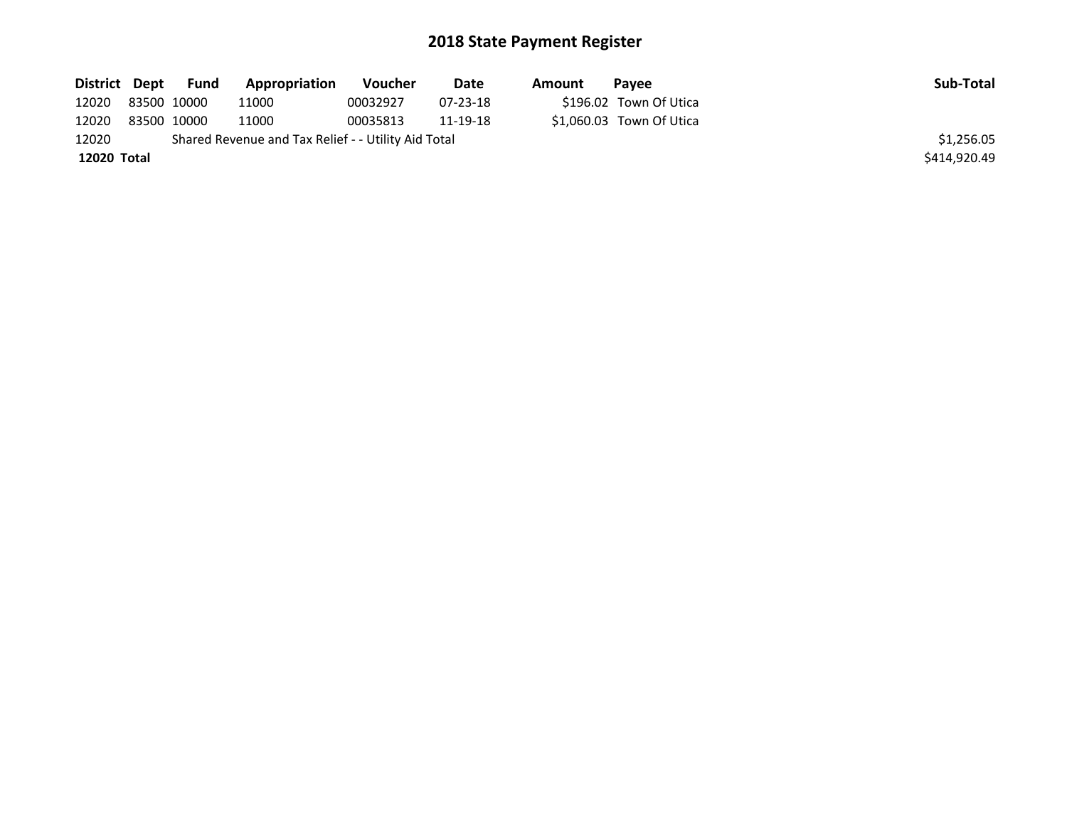| District Dept | Fund        | Appropriation                                       | Voucher  | Date       | Amount | Pavee                    | Sub-Total    |
|---------------|-------------|-----------------------------------------------------|----------|------------|--------|--------------------------|--------------|
| 12020         | 83500 10000 | 11000                                               | 00032927 | $07-23-18$ |        | \$196.02 Town Of Utica   |              |
| 12020         | 83500 10000 | 11000                                               | 00035813 | 11-19-18   |        | \$1.060.03 Town Of Utica |              |
| 12020         |             | Shared Revenue and Tax Relief - - Utility Aid Total |          |            |        |                          | \$1,256.05   |
| 12020 Total   |             |                                                     |          |            |        |                          | \$414,920.49 |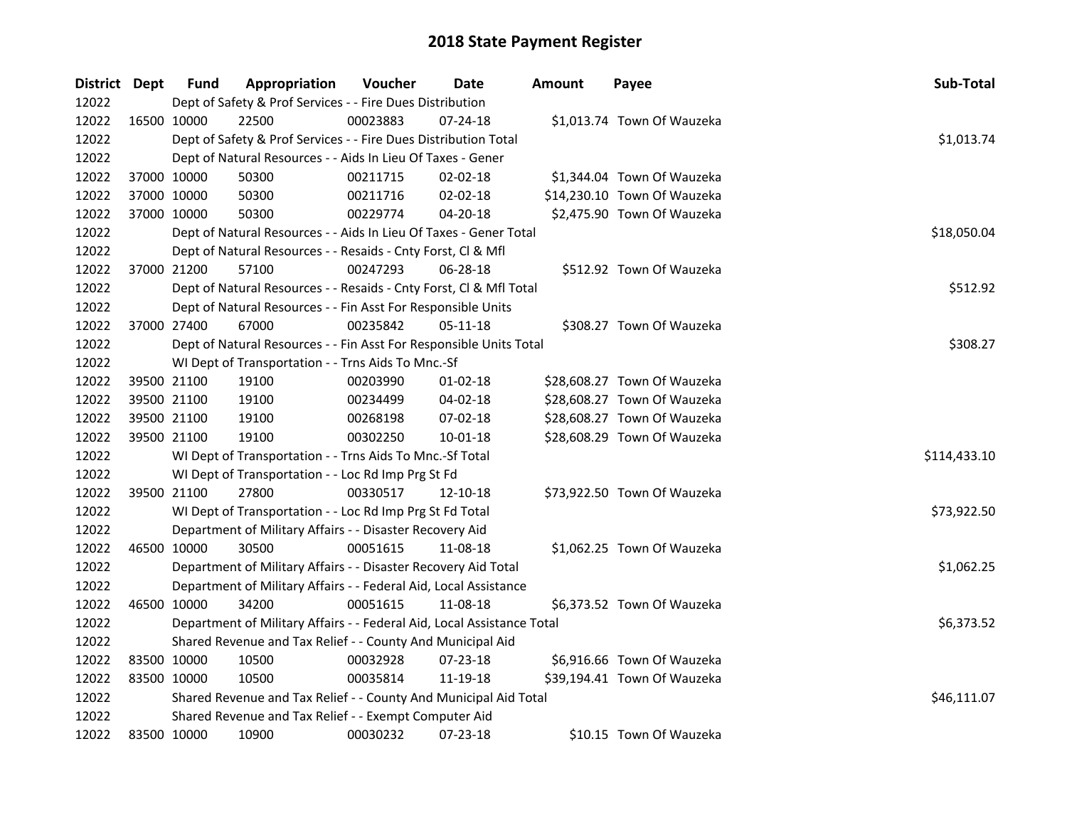| District Dept |             | <b>Fund</b> | Appropriation                                                          | Voucher  | Date           | <b>Amount</b> | Payee                       | Sub-Total    |
|---------------|-------------|-------------|------------------------------------------------------------------------|----------|----------------|---------------|-----------------------------|--------------|
| 12022         |             |             | Dept of Safety & Prof Services - - Fire Dues Distribution              |          |                |               |                             |              |
| 12022         | 16500 10000 |             | 22500                                                                  | 00023883 | 07-24-18       |               | \$1,013.74 Town Of Wauzeka  |              |
| 12022         |             |             | Dept of Safety & Prof Services - - Fire Dues Distribution Total        |          |                |               |                             | \$1,013.74   |
| 12022         |             |             | Dept of Natural Resources - - Aids In Lieu Of Taxes - Gener            |          |                |               |                             |              |
| 12022         | 37000 10000 |             | 50300                                                                  | 00211715 | 02-02-18       |               | \$1,344.04 Town Of Wauzeka  |              |
| 12022         | 37000 10000 |             | 50300                                                                  | 00211716 | 02-02-18       |               | \$14,230.10 Town Of Wauzeka |              |
| 12022         | 37000 10000 |             | 50300                                                                  | 00229774 | 04-20-18       |               | \$2,475.90 Town Of Wauzeka  |              |
| 12022         |             |             | Dept of Natural Resources - - Aids In Lieu Of Taxes - Gener Total      |          |                |               |                             | \$18,050.04  |
| 12022         |             |             | Dept of Natural Resources - - Resaids - Cnty Forst, Cl & Mfl           |          |                |               |                             |              |
| 12022         |             | 37000 21200 | 57100                                                                  | 00247293 | 06-28-18       |               | \$512.92 Town Of Wauzeka    |              |
| 12022         |             |             | Dept of Natural Resources - - Resaids - Cnty Forst, Cl & Mfl Total     |          |                |               |                             | \$512.92     |
| 12022         |             |             | Dept of Natural Resources - - Fin Asst For Responsible Units           |          |                |               |                             |              |
| 12022         | 37000 27400 |             | 67000                                                                  | 00235842 | 05-11-18       |               | \$308.27 Town Of Wauzeka    |              |
| 12022         |             |             | Dept of Natural Resources - - Fin Asst For Responsible Units Total     |          |                |               |                             | \$308.27     |
| 12022         |             |             | WI Dept of Transportation - - Trns Aids To Mnc.-Sf                     |          |                |               |                             |              |
| 12022         | 39500 21100 |             | 19100                                                                  | 00203990 | $01 - 02 - 18$ |               | \$28,608.27 Town Of Wauzeka |              |
| 12022         | 39500 21100 |             | 19100                                                                  | 00234499 | $04 - 02 - 18$ |               | \$28,608.27 Town Of Wauzeka |              |
| 12022         | 39500 21100 |             | 19100                                                                  | 00268198 | 07-02-18       |               | \$28,608.27 Town Of Wauzeka |              |
| 12022         | 39500 21100 |             | 19100                                                                  | 00302250 | 10-01-18       |               | \$28,608.29 Town Of Wauzeka |              |
| 12022         |             |             | WI Dept of Transportation - - Trns Aids To Mnc.-Sf Total               |          |                |               |                             | \$114,433.10 |
| 12022         |             |             | WI Dept of Transportation - - Loc Rd Imp Prg St Fd                     |          |                |               |                             |              |
| 12022         | 39500 21100 |             | 27800                                                                  | 00330517 | 12-10-18       |               | \$73,922.50 Town Of Wauzeka |              |
| 12022         |             |             | WI Dept of Transportation - - Loc Rd Imp Prg St Fd Total               |          |                |               |                             | \$73,922.50  |
| 12022         |             |             | Department of Military Affairs - - Disaster Recovery Aid               |          |                |               |                             |              |
| 12022         | 46500 10000 |             | 30500                                                                  | 00051615 | 11-08-18       |               | \$1,062.25 Town Of Wauzeka  |              |
| 12022         |             |             | Department of Military Affairs - - Disaster Recovery Aid Total         |          |                |               |                             | \$1,062.25   |
| 12022         |             |             | Department of Military Affairs - - Federal Aid, Local Assistance       |          |                |               |                             |              |
| 12022         | 46500 10000 |             | 34200                                                                  | 00051615 | 11-08-18       |               | \$6,373.52 Town Of Wauzeka  |              |
| 12022         |             |             | Department of Military Affairs - - Federal Aid, Local Assistance Total |          |                |               |                             | \$6,373.52   |
| 12022         |             |             | Shared Revenue and Tax Relief - - County And Municipal Aid             |          |                |               |                             |              |
| 12022         | 83500 10000 |             | 10500                                                                  | 00032928 | 07-23-18       |               | \$6,916.66 Town Of Wauzeka  |              |
| 12022         | 83500 10000 |             | 10500                                                                  | 00035814 | 11-19-18       |               | \$39,194.41 Town Of Wauzeka |              |
| 12022         |             |             | Shared Revenue and Tax Relief - - County And Municipal Aid Total       |          |                |               |                             | \$46,111.07  |
| 12022         |             |             | Shared Revenue and Tax Relief - - Exempt Computer Aid                  |          |                |               |                             |              |
| 12022         | 83500 10000 |             | 10900                                                                  | 00030232 | 07-23-18       |               | \$10.15 Town Of Wauzeka     |              |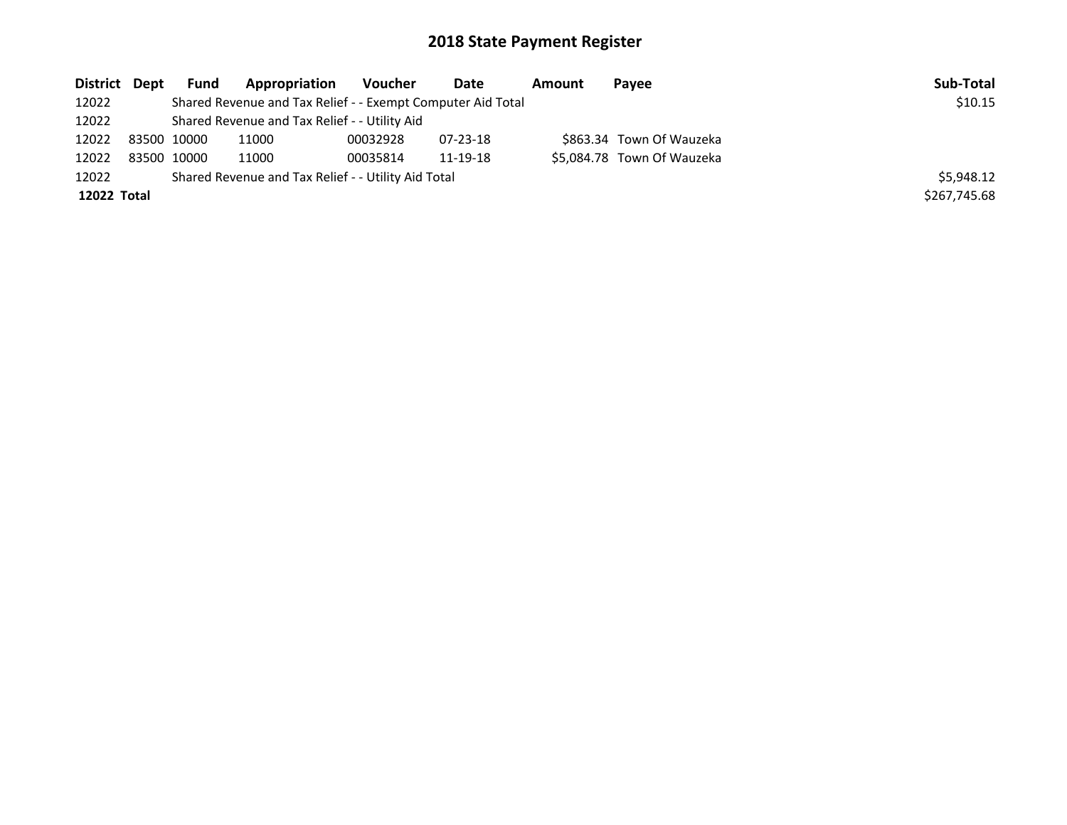| District Dept | <b>Fund</b> | Appropriation                                               | Voucher  | Date           | Amount | Payee                      | Sub-Total    |
|---------------|-------------|-------------------------------------------------------------|----------|----------------|--------|----------------------------|--------------|
| 12022         |             | Shared Revenue and Tax Relief - - Exempt Computer Aid Total |          |                |        |                            | \$10.15      |
| 12022         |             | Shared Revenue and Tax Relief - - Utility Aid               |          |                |        |                            |              |
| 12022         | 83500 10000 | 11000                                                       | 00032928 | $07 - 23 - 18$ |        | \$863.34 Town Of Wauzeka   |              |
| 12022         | 83500 10000 | 11000                                                       | 00035814 | 11-19-18       |        | \$5,084.78 Town Of Wauzeka |              |
| 12022         |             | Shared Revenue and Tax Relief - - Utility Aid Total         |          |                |        |                            | \$5,948.12   |
| 12022 Total   |             |                                                             |          |                |        |                            | \$267,745.68 |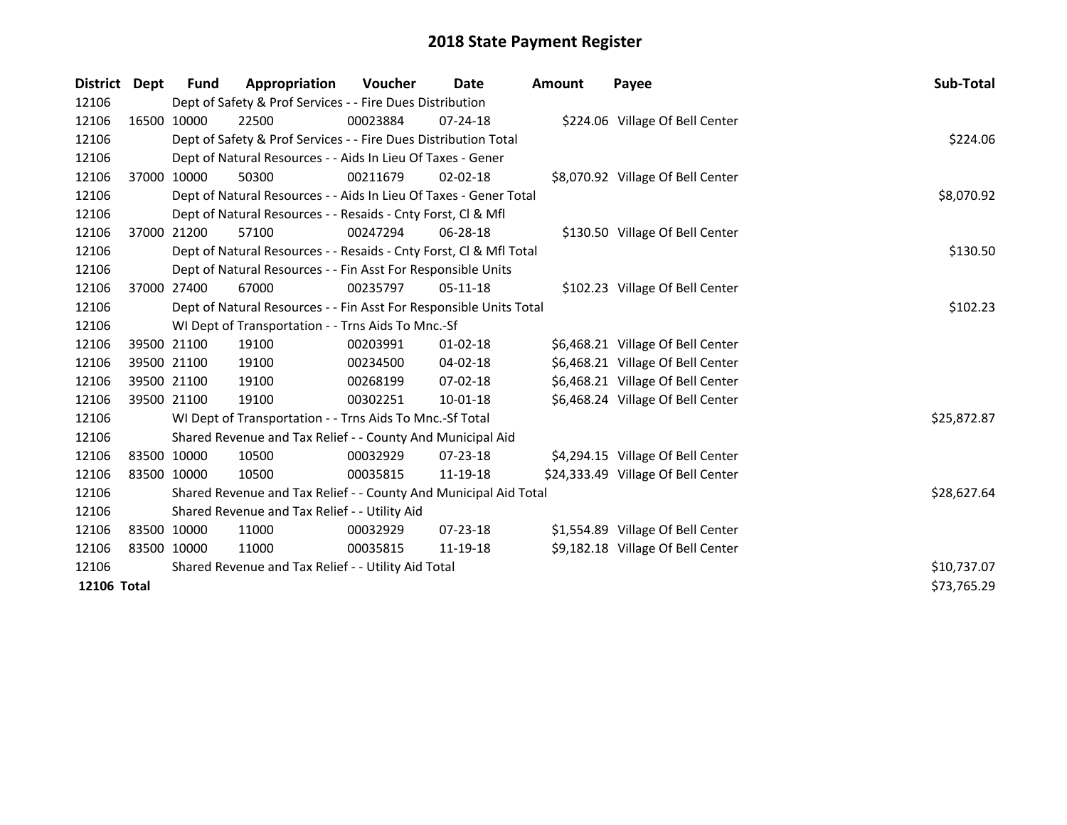| <b>District</b> | Dept        | <b>Fund</b> | Appropriation                                                      | <b>Voucher</b> | Date           | <b>Amount</b> | Payee                              | Sub-Total   |
|-----------------|-------------|-------------|--------------------------------------------------------------------|----------------|----------------|---------------|------------------------------------|-------------|
| 12106           |             |             | Dept of Safety & Prof Services - - Fire Dues Distribution          |                |                |               |                                    |             |
| 12106           |             | 16500 10000 | 22500                                                              | 00023884       | $07 - 24 - 18$ |               | \$224.06 Village Of Bell Center    |             |
| 12106           |             |             | Dept of Safety & Prof Services - - Fire Dues Distribution Total    |                |                |               |                                    | \$224.06    |
| 12106           |             |             | Dept of Natural Resources - - Aids In Lieu Of Taxes - Gener        |                |                |               |                                    |             |
| 12106           |             | 37000 10000 | 50300                                                              | 00211679       | $02 - 02 - 18$ |               | \$8,070.92 Village Of Bell Center  |             |
| 12106           |             |             | Dept of Natural Resources - - Aids In Lieu Of Taxes - Gener Total  |                | \$8,070.92     |               |                                    |             |
| 12106           |             |             | Dept of Natural Resources - - Resaids - Cnty Forst, Cl & Mfl       |                |                |               |                                    |             |
| 12106           |             | 37000 21200 | 57100                                                              | 00247294       | 06-28-18       |               | \$130.50 Village Of Bell Center    |             |
| 12106           |             |             | Dept of Natural Resources - - Resaids - Cnty Forst, Cl & Mfl Total |                |                |               |                                    | \$130.50    |
| 12106           |             |             | Dept of Natural Resources - - Fin Asst For Responsible Units       |                |                |               |                                    |             |
| 12106           |             | 37000 27400 | 67000                                                              | 00235797       | $05-11-18$     |               | \$102.23 Village Of Bell Center    |             |
| 12106           |             |             | Dept of Natural Resources - - Fin Asst For Responsible Units Total |                |                |               |                                    | \$102.23    |
| 12106           |             |             | WI Dept of Transportation - - Trns Aids To Mnc.-Sf                 |                |                |               |                                    |             |
| 12106           |             | 39500 21100 | 19100                                                              | 00203991       | $01 - 02 - 18$ |               | \$6,468.21 Village Of Bell Center  |             |
| 12106           |             | 39500 21100 | 19100                                                              | 00234500       | 04-02-18       |               | \$6,468.21 Village Of Bell Center  |             |
| 12106           |             | 39500 21100 | 19100                                                              | 00268199       | $07 - 02 - 18$ |               | \$6,468.21 Village Of Bell Center  |             |
| 12106           |             | 39500 21100 | 19100                                                              | 00302251       | 10-01-18       |               | \$6,468.24 Village Of Bell Center  |             |
| 12106           |             |             | WI Dept of Transportation - - Trns Aids To Mnc.-Sf Total           |                |                |               |                                    | \$25,872.87 |
| 12106           |             |             | Shared Revenue and Tax Relief - - County And Municipal Aid         |                |                |               |                                    |             |
| 12106           | 83500 10000 |             | 10500                                                              | 00032929       | $07 - 23 - 18$ |               | \$4,294.15 Village Of Bell Center  |             |
| 12106           | 83500 10000 |             | 10500                                                              | 00035815       | 11-19-18       |               | \$24,333.49 Village Of Bell Center |             |
| 12106           |             |             | Shared Revenue and Tax Relief - - County And Municipal Aid Total   |                |                |               |                                    | \$28,627.64 |
| 12106           |             |             | Shared Revenue and Tax Relief - - Utility Aid                      |                |                |               |                                    |             |
| 12106           | 83500 10000 |             | 11000                                                              | 00032929       | $07 - 23 - 18$ |               | \$1,554.89 Village Of Bell Center  |             |
| 12106           | 83500 10000 |             | 11000                                                              | 00035815       | 11-19-18       |               | \$9,182.18 Village Of Bell Center  |             |
| 12106           |             |             | Shared Revenue and Tax Relief - - Utility Aid Total                |                |                |               |                                    | \$10,737.07 |
| 12106 Total     |             |             |                                                                    |                |                |               |                                    | \$73,765.29 |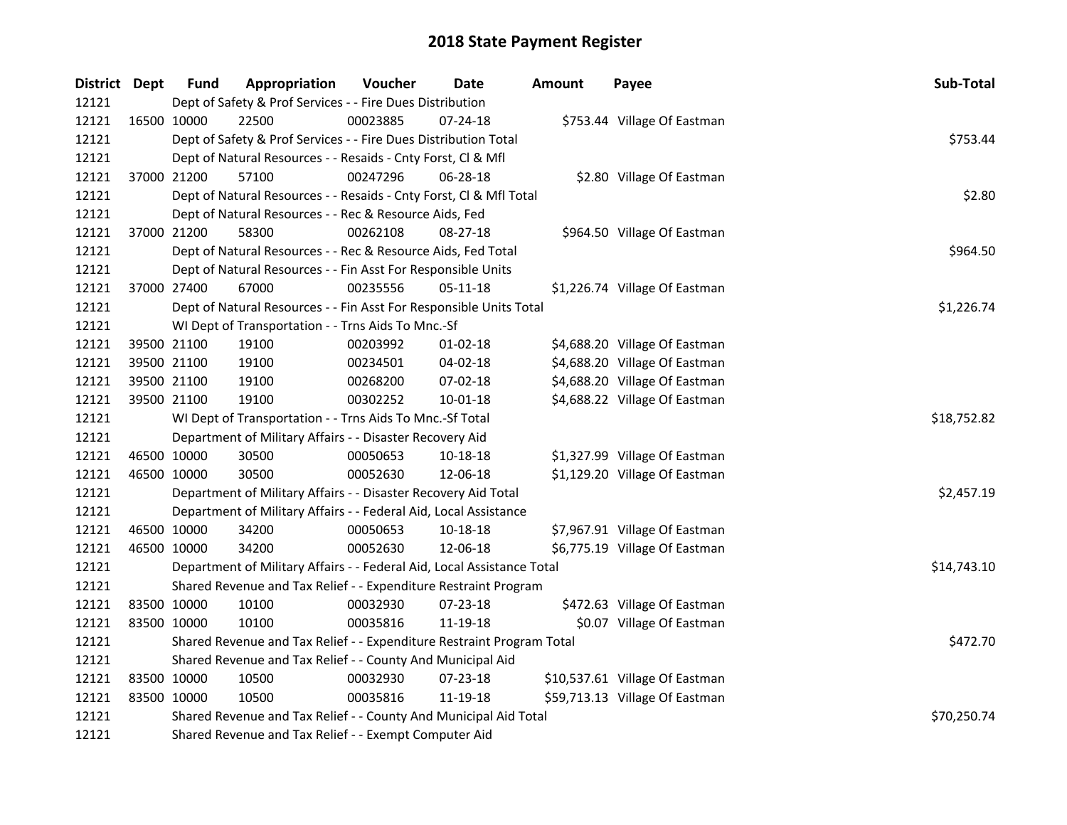| District Dept |             | <b>Fund</b> | Appropriation                                                          | Voucher  | <b>Date</b>    | <b>Amount</b> | Payee                          | Sub-Total   |
|---------------|-------------|-------------|------------------------------------------------------------------------|----------|----------------|---------------|--------------------------------|-------------|
| 12121         |             |             | Dept of Safety & Prof Services - - Fire Dues Distribution              |          |                |               |                                |             |
| 12121         |             | 16500 10000 | 22500                                                                  | 00023885 | 07-24-18       |               | \$753.44 Village Of Eastman    |             |
| 12121         |             |             | Dept of Safety & Prof Services - - Fire Dues Distribution Total        |          |                |               |                                | \$753.44    |
| 12121         |             |             | Dept of Natural Resources - - Resaids - Cnty Forst, Cl & Mfl           |          |                |               |                                |             |
| 12121         |             | 37000 21200 | 57100                                                                  | 00247296 | $06 - 28 - 18$ |               | \$2.80 Village Of Eastman      |             |
| 12121         |             |             | Dept of Natural Resources - - Resaids - Cnty Forst, Cl & Mfl Total     |          |                |               |                                | \$2.80      |
| 12121         |             |             | Dept of Natural Resources - - Rec & Resource Aids, Fed                 |          |                |               |                                |             |
| 12121         |             | 37000 21200 | 58300                                                                  | 00262108 | 08-27-18       |               | \$964.50 Village Of Eastman    |             |
| 12121         |             |             | Dept of Natural Resources - - Rec & Resource Aids, Fed Total           |          |                |               |                                | \$964.50    |
| 12121         |             |             | Dept of Natural Resources - - Fin Asst For Responsible Units           |          |                |               |                                |             |
| 12121         | 37000 27400 |             | 67000                                                                  | 00235556 | 05-11-18       |               | \$1,226.74 Village Of Eastman  |             |
| 12121         |             |             | Dept of Natural Resources - - Fin Asst For Responsible Units Total     |          |                |               |                                | \$1,226.74  |
| 12121         |             |             | WI Dept of Transportation - - Trns Aids To Mnc.-Sf                     |          |                |               |                                |             |
| 12121         |             | 39500 21100 | 19100                                                                  | 00203992 | $01 - 02 - 18$ |               | \$4,688.20 Village Of Eastman  |             |
| 12121         |             | 39500 21100 | 19100                                                                  | 00234501 | 04-02-18       |               | \$4,688.20 Village Of Eastman  |             |
| 12121         |             | 39500 21100 | 19100                                                                  | 00268200 | 07-02-18       |               | \$4,688.20 Village Of Eastman  |             |
| 12121         |             | 39500 21100 | 19100                                                                  | 00302252 | 10-01-18       |               | \$4,688.22 Village Of Eastman  |             |
| 12121         |             |             | WI Dept of Transportation - - Trns Aids To Mnc.-Sf Total               |          |                |               |                                | \$18,752.82 |
| 12121         |             |             | Department of Military Affairs - - Disaster Recovery Aid               |          |                |               |                                |             |
| 12121         |             | 46500 10000 | 30500                                                                  | 00050653 | 10-18-18       |               | \$1,327.99 Village Of Eastman  |             |
| 12121         | 46500 10000 |             | 30500                                                                  | 00052630 | 12-06-18       |               | \$1,129.20 Village Of Eastman  |             |
| 12121         |             |             | Department of Military Affairs - - Disaster Recovery Aid Total         |          |                |               |                                | \$2,457.19  |
| 12121         |             |             | Department of Military Affairs - - Federal Aid, Local Assistance       |          |                |               |                                |             |
| 12121         |             | 46500 10000 | 34200                                                                  | 00050653 | 10-18-18       |               | \$7,967.91 Village Of Eastman  |             |
| 12121         |             | 46500 10000 | 34200                                                                  | 00052630 | 12-06-18       |               | \$6,775.19 Village Of Eastman  |             |
| 12121         |             |             | Department of Military Affairs - - Federal Aid, Local Assistance Total |          |                |               |                                | \$14,743.10 |
| 12121         |             |             | Shared Revenue and Tax Relief - - Expenditure Restraint Program        |          |                |               |                                |             |
| 12121         | 83500 10000 |             | 10100                                                                  | 00032930 | 07-23-18       |               | \$472.63 Village Of Eastman    |             |
| 12121         | 83500 10000 |             | 10100                                                                  | 00035816 | 11-19-18       |               | \$0.07 Village Of Eastman      |             |
| 12121         |             |             | Shared Revenue and Tax Relief - - Expenditure Restraint Program Total  |          |                |               |                                | \$472.70    |
| 12121         |             |             | Shared Revenue and Tax Relief - - County And Municipal Aid             |          |                |               |                                |             |
| 12121         |             | 83500 10000 | 10500                                                                  | 00032930 | 07-23-18       |               | \$10,537.61 Village Of Eastman |             |
| 12121         | 83500 10000 |             | 10500                                                                  | 00035816 | 11-19-18       |               | \$59,713.13 Village Of Eastman |             |
| 12121         |             |             | Shared Revenue and Tax Relief - - County And Municipal Aid Total       |          |                |               |                                | \$70,250.74 |
| 12121         |             |             | Shared Revenue and Tax Relief - - Exempt Computer Aid                  |          |                |               |                                |             |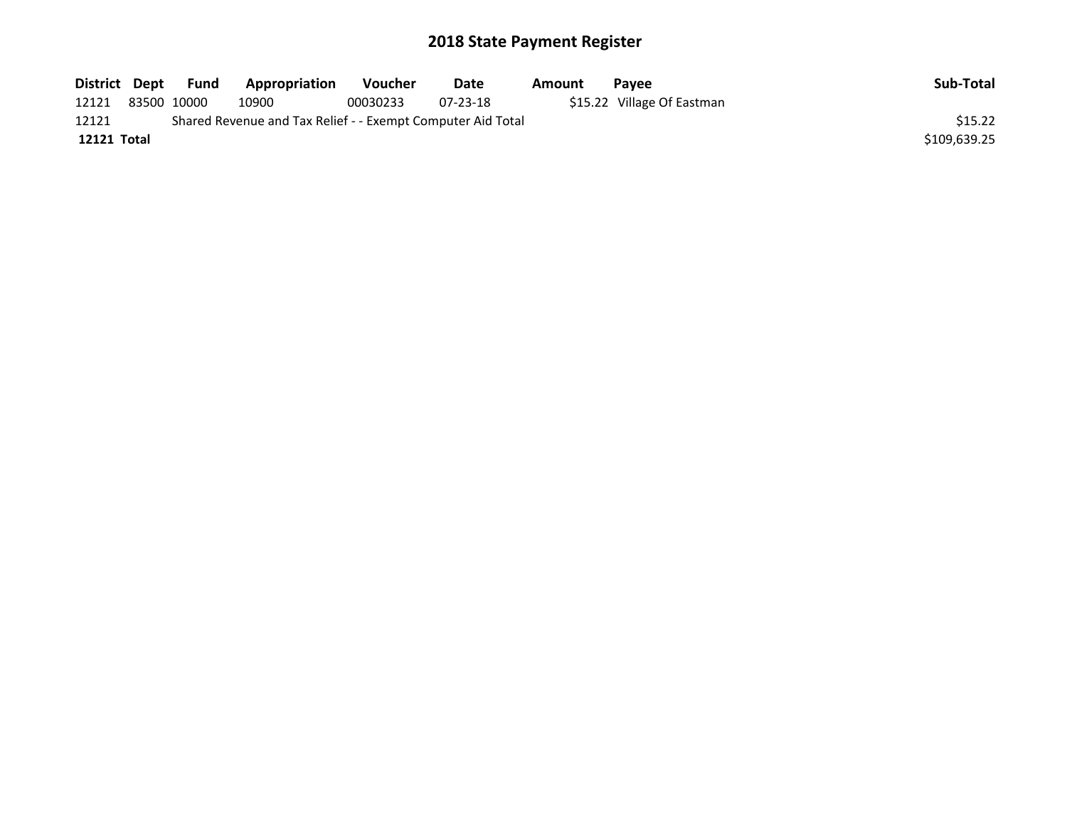| District Dept |             | Fund | Appropriation                                               | Voucher  | Date           | Amount | <b>Pavee</b>               | Sub-Total    |
|---------------|-------------|------|-------------------------------------------------------------|----------|----------------|--------|----------------------------|--------------|
| 12121         | 83500 10000 |      | 10900                                                       | 00030233 | $07 - 23 - 18$ |        | \$15.22 Village Of Eastman |              |
| 12121         |             |      | Shared Revenue and Tax Relief - - Exempt Computer Aid Total |          |                |        |                            | \$15.22      |
| 12121 Total   |             |      |                                                             |          |                |        |                            | \$109,639.25 |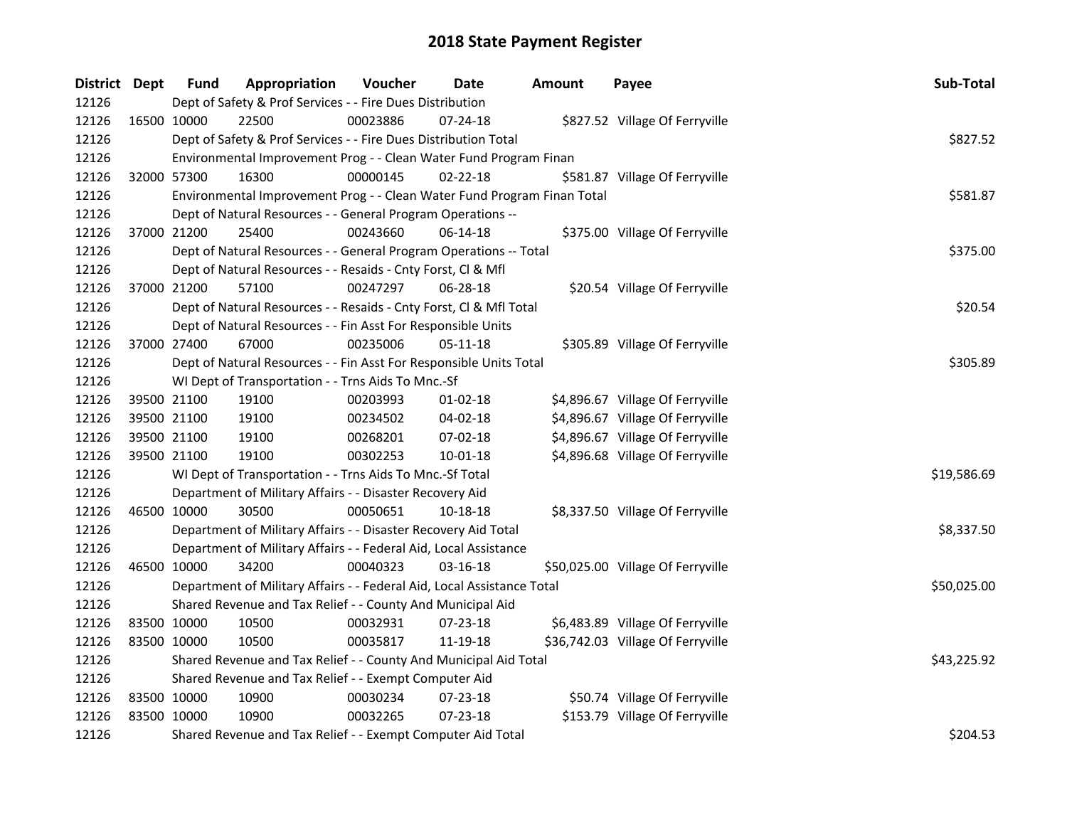| District Dept |             | <b>Fund</b> | Appropriation                                                           | Voucher  | Date           | <b>Amount</b> | Payee                             | Sub-Total   |
|---------------|-------------|-------------|-------------------------------------------------------------------------|----------|----------------|---------------|-----------------------------------|-------------|
| 12126         |             |             | Dept of Safety & Prof Services - - Fire Dues Distribution               |          |                |               |                                   |             |
| 12126         | 16500 10000 |             | 22500                                                                   | 00023886 | 07-24-18       |               | \$827.52 Village Of Ferryville    |             |
| 12126         |             |             | Dept of Safety & Prof Services - - Fire Dues Distribution Total         |          |                |               |                                   | \$827.52    |
| 12126         |             |             | Environmental Improvement Prog - - Clean Water Fund Program Finan       |          |                |               |                                   |             |
| 12126         | 32000 57300 |             | 16300                                                                   | 00000145 | $02 - 22 - 18$ |               | \$581.87 Village Of Ferryville    |             |
| 12126         |             |             | Environmental Improvement Prog - - Clean Water Fund Program Finan Total |          |                |               |                                   | \$581.87    |
| 12126         |             |             | Dept of Natural Resources - - General Program Operations --             |          |                |               |                                   |             |
| 12126         |             | 37000 21200 | 25400                                                                   | 00243660 | 06-14-18       |               | \$375.00 Village Of Ferryville    |             |
| 12126         |             |             | Dept of Natural Resources - - General Program Operations -- Total       |          |                |               |                                   | \$375.00    |
| 12126         |             |             | Dept of Natural Resources - - Resaids - Cnty Forst, Cl & Mfl            |          |                |               |                                   |             |
| 12126         |             | 37000 21200 | 57100                                                                   | 00247297 | 06-28-18       |               | \$20.54 Village Of Ferryville     |             |
| 12126         |             |             | Dept of Natural Resources - - Resaids - Cnty Forst, Cl & Mfl Total      |          |                |               |                                   | \$20.54     |
| 12126         |             |             | Dept of Natural Resources - - Fin Asst For Responsible Units            |          |                |               |                                   |             |
| 12126         | 37000 27400 |             | 67000                                                                   | 00235006 | 05-11-18       |               | \$305.89 Village Of Ferryville    |             |
| 12126         |             |             | Dept of Natural Resources - - Fin Asst For Responsible Units Total      |          |                |               |                                   | \$305.89    |
| 12126         |             |             | WI Dept of Transportation - - Trns Aids To Mnc.-Sf                      |          |                |               |                                   |             |
| 12126         | 39500 21100 |             | 19100                                                                   | 00203993 | 01-02-18       |               | \$4,896.67 Village Of Ferryville  |             |
| 12126         |             | 39500 21100 | 19100                                                                   | 00234502 | 04-02-18       |               | \$4,896.67 Village Of Ferryville  |             |
| 12126         | 39500 21100 |             | 19100                                                                   | 00268201 | 07-02-18       |               | \$4,896.67 Village Of Ferryville  |             |
| 12126         | 39500 21100 |             | 19100                                                                   | 00302253 | $10 - 01 - 18$ |               | \$4,896.68 Village Of Ferryville  |             |
| 12126         |             |             | WI Dept of Transportation - - Trns Aids To Mnc.-Sf Total                |          |                |               |                                   | \$19,586.69 |
| 12126         |             |             | Department of Military Affairs - - Disaster Recovery Aid                |          |                |               |                                   |             |
| 12126         | 46500 10000 |             | 30500                                                                   | 00050651 | 10-18-18       |               | \$8,337.50 Village Of Ferryville  |             |
| 12126         |             |             | Department of Military Affairs - - Disaster Recovery Aid Total          |          |                |               |                                   | \$8,337.50  |
| 12126         |             |             | Department of Military Affairs - - Federal Aid, Local Assistance        |          |                |               |                                   |             |
| 12126         | 46500 10000 |             | 34200                                                                   | 00040323 | 03-16-18       |               | \$50,025.00 Village Of Ferryville |             |
| 12126         |             |             | Department of Military Affairs - - Federal Aid, Local Assistance Total  |          |                |               |                                   | \$50,025.00 |
| 12126         |             |             | Shared Revenue and Tax Relief - - County And Municipal Aid              |          |                |               |                                   |             |
| 12126         | 83500 10000 |             | 10500                                                                   | 00032931 | 07-23-18       |               | \$6,483.89 Village Of Ferryville  |             |
| 12126         | 83500 10000 |             | 10500                                                                   | 00035817 | 11-19-18       |               | \$36,742.03 Village Of Ferryville |             |
| 12126         |             |             | Shared Revenue and Tax Relief - - County And Municipal Aid Total        |          |                |               |                                   | \$43,225.92 |
| 12126         |             |             | Shared Revenue and Tax Relief - - Exempt Computer Aid                   |          |                |               |                                   |             |
| 12126         | 83500 10000 |             | 10900                                                                   | 00030234 | 07-23-18       |               | \$50.74 Village Of Ferryville     |             |
| 12126         | 83500 10000 |             | 10900                                                                   | 00032265 | 07-23-18       |               | \$153.79 Village Of Ferryville    |             |
| 12126         |             |             | Shared Revenue and Tax Relief - - Exempt Computer Aid Total             |          |                |               |                                   | \$204.53    |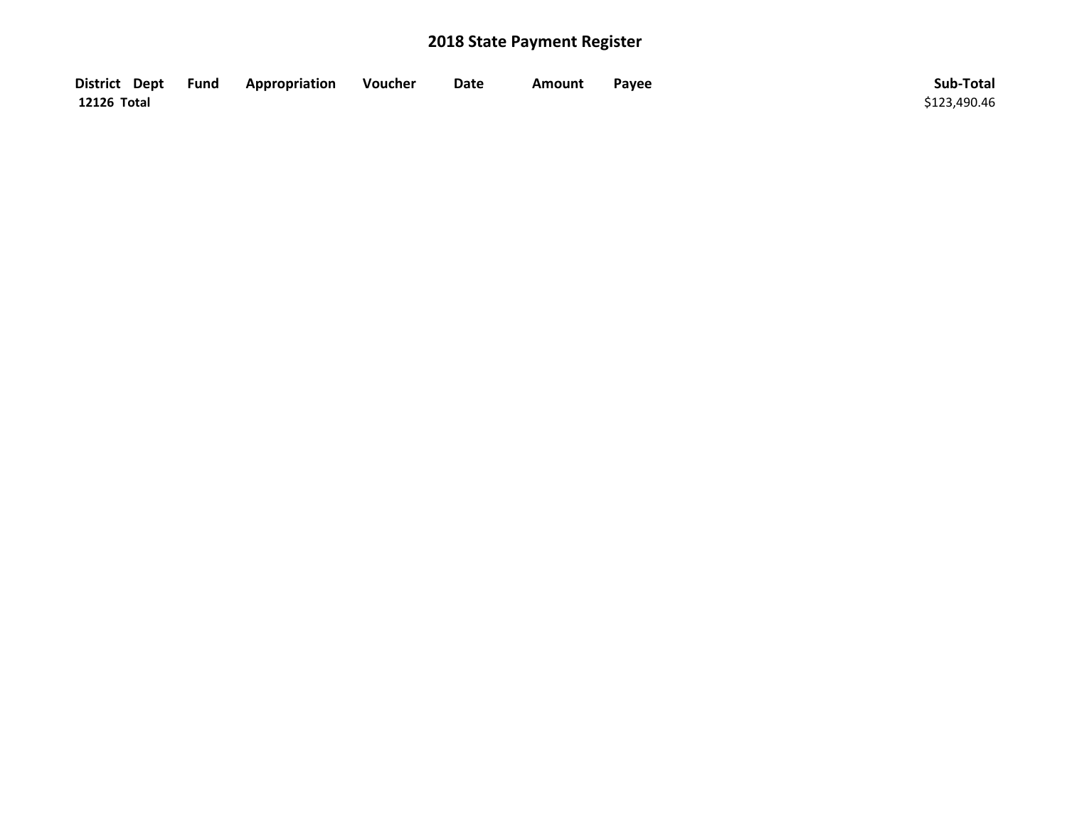| District Dept Fund | Appropriation | Voucher | Date | <b>Amount</b> | Payee | Sub-Total    |
|--------------------|---------------|---------|------|---------------|-------|--------------|
| 12126 Total        |               |         |      |               |       | \$123,490.46 |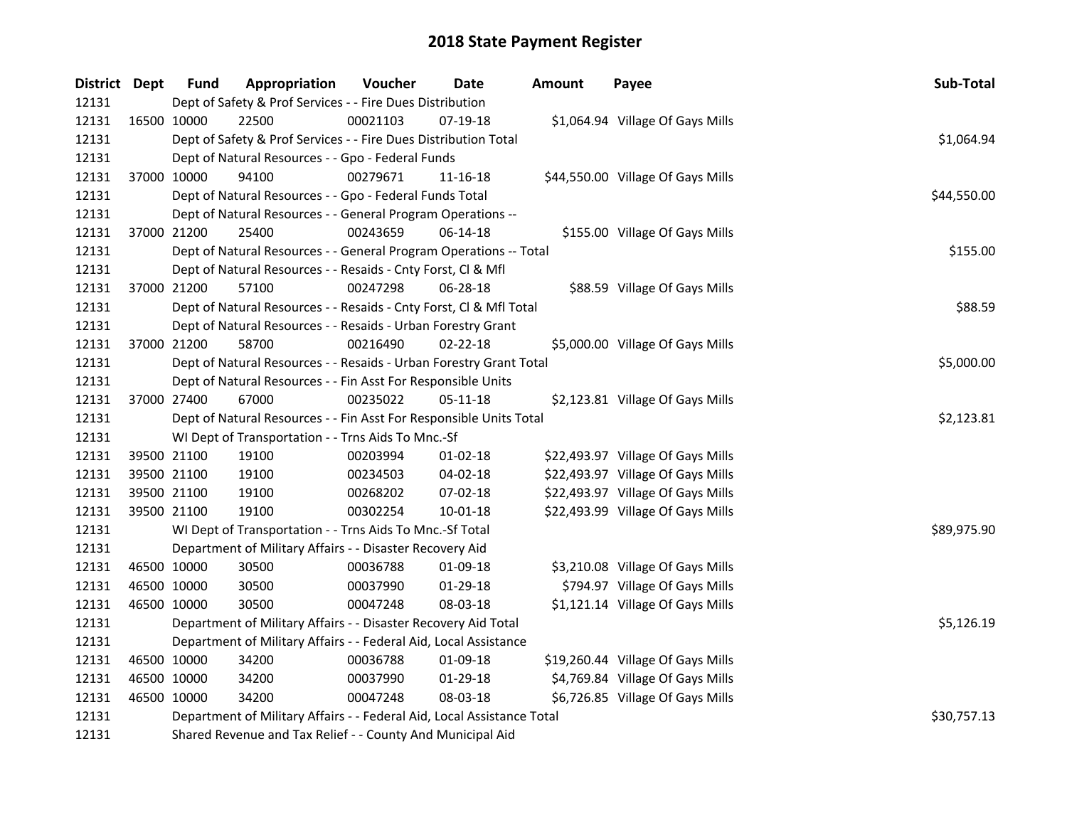| District Dept |             | <b>Fund</b> | Appropriation                                                          | Voucher  | <b>Date</b>    | <b>Amount</b> | Payee                             | Sub-Total   |
|---------------|-------------|-------------|------------------------------------------------------------------------|----------|----------------|---------------|-----------------------------------|-------------|
| 12131         |             |             | Dept of Safety & Prof Services - - Fire Dues Distribution              |          |                |               |                                   |             |
| 12131         |             | 16500 10000 | 22500                                                                  | 00021103 | 07-19-18       |               | \$1,064.94 Village Of Gays Mills  |             |
| 12131         |             |             | Dept of Safety & Prof Services - - Fire Dues Distribution Total        |          |                |               |                                   | \$1,064.94  |
| 12131         |             |             | Dept of Natural Resources - - Gpo - Federal Funds                      |          |                |               |                                   |             |
| 12131         | 37000 10000 |             | 94100                                                                  | 00279671 | 11-16-18       |               | \$44,550.00 Village Of Gays Mills |             |
| 12131         |             |             | Dept of Natural Resources - - Gpo - Federal Funds Total                |          |                |               |                                   | \$44,550.00 |
| 12131         |             |             | Dept of Natural Resources - - General Program Operations --            |          |                |               |                                   |             |
| 12131         | 37000 21200 |             | 25400                                                                  | 00243659 | 06-14-18       |               | \$155.00 Village Of Gays Mills    |             |
| 12131         |             |             | Dept of Natural Resources - - General Program Operations -- Total      |          |                |               |                                   | \$155.00    |
| 12131         |             |             | Dept of Natural Resources - - Resaids - Cnty Forst, Cl & Mfl           |          |                |               |                                   |             |
| 12131         | 37000 21200 |             | 57100                                                                  | 00247298 | 06-28-18       |               | \$88.59 Village Of Gays Mills     |             |
| 12131         |             |             | Dept of Natural Resources - - Resaids - Cnty Forst, Cl & Mfl Total     |          |                |               |                                   | \$88.59     |
| 12131         |             |             | Dept of Natural Resources - - Resaids - Urban Forestry Grant           |          |                |               |                                   |             |
| 12131         | 37000 21200 |             | 58700                                                                  | 00216490 | $02 - 22 - 18$ |               | \$5,000.00 Village Of Gays Mills  |             |
| 12131         |             |             | Dept of Natural Resources - - Resaids - Urban Forestry Grant Total     |          |                |               |                                   | \$5,000.00  |
| 12131         |             |             | Dept of Natural Resources - - Fin Asst For Responsible Units           |          |                |               |                                   |             |
| 12131         |             | 37000 27400 | 67000                                                                  | 00235022 | 05-11-18       |               | \$2,123.81 Village Of Gays Mills  |             |
| 12131         |             |             | Dept of Natural Resources - - Fin Asst For Responsible Units Total     |          |                |               |                                   | \$2,123.81  |
| 12131         |             |             | WI Dept of Transportation - - Trns Aids To Mnc.-Sf                     |          |                |               |                                   |             |
| 12131         | 39500 21100 |             | 19100                                                                  | 00203994 | $01-02-18$     |               | \$22,493.97 Village Of Gays Mills |             |
| 12131         | 39500 21100 |             | 19100                                                                  | 00234503 | 04-02-18       |               | \$22,493.97 Village Of Gays Mills |             |
| 12131         | 39500 21100 |             | 19100                                                                  | 00268202 | 07-02-18       |               | \$22,493.97 Village Of Gays Mills |             |
| 12131         | 39500 21100 |             | 19100                                                                  | 00302254 | 10-01-18       |               | \$22,493.99 Village Of Gays Mills |             |
| 12131         |             |             | WI Dept of Transportation - - Trns Aids To Mnc.-Sf Total               |          |                |               |                                   | \$89,975.90 |
| 12131         |             |             | Department of Military Affairs - - Disaster Recovery Aid               |          |                |               |                                   |             |
| 12131         | 46500 10000 |             | 30500                                                                  | 00036788 | 01-09-18       |               | \$3,210.08 Village Of Gays Mills  |             |
| 12131         | 46500 10000 |             | 30500                                                                  | 00037990 | 01-29-18       |               | \$794.97 Village Of Gays Mills    |             |
| 12131         | 46500 10000 |             | 30500                                                                  | 00047248 | 08-03-18       |               | \$1,121.14 Village Of Gays Mills  |             |
| 12131         |             |             | Department of Military Affairs - - Disaster Recovery Aid Total         |          |                |               |                                   | \$5,126.19  |
| 12131         |             |             | Department of Military Affairs - - Federal Aid, Local Assistance       |          |                |               |                                   |             |
| 12131         | 46500 10000 |             | 34200                                                                  | 00036788 | 01-09-18       |               | \$19,260.44 Village Of Gays Mills |             |
| 12131         | 46500 10000 |             | 34200                                                                  | 00037990 | 01-29-18       |               | \$4,769.84 Village Of Gays Mills  |             |
| 12131         | 46500 10000 |             | 34200                                                                  | 00047248 | 08-03-18       |               | \$6,726.85 Village Of Gays Mills  |             |
| 12131         |             |             | Department of Military Affairs - - Federal Aid, Local Assistance Total |          |                |               |                                   | \$30,757.13 |
| 12131         |             |             | Shared Revenue and Tax Relief - - County And Municipal Aid             |          |                |               |                                   |             |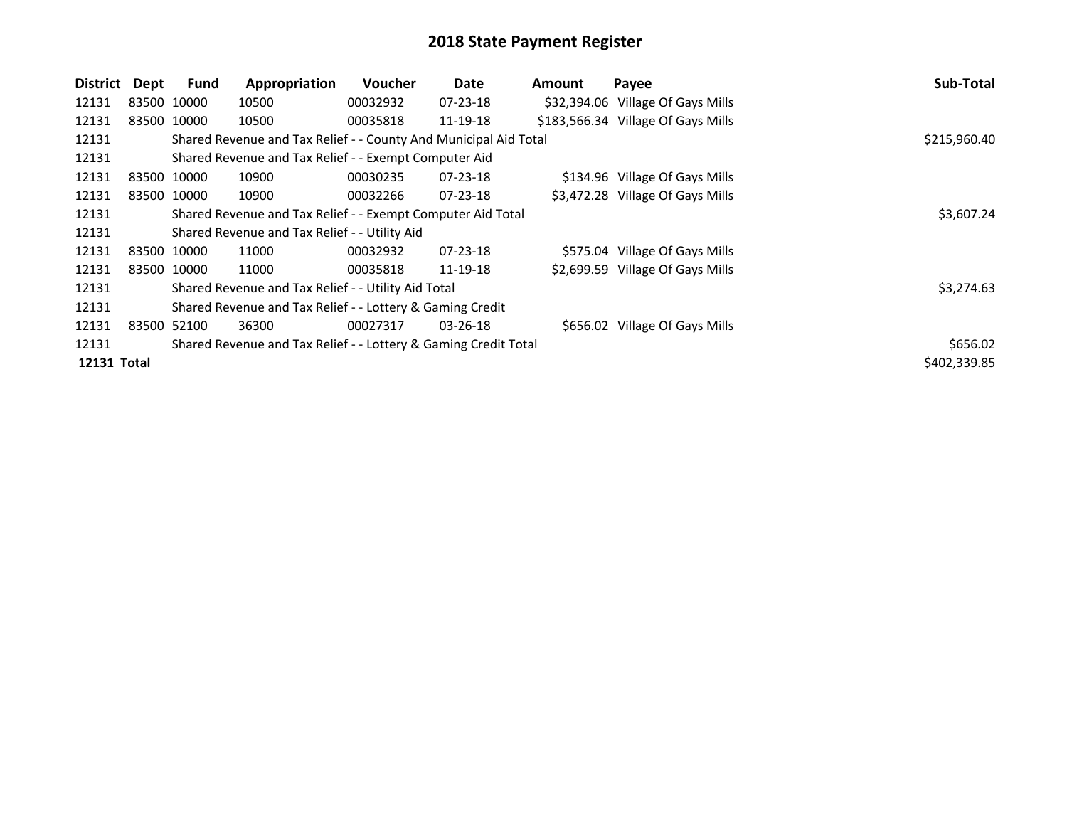| <b>District</b> | Dept | <b>Fund</b> | Appropriation                                                    | <b>Voucher</b> | Date           | <b>Amount</b> | Payee                              | Sub-Total    |
|-----------------|------|-------------|------------------------------------------------------------------|----------------|----------------|---------------|------------------------------------|--------------|
| 12131           |      | 83500 10000 | 10500                                                            | 00032932       | $07 - 23 - 18$ |               | \$32,394.06 Village Of Gays Mills  |              |
| 12131           |      | 83500 10000 | 10500                                                            | 00035818       | 11-19-18       |               | \$183,566.34 Village Of Gays Mills |              |
| 12131           |      |             | Shared Revenue and Tax Relief - - County And Municipal Aid Total |                |                |               |                                    | \$215,960.40 |
| 12131           |      |             | Shared Revenue and Tax Relief - - Exempt Computer Aid            |                |                |               |                                    |              |
| 12131           |      | 83500 10000 | 10900                                                            | 00030235       | $07 - 23 - 18$ |               | \$134.96 Village Of Gays Mills     |              |
| 12131           |      | 83500 10000 | 10900                                                            | 00032266       | $07 - 23 - 18$ |               | \$3,472.28 Village Of Gays Mills   |              |
| 12131           |      |             | Shared Revenue and Tax Relief - - Exempt Computer Aid Total      |                |                |               |                                    | \$3,607.24   |
| 12131           |      |             | Shared Revenue and Tax Relief - - Utility Aid                    |                |                |               |                                    |              |
| 12131           |      | 83500 10000 | 11000                                                            | 00032932       | $07 - 23 - 18$ |               | \$575.04 Village Of Gays Mills     |              |
| 12131           |      | 83500 10000 | 11000                                                            | 00035818       | 11-19-18       |               | \$2,699.59 Village Of Gays Mills   |              |
| 12131           |      |             | Shared Revenue and Tax Relief - - Utility Aid Total              |                |                |               |                                    | \$3,274.63   |
| 12131           |      |             | Shared Revenue and Tax Relief - - Lottery & Gaming Credit        |                |                |               |                                    |              |
| 12131           |      | 83500 52100 | 36300                                                            | 00027317       | $03 - 26 - 18$ |               | \$656.02 Village Of Gays Mills     |              |
| 12131           |      |             | Shared Revenue and Tax Relief - - Lottery & Gaming Credit Total  |                |                |               |                                    | \$656.02     |
| 12131 Total     |      |             |                                                                  |                |                |               |                                    | \$402,339.85 |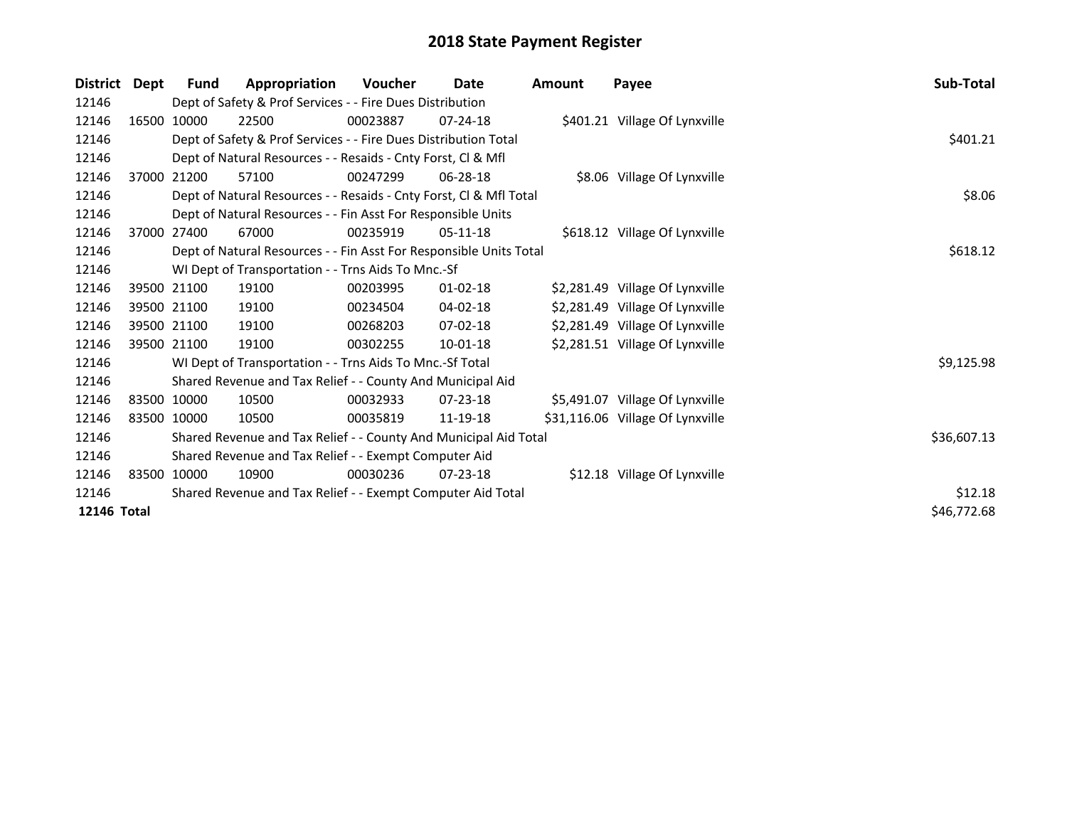| <b>District</b> | Dept | Fund        | Appropriation                                                      | <b>Voucher</b> | Date           | Amount | Payee                            | Sub-Total   |  |  |
|-----------------|------|-------------|--------------------------------------------------------------------|----------------|----------------|--------|----------------------------------|-------------|--|--|
| 12146           |      |             | Dept of Safety & Prof Services - - Fire Dues Distribution          |                |                |        |                                  |             |  |  |
| 12146           |      | 16500 10000 | 22500                                                              | 00023887       | $07 - 24 - 18$ |        | \$401.21 Village Of Lynxville    |             |  |  |
| 12146           |      |             | Dept of Safety & Prof Services - - Fire Dues Distribution Total    |                |                |        |                                  | \$401.21    |  |  |
| 12146           |      |             | Dept of Natural Resources - - Resaids - Cnty Forst, CI & Mfl       |                |                |        |                                  |             |  |  |
| 12146           |      | 37000 21200 | 57100                                                              | 00247299       | 06-28-18       |        | \$8.06 Village Of Lynxville      |             |  |  |
| 12146           |      |             | Dept of Natural Resources - - Resaids - Cnty Forst, CI & Mfl Total | \$8.06         |                |        |                                  |             |  |  |
| 12146           |      |             | Dept of Natural Resources - - Fin Asst For Responsible Units       |                |                |        |                                  |             |  |  |
| 12146           |      | 37000 27400 | 67000                                                              | 00235919       | $05-11-18$     |        | \$618.12 Village Of Lynxville    |             |  |  |
| 12146           |      |             | Dept of Natural Resources - - Fin Asst For Responsible Units Total |                |                |        |                                  | \$618.12    |  |  |
| 12146           |      |             | WI Dept of Transportation - - Trns Aids To Mnc.-Sf                 |                |                |        |                                  |             |  |  |
| 12146           |      | 39500 21100 | 19100                                                              | 00203995       | $01 - 02 - 18$ |        | \$2,281.49 Village Of Lynxville  |             |  |  |
| 12146           |      | 39500 21100 | 19100                                                              | 00234504       | $04 - 02 - 18$ |        | \$2,281.49 Village Of Lynxville  |             |  |  |
| 12146           |      | 39500 21100 | 19100                                                              | 00268203       | $07 - 02 - 18$ |        | \$2,281.49 Village Of Lynxville  |             |  |  |
| 12146           |      | 39500 21100 | 19100                                                              | 00302255       | 10-01-18       |        | \$2,281.51 Village Of Lynxville  |             |  |  |
| 12146           |      |             | WI Dept of Transportation - - Trns Aids To Mnc.-Sf Total           |                |                |        |                                  | \$9,125.98  |  |  |
| 12146           |      |             | Shared Revenue and Tax Relief - - County And Municipal Aid         |                |                |        |                                  |             |  |  |
| 12146           |      | 83500 10000 | 10500                                                              | 00032933       | 07-23-18       |        | \$5,491.07 Village Of Lynxville  |             |  |  |
| 12146           |      | 83500 10000 | 10500                                                              | 00035819       | 11-19-18       |        | \$31,116.06 Village Of Lynxville |             |  |  |
| 12146           |      |             | Shared Revenue and Tax Relief - - County And Municipal Aid Total   |                |                |        |                                  | \$36,607.13 |  |  |
| 12146           |      |             | Shared Revenue and Tax Relief - - Exempt Computer Aid              |                |                |        |                                  |             |  |  |
| 12146           |      | 83500 10000 | 10900                                                              | 00030236       | $07 - 23 - 18$ |        | \$12.18 Village Of Lynxville     |             |  |  |
| 12146           |      |             | Shared Revenue and Tax Relief - - Exempt Computer Aid Total        |                |                |        |                                  | \$12.18     |  |  |
| 12146 Total     |      |             |                                                                    |                |                |        |                                  | \$46,772.68 |  |  |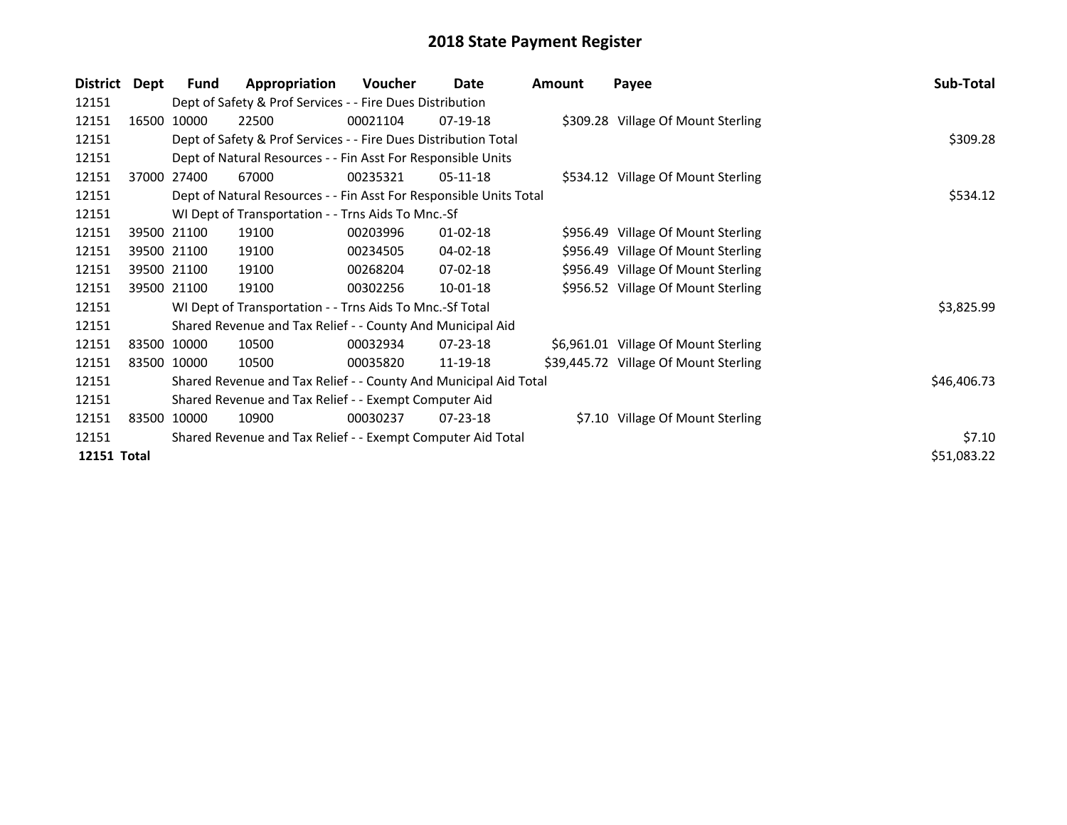| <b>District</b> | Dept  | <b>Fund</b> | Appropriation                                                      | Voucher  | Date           | <b>Amount</b> | Payee                                 | Sub-Total   |
|-----------------|-------|-------------|--------------------------------------------------------------------|----------|----------------|---------------|---------------------------------------|-------------|
| 12151           |       |             | Dept of Safety & Prof Services - - Fire Dues Distribution          |          |                |               |                                       |             |
| 12151           | 16500 | 10000       | 22500                                                              | 00021104 | $07-19-18$     |               | \$309.28 Village Of Mount Sterling    |             |
| 12151           |       |             | Dept of Safety & Prof Services - - Fire Dues Distribution Total    |          |                |               |                                       | \$309.28    |
| 12151           |       |             | Dept of Natural Resources - - Fin Asst For Responsible Units       |          |                |               |                                       |             |
| 12151           |       | 37000 27400 | 67000                                                              | 00235321 | $05-11-18$     |               | \$534.12 Village Of Mount Sterling    |             |
| 12151           |       |             | Dept of Natural Resources - - Fin Asst For Responsible Units Total | \$534.12 |                |               |                                       |             |
| 12151           |       |             | WI Dept of Transportation - - Trns Aids To Mnc.-Sf                 |          |                |               |                                       |             |
| 12151           |       | 39500 21100 | 19100                                                              | 00203996 | $01 - 02 - 18$ |               | \$956.49 Village Of Mount Sterling    |             |
| 12151           |       | 39500 21100 | 19100                                                              | 00234505 | 04-02-18       |               | \$956.49 Village Of Mount Sterling    |             |
| 12151           |       | 39500 21100 | 19100                                                              | 00268204 | $07-02-18$     |               | \$956.49 Village Of Mount Sterling    |             |
| 12151           |       | 39500 21100 | 19100                                                              | 00302256 | $10-01-18$     |               | \$956.52 Village Of Mount Sterling    |             |
| 12151           |       |             | WI Dept of Transportation - - Trns Aids To Mnc.-Sf Total           |          |                |               |                                       | \$3,825.99  |
| 12151           |       |             | Shared Revenue and Tax Relief - - County And Municipal Aid         |          |                |               |                                       |             |
| 12151           |       | 83500 10000 | 10500                                                              | 00032934 | 07-23-18       |               | \$6,961.01 Village Of Mount Sterling  |             |
| 12151           |       | 83500 10000 | 10500                                                              | 00035820 | 11-19-18       |               | \$39,445.72 Village Of Mount Sterling |             |
| 12151           |       |             | Shared Revenue and Tax Relief - - County And Municipal Aid Total   |          |                |               |                                       | \$46,406.73 |
| 12151           |       |             | Shared Revenue and Tax Relief - - Exempt Computer Aid              |          |                |               |                                       |             |
| 12151           |       | 83500 10000 | 10900                                                              | 00030237 | $07 - 23 - 18$ |               | \$7.10 Village Of Mount Sterling      |             |
| 12151           |       |             | Shared Revenue and Tax Relief - - Exempt Computer Aid Total        |          |                |               |                                       | \$7.10      |
| 12151 Total     |       |             |                                                                    |          |                |               |                                       | \$51,083.22 |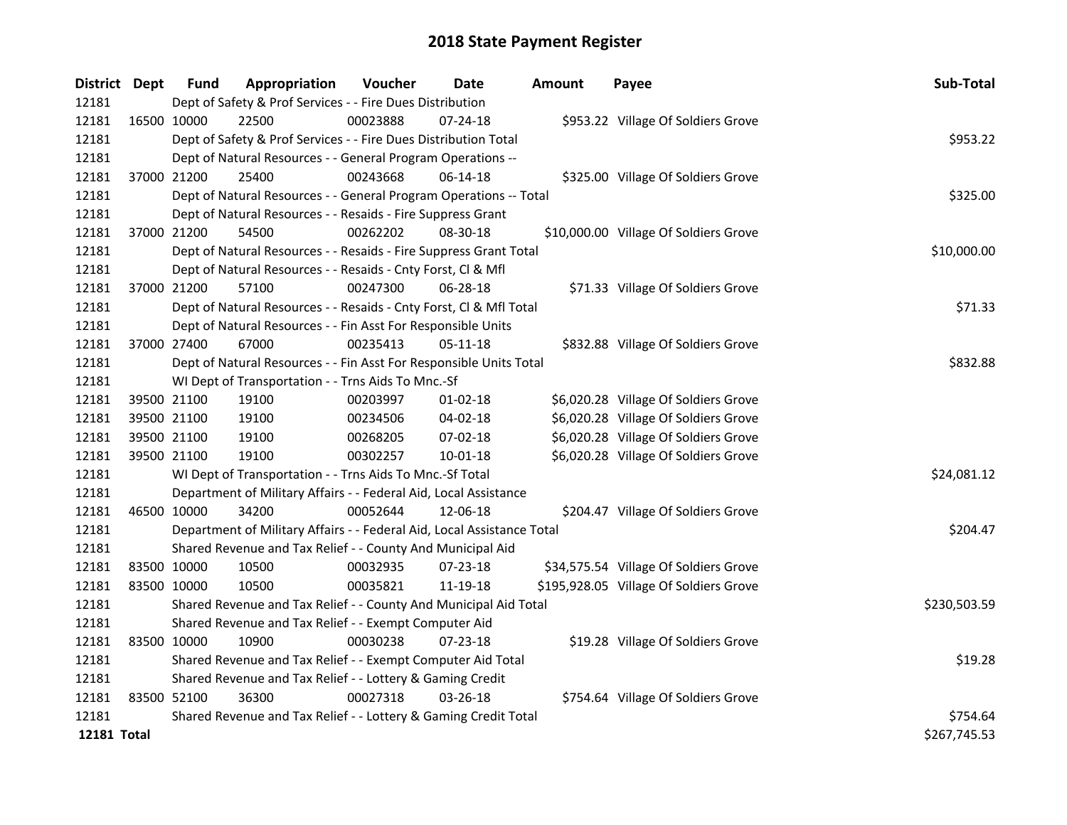| District Dept      |             | <b>Fund</b>                                               | Appropriation                                                          | Voucher  | <b>Date</b>    | <b>Amount</b> | Payee                                  | Sub-Total    |
|--------------------|-------------|-----------------------------------------------------------|------------------------------------------------------------------------|----------|----------------|---------------|----------------------------------------|--------------|
| 12181              |             | Dept of Safety & Prof Services - - Fire Dues Distribution |                                                                        |          |                |               |                                        |              |
| 12181              | 16500 10000 |                                                           | 22500                                                                  | 00023888 | 07-24-18       |               | \$953.22 Village Of Soldiers Grove     |              |
| 12181              |             |                                                           | Dept of Safety & Prof Services - - Fire Dues Distribution Total        |          |                |               |                                        | \$953.22     |
| 12181              |             |                                                           | Dept of Natural Resources - - General Program Operations --            |          |                |               |                                        |              |
| 12181              |             | 37000 21200                                               | 25400                                                                  | 00243668 | $06-14-18$     |               | \$325.00 Village Of Soldiers Grove     |              |
| 12181              |             |                                                           | Dept of Natural Resources - - General Program Operations -- Total      |          |                |               |                                        | \$325.00     |
| 12181              |             |                                                           | Dept of Natural Resources - - Resaids - Fire Suppress Grant            |          |                |               |                                        |              |
| 12181              |             | 37000 21200                                               | 54500                                                                  | 00262202 | 08-30-18       |               | \$10,000.00 Village Of Soldiers Grove  |              |
| 12181              |             |                                                           | Dept of Natural Resources - - Resaids - Fire Suppress Grant Total      |          |                |               |                                        | \$10,000.00  |
| 12181              |             |                                                           | Dept of Natural Resources - - Resaids - Cnty Forst, Cl & Mfl           |          |                |               |                                        |              |
| 12181              |             | 37000 21200                                               | 57100                                                                  | 00247300 | $06 - 28 - 18$ |               | \$71.33 Village Of Soldiers Grove      |              |
| 12181              |             |                                                           | Dept of Natural Resources - - Resaids - Cnty Forst, Cl & Mfl Total     |          |                |               |                                        | \$71.33      |
| 12181              |             |                                                           | Dept of Natural Resources - - Fin Asst For Responsible Units           |          |                |               |                                        |              |
| 12181              | 37000 27400 |                                                           | 67000                                                                  | 00235413 | 05-11-18       |               | \$832.88 Village Of Soldiers Grove     |              |
| 12181              |             |                                                           | Dept of Natural Resources - - Fin Asst For Responsible Units Total     |          |                |               |                                        | \$832.88     |
| 12181              |             |                                                           | WI Dept of Transportation - - Trns Aids To Mnc.-Sf                     |          |                |               |                                        |              |
| 12181              |             | 39500 21100                                               | 19100                                                                  | 00203997 | $01 - 02 - 18$ |               | \$6,020.28 Village Of Soldiers Grove   |              |
| 12181              |             | 39500 21100                                               | 19100                                                                  | 00234506 | 04-02-18       |               | \$6,020.28 Village Of Soldiers Grove   |              |
| 12181              |             | 39500 21100                                               | 19100                                                                  | 00268205 | 07-02-18       |               | \$6,020.28 Village Of Soldiers Grove   |              |
| 12181              |             | 39500 21100                                               | 19100                                                                  | 00302257 | $10 - 01 - 18$ |               | \$6,020.28 Village Of Soldiers Grove   |              |
| 12181              |             |                                                           | WI Dept of Transportation - - Trns Aids To Mnc.-Sf Total               |          |                |               |                                        | \$24,081.12  |
| 12181              |             |                                                           | Department of Military Affairs - - Federal Aid, Local Assistance       |          |                |               |                                        |              |
| 12181              | 46500 10000 |                                                           | 34200                                                                  | 00052644 | 12-06-18       |               | \$204.47 Village Of Soldiers Grove     |              |
| 12181              |             |                                                           | Department of Military Affairs - - Federal Aid, Local Assistance Total |          |                |               |                                        | \$204.47     |
| 12181              |             |                                                           | Shared Revenue and Tax Relief - - County And Municipal Aid             |          |                |               |                                        |              |
| 12181              | 83500 10000 |                                                           | 10500                                                                  | 00032935 | 07-23-18       |               | \$34,575.54 Village Of Soldiers Grove  |              |
| 12181              | 83500 10000 |                                                           | 10500                                                                  | 00035821 | 11-19-18       |               | \$195,928.05 Village Of Soldiers Grove |              |
| 12181              |             |                                                           | Shared Revenue and Tax Relief - - County And Municipal Aid Total       |          |                |               |                                        | \$230,503.59 |
| 12181              |             |                                                           | Shared Revenue and Tax Relief - - Exempt Computer Aid                  |          |                |               |                                        |              |
| 12181              | 83500 10000 |                                                           | 10900                                                                  | 00030238 | 07-23-18       |               | \$19.28 Village Of Soldiers Grove      |              |
| 12181              |             |                                                           | Shared Revenue and Tax Relief - - Exempt Computer Aid Total            |          |                |               |                                        | \$19.28      |
| 12181              |             |                                                           | Shared Revenue and Tax Relief - - Lottery & Gaming Credit              |          |                |               |                                        |              |
| 12181              | 83500 52100 |                                                           | 36300                                                                  | 00027318 | 03-26-18       |               | \$754.64 Village Of Soldiers Grove     |              |
| 12181              |             |                                                           | Shared Revenue and Tax Relief - - Lottery & Gaming Credit Total        |          |                |               |                                        | \$754.64     |
| <b>12181 Total</b> |             |                                                           |                                                                        |          |                |               |                                        | \$267,745.53 |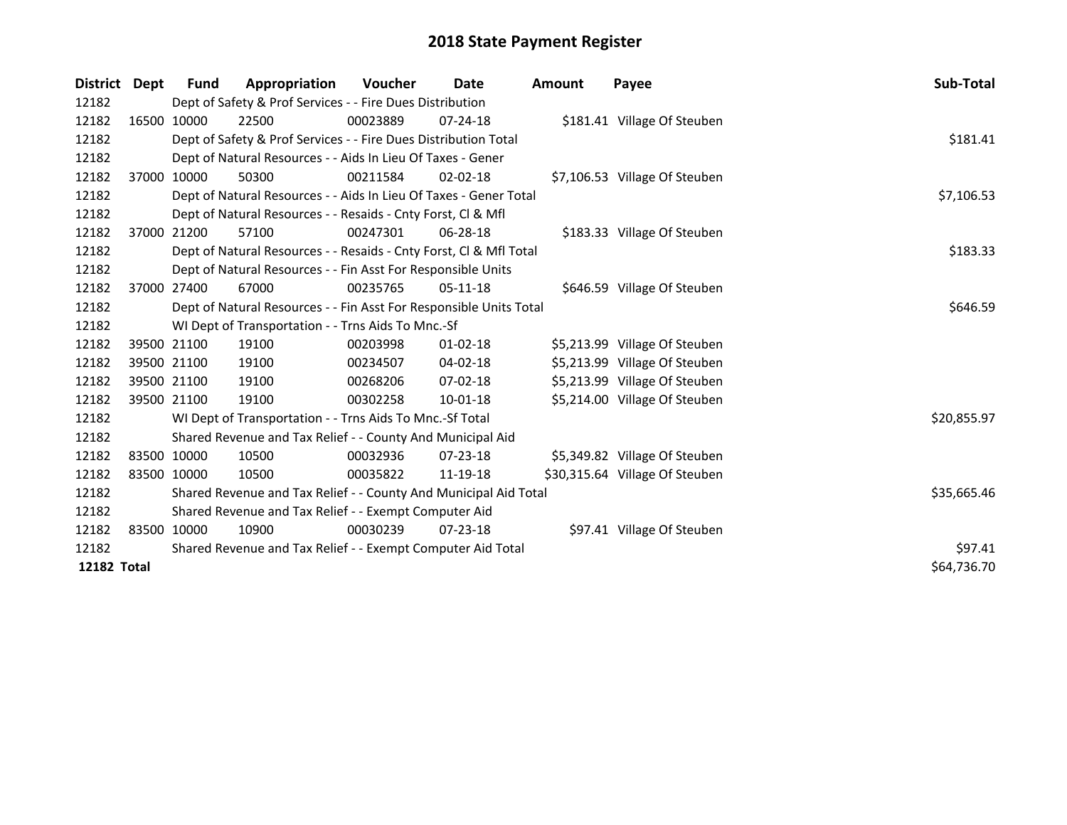| District           | Dept | Fund        | Appropriation                                                      | <b>Voucher</b> | Date           | <b>Amount</b> | Payee                          | Sub-Total   |
|--------------------|------|-------------|--------------------------------------------------------------------|----------------|----------------|---------------|--------------------------------|-------------|
| 12182              |      |             | Dept of Safety & Prof Services - - Fire Dues Distribution          |                |                |               |                                |             |
| 12182              |      | 16500 10000 | 22500                                                              | 00023889       | $07 - 24 - 18$ |               | \$181.41 Village Of Steuben    |             |
| 12182              |      |             | Dept of Safety & Prof Services - - Fire Dues Distribution Total    |                |                |               |                                | \$181.41    |
| 12182              |      |             | Dept of Natural Resources - - Aids In Lieu Of Taxes - Gener        |                |                |               |                                |             |
| 12182              |      | 37000 10000 | 50300                                                              | 00211584       | $02 - 02 - 18$ |               | \$7,106.53 Village Of Steuben  |             |
| 12182              |      |             | Dept of Natural Resources - - Aids In Lieu Of Taxes - Gener Total  |                |                |               |                                | \$7,106.53  |
| 12182              |      |             | Dept of Natural Resources - - Resaids - Cnty Forst, Cl & Mfl       |                |                |               |                                |             |
| 12182              |      | 37000 21200 | 57100                                                              | 00247301       | $06 - 28 - 18$ |               | \$183.33 Village Of Steuben    |             |
| 12182              |      |             | Dept of Natural Resources - - Resaids - Cnty Forst, Cl & Mfl Total |                |                |               |                                | \$183.33    |
| 12182              |      |             | Dept of Natural Resources - - Fin Asst For Responsible Units       |                |                |               |                                |             |
| 12182              |      | 37000 27400 | 67000                                                              | 00235765       | $05-11-18$     |               | \$646.59 Village Of Steuben    |             |
| 12182              |      |             | Dept of Natural Resources - - Fin Asst For Responsible Units Total |                |                |               |                                | \$646.59    |
| 12182              |      |             | WI Dept of Transportation - - Trns Aids To Mnc.-Sf                 |                |                |               |                                |             |
| 12182              |      | 39500 21100 | 19100                                                              | 00203998       | $01 - 02 - 18$ |               | \$5,213.99 Village Of Steuben  |             |
| 12182              |      | 39500 21100 | 19100                                                              | 00234507       | $04 - 02 - 18$ |               | \$5,213.99 Village Of Steuben  |             |
| 12182              |      | 39500 21100 | 19100                                                              | 00268206       | $07 - 02 - 18$ |               | \$5,213.99 Village Of Steuben  |             |
| 12182              |      | 39500 21100 | 19100                                                              | 00302258       | $10-01-18$     |               | \$5,214.00 Village Of Steuben  |             |
| 12182              |      |             | WI Dept of Transportation - - Trns Aids To Mnc.-Sf Total           |                |                |               |                                | \$20,855.97 |
| 12182              |      |             | Shared Revenue and Tax Relief - - County And Municipal Aid         |                |                |               |                                |             |
| 12182              |      | 83500 10000 | 10500                                                              | 00032936       | $07 - 23 - 18$ |               | \$5,349.82 Village Of Steuben  |             |
| 12182              |      | 83500 10000 | 10500                                                              | 00035822       | 11-19-18       |               | \$30,315.64 Village Of Steuben |             |
| 12182              |      |             | Shared Revenue and Tax Relief - - County And Municipal Aid Total   |                |                |               |                                | \$35,665.46 |
| 12182              |      |             | Shared Revenue and Tax Relief - - Exempt Computer Aid              |                |                |               |                                |             |
| 12182              |      | 83500 10000 | 10900                                                              | 00030239       | 07-23-18       |               | \$97.41 Village Of Steuben     |             |
| 12182              |      |             | Shared Revenue and Tax Relief - - Exempt Computer Aid Total        |                |                |               |                                | \$97.41     |
| <b>12182 Total</b> |      |             |                                                                    |                |                |               |                                | \$64,736.70 |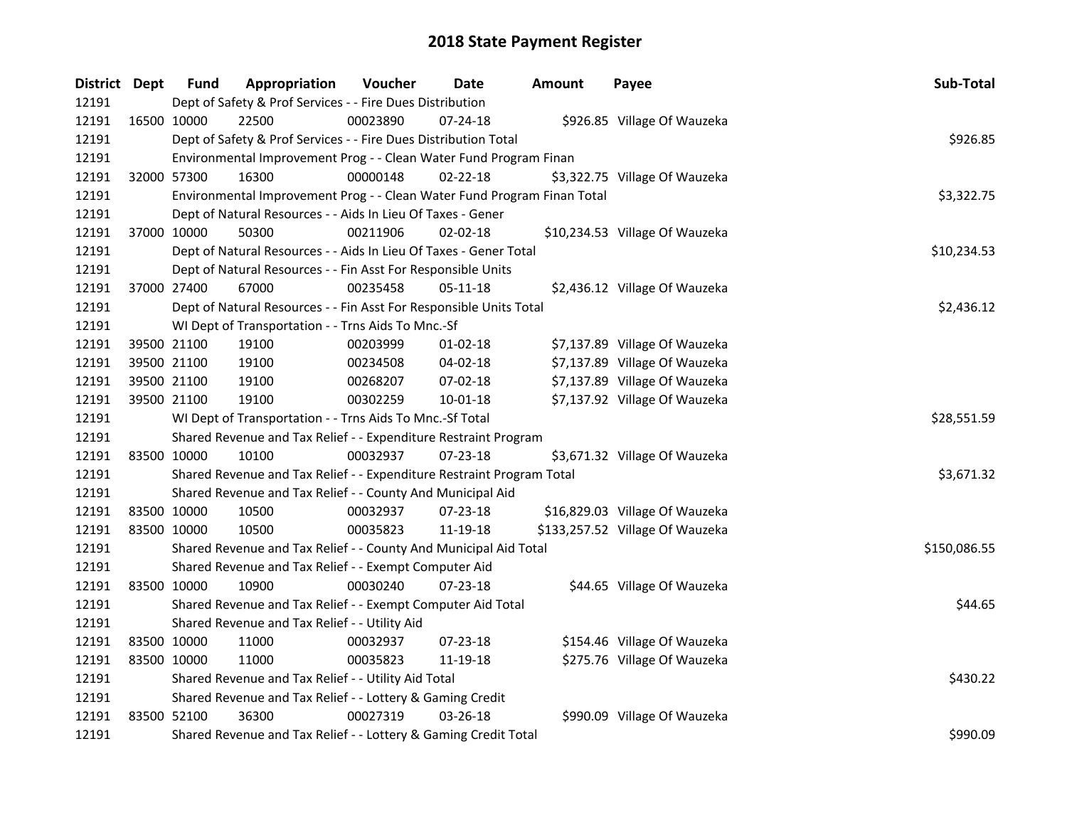| District Dept | <b>Fund</b> | Appropriation                                                           | Voucher  | Date           | Amount | Payee                           | Sub-Total    |
|---------------|-------------|-------------------------------------------------------------------------|----------|----------------|--------|---------------------------------|--------------|
| 12191         |             | Dept of Safety & Prof Services - - Fire Dues Distribution               |          |                |        |                                 |              |
| 12191         | 16500 10000 | 22500                                                                   | 00023890 | $07 - 24 - 18$ |        | \$926.85 Village Of Wauzeka     |              |
| 12191         |             | Dept of Safety & Prof Services - - Fire Dues Distribution Total         |          |                |        |                                 | \$926.85     |
| 12191         |             | Environmental Improvement Prog - - Clean Water Fund Program Finan       |          |                |        |                                 |              |
| 12191         | 32000 57300 | 16300                                                                   | 00000148 | $02 - 22 - 18$ |        | \$3,322.75 Village Of Wauzeka   |              |
| 12191         |             | Environmental Improvement Prog - - Clean Water Fund Program Finan Total |          |                |        |                                 | \$3,322.75   |
| 12191         |             | Dept of Natural Resources - - Aids In Lieu Of Taxes - Gener             |          |                |        |                                 |              |
| 12191         | 37000 10000 | 50300                                                                   | 00211906 | 02-02-18       |        | \$10,234.53 Village Of Wauzeka  |              |
| 12191         |             | Dept of Natural Resources - - Aids In Lieu Of Taxes - Gener Total       |          |                |        |                                 | \$10,234.53  |
| 12191         |             | Dept of Natural Resources - - Fin Asst For Responsible Units            |          |                |        |                                 |              |
| 12191         | 37000 27400 | 67000                                                                   | 00235458 | $05 - 11 - 18$ |        | \$2,436.12 Village Of Wauzeka   |              |
| 12191         |             | Dept of Natural Resources - - Fin Asst For Responsible Units Total      |          |                |        |                                 | \$2,436.12   |
| 12191         |             | WI Dept of Transportation - - Trns Aids To Mnc.-Sf                      |          |                |        |                                 |              |
| 12191         | 39500 21100 | 19100                                                                   | 00203999 | $01-02-18$     |        | \$7,137.89 Village Of Wauzeka   |              |
| 12191         | 39500 21100 | 19100                                                                   | 00234508 | 04-02-18       |        | \$7,137.89 Village Of Wauzeka   |              |
| 12191         | 39500 21100 | 19100                                                                   | 00268207 | 07-02-18       |        | \$7,137.89 Village Of Wauzeka   |              |
| 12191         | 39500 21100 | 19100                                                                   | 00302259 | $10 - 01 - 18$ |        | \$7,137.92 Village Of Wauzeka   |              |
| 12191         |             | WI Dept of Transportation - - Trns Aids To Mnc.-Sf Total                |          |                |        |                                 | \$28,551.59  |
| 12191         |             | Shared Revenue and Tax Relief - - Expenditure Restraint Program         |          |                |        |                                 |              |
| 12191         | 83500 10000 | 10100                                                                   | 00032937 | 07-23-18       |        | \$3,671.32 Village Of Wauzeka   |              |
| 12191         |             | Shared Revenue and Tax Relief - - Expenditure Restraint Program Total   |          |                |        |                                 | \$3,671.32   |
| 12191         |             | Shared Revenue and Tax Relief - - County And Municipal Aid              |          |                |        |                                 |              |
| 12191         | 83500 10000 | 10500                                                                   | 00032937 | 07-23-18       |        | \$16,829.03 Village Of Wauzeka  |              |
| 12191         | 83500 10000 | 10500                                                                   | 00035823 | 11-19-18       |        | \$133,257.52 Village Of Wauzeka |              |
| 12191         |             | Shared Revenue and Tax Relief - - County And Municipal Aid Total        |          |                |        |                                 | \$150,086.55 |
| 12191         |             | Shared Revenue and Tax Relief - - Exempt Computer Aid                   |          |                |        |                                 |              |
| 12191         | 83500 10000 | 10900                                                                   | 00030240 | 07-23-18       |        | \$44.65 Village Of Wauzeka      |              |
| 12191         |             | Shared Revenue and Tax Relief - - Exempt Computer Aid Total             |          |                |        |                                 | \$44.65      |
| 12191         |             | Shared Revenue and Tax Relief - - Utility Aid                           |          |                |        |                                 |              |
| 12191         | 83500 10000 | 11000                                                                   | 00032937 | 07-23-18       |        | \$154.46 Village Of Wauzeka     |              |
| 12191         | 83500 10000 | 11000                                                                   | 00035823 | 11-19-18       |        | \$275.76 Village Of Wauzeka     |              |
| 12191         |             | Shared Revenue and Tax Relief - - Utility Aid Total                     |          |                |        |                                 | \$430.22     |
| 12191         |             | Shared Revenue and Tax Relief - - Lottery & Gaming Credit               |          |                |        |                                 |              |
| 12191         | 83500 52100 | 36300                                                                   | 00027319 | 03-26-18       |        | \$990.09 Village Of Wauzeka     |              |
| 12191         |             | Shared Revenue and Tax Relief - - Lottery & Gaming Credit Total         |          |                |        |                                 | \$990.09     |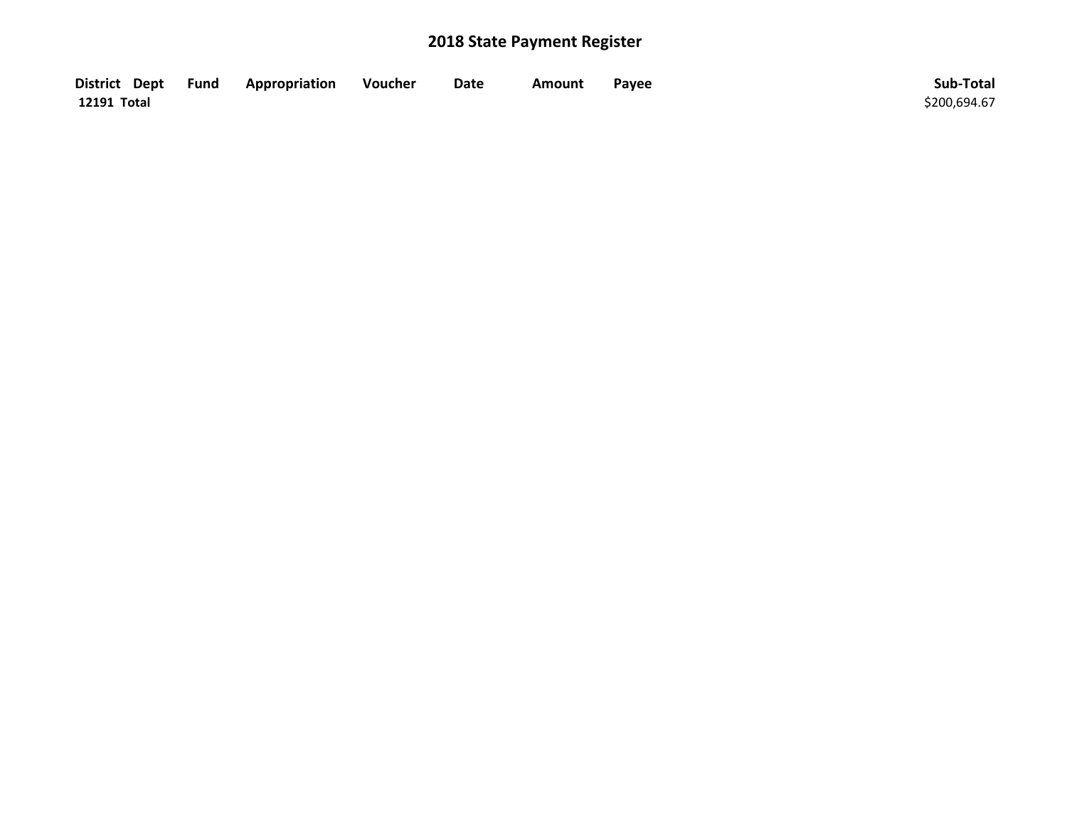| District Dept Fund | Appropriation | Voucher | Date | Amount | Payee | Sub-Total    |
|--------------------|---------------|---------|------|--------|-------|--------------|
| 12191 Total        |               |         |      |        |       | \$200,694.67 |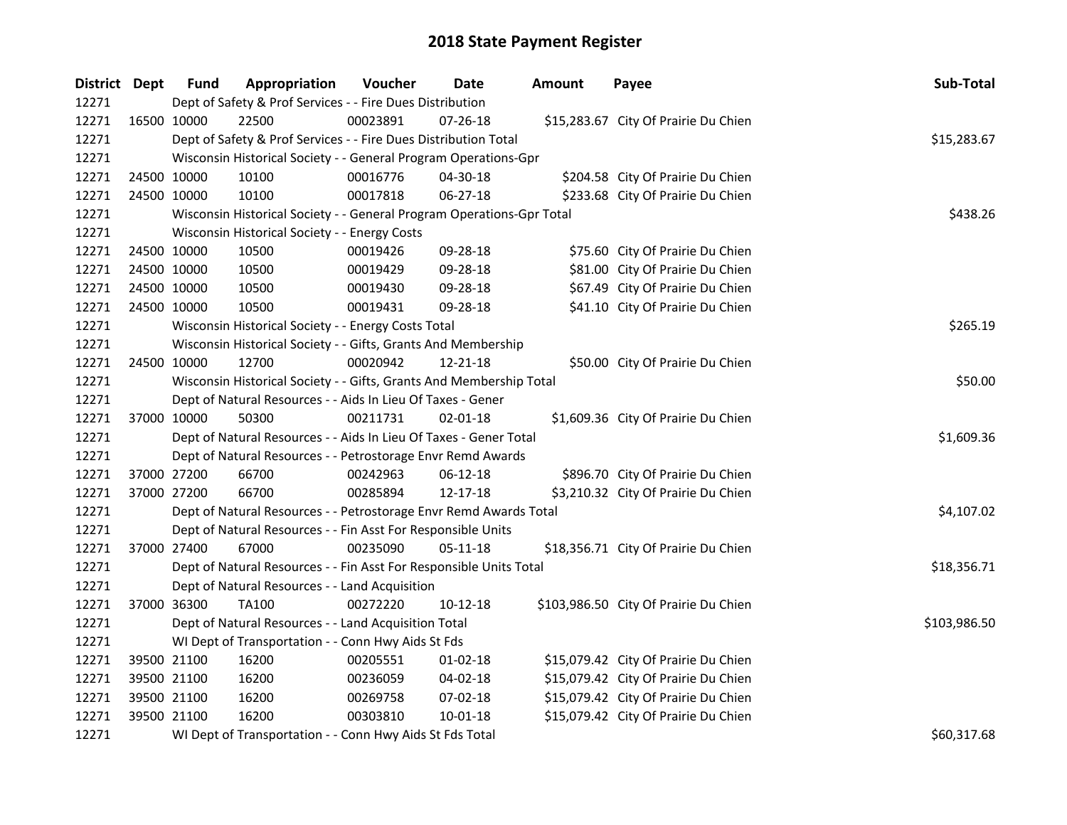| District Dept |             | <b>Fund</b> | Appropriation                                                         | Voucher     | <b>Date</b>    | <b>Amount</b> | Payee                                 | Sub-Total    |
|---------------|-------------|-------------|-----------------------------------------------------------------------|-------------|----------------|---------------|---------------------------------------|--------------|
| 12271         |             |             | Dept of Safety & Prof Services - - Fire Dues Distribution             |             |                |               |                                       |              |
| 12271         | 16500 10000 |             | 22500                                                                 | 00023891    | 07-26-18       |               | \$15,283.67 City Of Prairie Du Chien  |              |
| 12271         |             |             | Dept of Safety & Prof Services - - Fire Dues Distribution Total       | \$15,283.67 |                |               |                                       |              |
| 12271         |             |             | Wisconsin Historical Society - - General Program Operations-Gpr       |             |                |               |                                       |              |
| 12271         | 24500 10000 |             | 10100                                                                 | 00016776    | $04 - 30 - 18$ |               | \$204.58 City Of Prairie Du Chien     |              |
| 12271         | 24500 10000 |             | 10100                                                                 | 00017818    | 06-27-18       |               | \$233.68 City Of Prairie Du Chien     |              |
| 12271         |             |             | Wisconsin Historical Society - - General Program Operations-Gpr Total |             |                |               |                                       | \$438.26     |
| 12271         |             |             | Wisconsin Historical Society - - Energy Costs                         |             |                |               |                                       |              |
| 12271         | 24500 10000 |             | 10500                                                                 | 00019426    | 09-28-18       |               | \$75.60 City Of Prairie Du Chien      |              |
| 12271         | 24500 10000 |             | 10500                                                                 | 00019429    | 09-28-18       |               | \$81.00 City Of Prairie Du Chien      |              |
| 12271         | 24500 10000 |             | 10500                                                                 | 00019430    | 09-28-18       |               | \$67.49 City Of Prairie Du Chien      |              |
| 12271         | 24500 10000 |             | 10500                                                                 | 00019431    | 09-28-18       |               | \$41.10 City Of Prairie Du Chien      |              |
| 12271         |             |             | Wisconsin Historical Society - - Energy Costs Total                   |             |                |               |                                       | \$265.19     |
| 12271         |             |             | Wisconsin Historical Society - - Gifts, Grants And Membership         |             |                |               |                                       |              |
| 12271         | 24500 10000 |             | 12700                                                                 | 00020942    | 12-21-18       |               | \$50.00 City Of Prairie Du Chien      |              |
| 12271         |             |             | Wisconsin Historical Society - - Gifts, Grants And Membership Total   |             |                |               |                                       | \$50.00      |
| 12271         |             |             | Dept of Natural Resources - - Aids In Lieu Of Taxes - Gener           |             |                |               |                                       |              |
| 12271         | 37000 10000 |             | 50300                                                                 | 00211731    | $02 - 01 - 18$ |               | \$1,609.36 City Of Prairie Du Chien   |              |
| 12271         |             |             | Dept of Natural Resources - - Aids In Lieu Of Taxes - Gener Total     |             |                |               |                                       | \$1,609.36   |
| 12271         |             |             | Dept of Natural Resources - - Petrostorage Envr Remd Awards           |             |                |               |                                       |              |
| 12271         | 37000 27200 |             | 66700                                                                 | 00242963    | 06-12-18       |               | \$896.70 City Of Prairie Du Chien     |              |
| 12271         | 37000 27200 |             | 66700                                                                 | 00285894    | 12-17-18       |               | \$3,210.32 City Of Prairie Du Chien   |              |
| 12271         |             |             | Dept of Natural Resources - - Petrostorage Envr Remd Awards Total     |             |                |               |                                       | \$4,107.02   |
| 12271         |             |             | Dept of Natural Resources - - Fin Asst For Responsible Units          |             |                |               |                                       |              |
| 12271         | 37000 27400 |             | 67000                                                                 | 00235090    | 05-11-18       |               | \$18,356.71 City Of Prairie Du Chien  |              |
| 12271         |             |             | Dept of Natural Resources - - Fin Asst For Responsible Units Total    |             |                |               |                                       | \$18,356.71  |
| 12271         |             |             | Dept of Natural Resources - - Land Acquisition                        |             |                |               |                                       |              |
| 12271         | 37000 36300 |             | <b>TA100</b>                                                          | 00272220    | $10-12-18$     |               | \$103,986.50 City Of Prairie Du Chien |              |
| 12271         |             |             | Dept of Natural Resources - - Land Acquisition Total                  |             |                |               |                                       | \$103,986.50 |
| 12271         |             |             | WI Dept of Transportation - - Conn Hwy Aids St Fds                    |             |                |               |                                       |              |
| 12271         |             | 39500 21100 | 16200                                                                 | 00205551    | 01-02-18       |               | \$15,079.42 City Of Prairie Du Chien  |              |
| 12271         | 39500 21100 |             | 16200                                                                 | 00236059    | 04-02-18       |               | \$15,079.42 City Of Prairie Du Chien  |              |
| 12271         | 39500 21100 |             | 16200                                                                 | 00269758    | 07-02-18       |               | \$15,079.42 City Of Prairie Du Chien  |              |
| 12271         | 39500 21100 |             | 16200                                                                 | 00303810    | 10-01-18       |               | \$15,079.42 City Of Prairie Du Chien  |              |
| 12271         |             |             | WI Dept of Transportation - - Conn Hwy Aids St Fds Total              |             |                |               |                                       | \$60,317.68  |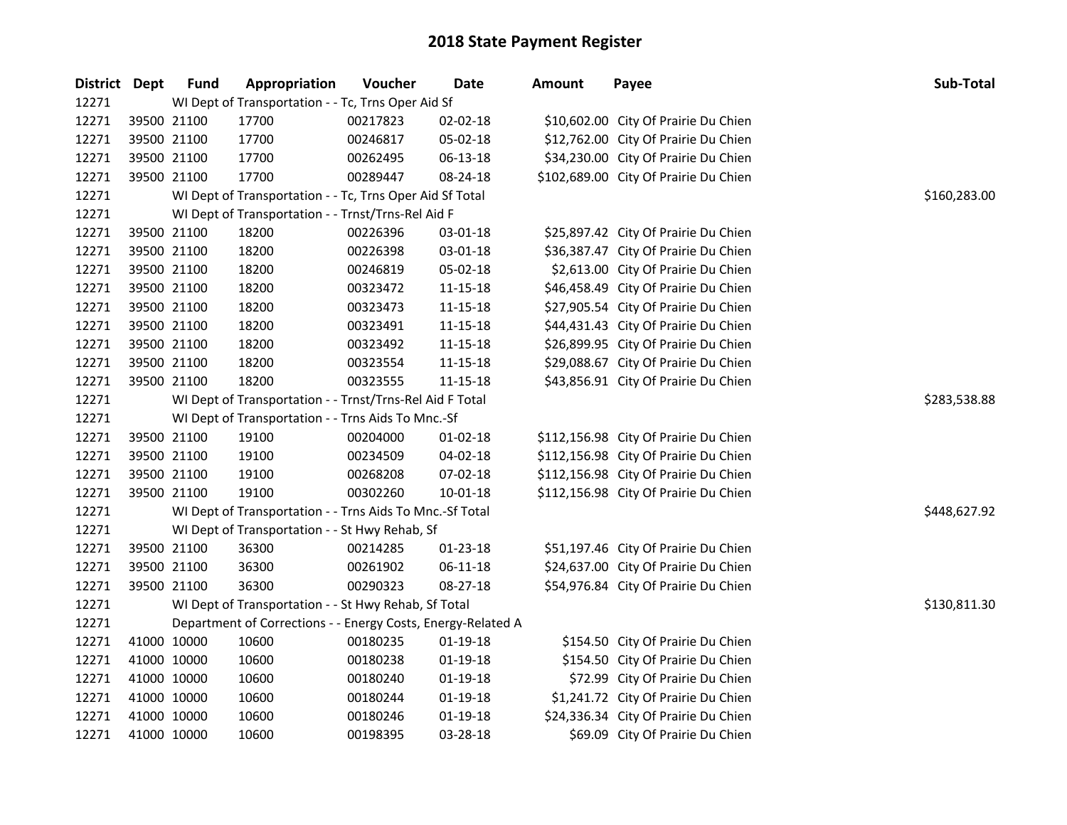| District Dept |             | <b>Fund</b> | Appropriation                                                | Voucher  | <b>Date</b>    | <b>Amount</b> | Payee                                 | Sub-Total    |
|---------------|-------------|-------------|--------------------------------------------------------------|----------|----------------|---------------|---------------------------------------|--------------|
| 12271         |             |             | WI Dept of Transportation - - Tc, Trns Oper Aid Sf           |          |                |               |                                       |              |
| 12271         | 39500 21100 |             | 17700                                                        | 00217823 | 02-02-18       |               | \$10,602.00 City Of Prairie Du Chien  |              |
| 12271         | 39500 21100 |             | 17700                                                        | 00246817 | 05-02-18       |               | \$12,762.00 City Of Prairie Du Chien  |              |
| 12271         | 39500 21100 |             | 17700                                                        | 00262495 | 06-13-18       |               | \$34,230.00 City Of Prairie Du Chien  |              |
| 12271         | 39500 21100 |             | 17700                                                        | 00289447 | 08-24-18       |               | \$102,689.00 City Of Prairie Du Chien |              |
| 12271         |             |             | WI Dept of Transportation - - Tc, Trns Oper Aid Sf Total     |          |                |               |                                       | \$160,283.00 |
| 12271         |             |             | WI Dept of Transportation - - Trnst/Trns-Rel Aid F           |          |                |               |                                       |              |
| 12271         | 39500 21100 |             | 18200                                                        | 00226396 | 03-01-18       |               | \$25,897.42 City Of Prairie Du Chien  |              |
| 12271         | 39500 21100 |             | 18200                                                        | 00226398 | 03-01-18       |               | \$36,387.47 City Of Prairie Du Chien  |              |
| 12271         | 39500 21100 |             | 18200                                                        | 00246819 | 05-02-18       |               | \$2,613.00 City Of Prairie Du Chien   |              |
| 12271         | 39500 21100 |             | 18200                                                        | 00323472 | 11-15-18       |               | \$46,458.49 City Of Prairie Du Chien  |              |
| 12271         | 39500 21100 |             | 18200                                                        | 00323473 | 11-15-18       |               | \$27,905.54 City Of Prairie Du Chien  |              |
| 12271         | 39500 21100 |             | 18200                                                        | 00323491 | 11-15-18       |               | \$44,431.43 City Of Prairie Du Chien  |              |
| 12271         | 39500 21100 |             | 18200                                                        | 00323492 | $11 - 15 - 18$ |               | \$26,899.95 City Of Prairie Du Chien  |              |
| 12271         | 39500 21100 |             | 18200                                                        | 00323554 | $11 - 15 - 18$ |               | \$29,088.67 City Of Prairie Du Chien  |              |
| 12271         | 39500 21100 |             | 18200                                                        | 00323555 | $11 - 15 - 18$ |               | \$43,856.91 City Of Prairie Du Chien  |              |
| 12271         |             |             | WI Dept of Transportation - - Trnst/Trns-Rel Aid F Total     |          |                |               |                                       | \$283,538.88 |
| 12271         |             |             | WI Dept of Transportation - - Trns Aids To Mnc.-Sf           |          |                |               |                                       |              |
| 12271         | 39500 21100 |             | 19100                                                        | 00204000 | $01-02-18$     |               | \$112,156.98 City Of Prairie Du Chien |              |
| 12271         | 39500 21100 |             | 19100                                                        | 00234509 | 04-02-18       |               | \$112,156.98 City Of Prairie Du Chien |              |
| 12271         | 39500 21100 |             | 19100                                                        | 00268208 | 07-02-18       |               | \$112,156.98 City Of Prairie Du Chien |              |
| 12271         | 39500 21100 |             | 19100                                                        | 00302260 | $10 - 01 - 18$ |               | \$112,156.98 City Of Prairie Du Chien |              |
| 12271         |             |             | WI Dept of Transportation - - Trns Aids To Mnc.-Sf Total     |          |                |               |                                       | \$448,627.92 |
| 12271         |             |             | WI Dept of Transportation - - St Hwy Rehab, Sf               |          |                |               |                                       |              |
| 12271         | 39500 21100 |             | 36300                                                        | 00214285 | 01-23-18       |               | \$51,197.46 City Of Prairie Du Chien  |              |
| 12271         | 39500 21100 |             | 36300                                                        | 00261902 | 06-11-18       |               | \$24,637.00 City Of Prairie Du Chien  |              |
| 12271         | 39500 21100 |             | 36300                                                        | 00290323 | 08-27-18       |               | \$54,976.84 City Of Prairie Du Chien  |              |
| 12271         |             |             | WI Dept of Transportation - - St Hwy Rehab, Sf Total         |          |                |               |                                       | \$130,811.30 |
| 12271         |             |             | Department of Corrections - - Energy Costs, Energy-Related A |          |                |               |                                       |              |
| 12271         | 41000 10000 |             | 10600                                                        | 00180235 | 01-19-18       |               | \$154.50 City Of Prairie Du Chien     |              |
| 12271         | 41000 10000 |             | 10600                                                        | 00180238 | $01-19-18$     |               | \$154.50 City Of Prairie Du Chien     |              |
| 12271         | 41000 10000 |             | 10600                                                        | 00180240 | $01-19-18$     |               | \$72.99 City Of Prairie Du Chien      |              |
| 12271         | 41000 10000 |             | 10600                                                        | 00180244 | $01-19-18$     |               | \$1,241.72 City Of Prairie Du Chien   |              |
| 12271         | 41000 10000 |             | 10600                                                        | 00180246 | $01-19-18$     |               | \$24,336.34 City Of Prairie Du Chien  |              |
| 12271         | 41000 10000 |             | 10600                                                        | 00198395 | 03-28-18       |               | \$69.09 City Of Prairie Du Chien      |              |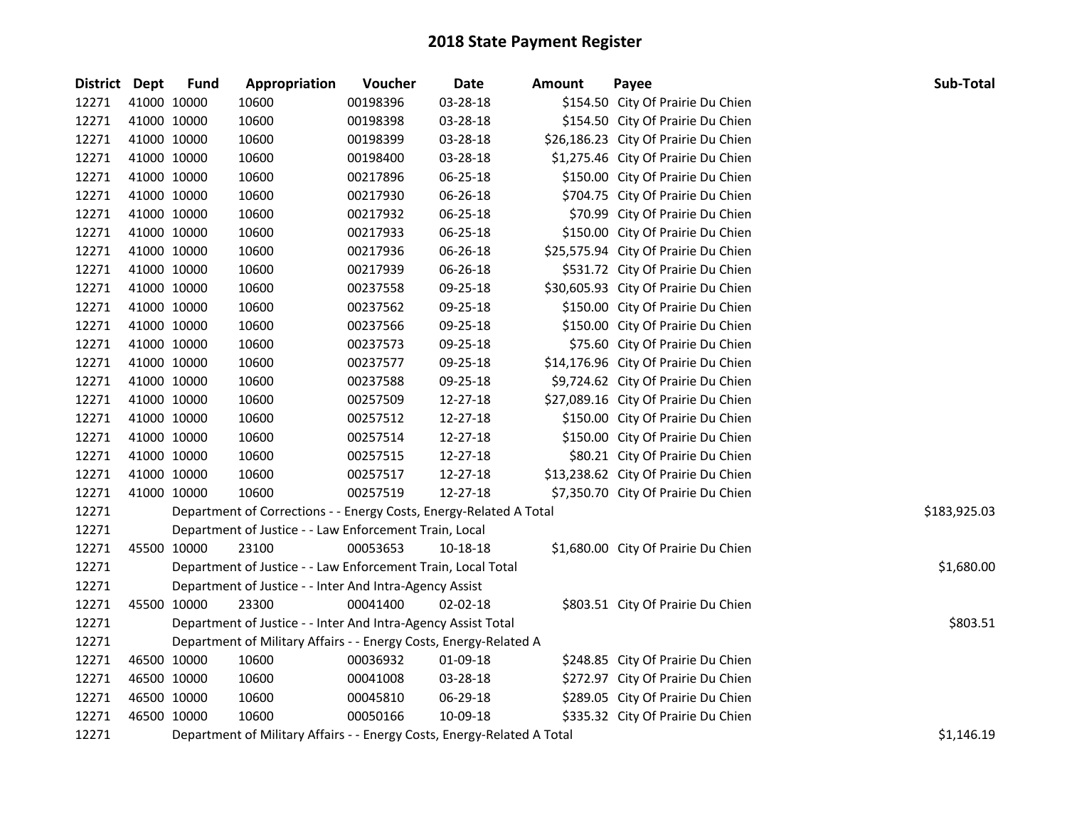| District Dept |             | <b>Fund</b> | Appropriation                                                           | Voucher  | <b>Date</b> | Amount | Payee                                | Sub-Total    |
|---------------|-------------|-------------|-------------------------------------------------------------------------|----------|-------------|--------|--------------------------------------|--------------|
| 12271         | 41000 10000 |             | 10600                                                                   | 00198396 | 03-28-18    |        | \$154.50 City Of Prairie Du Chien    |              |
| 12271         | 41000 10000 |             | 10600                                                                   | 00198398 | 03-28-18    |        | \$154.50 City Of Prairie Du Chien    |              |
| 12271         | 41000 10000 |             | 10600                                                                   | 00198399 | 03-28-18    |        | \$26,186.23 City Of Prairie Du Chien |              |
| 12271         | 41000 10000 |             | 10600                                                                   | 00198400 | 03-28-18    |        | \$1,275.46 City Of Prairie Du Chien  |              |
| 12271         | 41000 10000 |             | 10600                                                                   | 00217896 | 06-25-18    |        | \$150.00 City Of Prairie Du Chien    |              |
| 12271         | 41000 10000 |             | 10600                                                                   | 00217930 | 06-26-18    |        | \$704.75 City Of Prairie Du Chien    |              |
| 12271         | 41000 10000 |             | 10600                                                                   | 00217932 | 06-25-18    |        | \$70.99 City Of Prairie Du Chien     |              |
| 12271         | 41000 10000 |             | 10600                                                                   | 00217933 | 06-25-18    |        | \$150.00 City Of Prairie Du Chien    |              |
| 12271         | 41000 10000 |             | 10600                                                                   | 00217936 | 06-26-18    |        | \$25,575.94 City Of Prairie Du Chien |              |
| 12271         | 41000 10000 |             | 10600                                                                   | 00217939 | 06-26-18    |        | \$531.72 City Of Prairie Du Chien    |              |
| 12271         | 41000 10000 |             | 10600                                                                   | 00237558 | 09-25-18    |        | \$30,605.93 City Of Prairie Du Chien |              |
| 12271         | 41000 10000 |             | 10600                                                                   | 00237562 | 09-25-18    |        | \$150.00 City Of Prairie Du Chien    |              |
| 12271         | 41000 10000 |             | 10600                                                                   | 00237566 | 09-25-18    |        | \$150.00 City Of Prairie Du Chien    |              |
| 12271         | 41000 10000 |             | 10600                                                                   | 00237573 | 09-25-18    |        | \$75.60 City Of Prairie Du Chien     |              |
| 12271         | 41000 10000 |             | 10600                                                                   | 00237577 | 09-25-18    |        | \$14,176.96 City Of Prairie Du Chien |              |
| 12271         | 41000 10000 |             | 10600                                                                   | 00237588 | 09-25-18    |        | \$9,724.62 City Of Prairie Du Chien  |              |
| 12271         | 41000 10000 |             | 10600                                                                   | 00257509 | 12-27-18    |        | \$27,089.16 City Of Prairie Du Chien |              |
| 12271         | 41000 10000 |             | 10600                                                                   | 00257512 | 12-27-18    |        | \$150.00 City Of Prairie Du Chien    |              |
| 12271         | 41000 10000 |             | 10600                                                                   | 00257514 | 12-27-18    |        | \$150.00 City Of Prairie Du Chien    |              |
| 12271         | 41000 10000 |             | 10600                                                                   | 00257515 | 12-27-18    |        | \$80.21 City Of Prairie Du Chien     |              |
| 12271         | 41000 10000 |             | 10600                                                                   | 00257517 | 12-27-18    |        | \$13,238.62 City Of Prairie Du Chien |              |
| 12271         | 41000 10000 |             | 10600                                                                   | 00257519 | 12-27-18    |        | \$7,350.70 City Of Prairie Du Chien  |              |
| 12271         |             |             | Department of Corrections - - Energy Costs, Energy-Related A Total      |          |             |        |                                      | \$183,925.03 |
| 12271         |             |             | Department of Justice - - Law Enforcement Train, Local                  |          |             |        |                                      |              |
| 12271         | 45500 10000 |             | 23100                                                                   | 00053653 | 10-18-18    |        | \$1,680.00 City Of Prairie Du Chien  |              |
| 12271         |             |             | Department of Justice - - Law Enforcement Train, Local Total            |          |             |        |                                      | \$1,680.00   |
| 12271         |             |             | Department of Justice - - Inter And Intra-Agency Assist                 |          |             |        |                                      |              |
| 12271         | 45500 10000 |             | 23300                                                                   | 00041400 | 02-02-18    |        | \$803.51 City Of Prairie Du Chien    |              |
| 12271         |             |             | Department of Justice - - Inter And Intra-Agency Assist Total           |          |             |        |                                      | \$803.51     |
| 12271         |             |             | Department of Military Affairs - - Energy Costs, Energy-Related A       |          |             |        |                                      |              |
| 12271         | 46500 10000 |             | 10600                                                                   | 00036932 | 01-09-18    |        | \$248.85 City Of Prairie Du Chien    |              |
| 12271         | 46500 10000 |             | 10600                                                                   | 00041008 | 03-28-18    |        | \$272.97 City Of Prairie Du Chien    |              |
| 12271         | 46500 10000 |             | 10600                                                                   | 00045810 | 06-29-18    |        | \$289.05 City Of Prairie Du Chien    |              |
| 12271         | 46500 10000 |             | 10600                                                                   | 00050166 | 10-09-18    |        | \$335.32 City Of Prairie Du Chien    |              |
| 12271         |             |             | Department of Military Affairs - - Energy Costs, Energy-Related A Total |          |             |        |                                      | \$1,146.19   |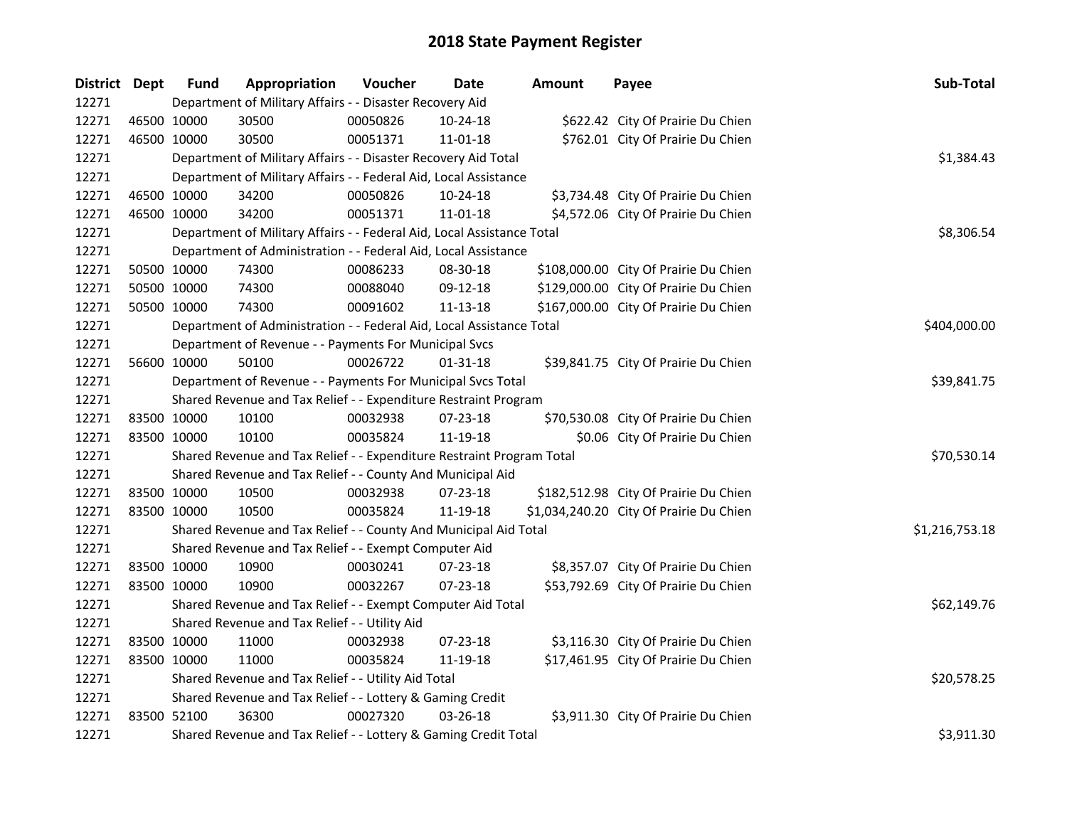| District Dept |             | <b>Fund</b> | Appropriation                                                          | Voucher    | <b>Date</b>    | <b>Amount</b> | Payee                                   | Sub-Total      |
|---------------|-------------|-------------|------------------------------------------------------------------------|------------|----------------|---------------|-----------------------------------------|----------------|
| 12271         |             |             | Department of Military Affairs - - Disaster Recovery Aid               |            |                |               |                                         |                |
| 12271         |             | 46500 10000 | 30500                                                                  | 00050826   | 10-24-18       |               | \$622.42 City Of Prairie Du Chien       |                |
| 12271         | 46500 10000 |             | 30500                                                                  | 00051371   | 11-01-18       |               | \$762.01 City Of Prairie Du Chien       |                |
| 12271         |             |             | Department of Military Affairs - - Disaster Recovery Aid Total         | \$1,384.43 |                |               |                                         |                |
| 12271         |             |             | Department of Military Affairs - - Federal Aid, Local Assistance       |            |                |               |                                         |                |
| 12271         |             | 46500 10000 | 34200                                                                  | 00050826   | 10-24-18       |               | \$3,734.48 City Of Prairie Du Chien     |                |
| 12271         | 46500 10000 |             | 34200                                                                  | 00051371   | $11 - 01 - 18$ |               | \$4,572.06 City Of Prairie Du Chien     |                |
| 12271         |             |             | Department of Military Affairs - - Federal Aid, Local Assistance Total |            |                |               |                                         | \$8,306.54     |
| 12271         |             |             | Department of Administration - - Federal Aid, Local Assistance         |            |                |               |                                         |                |
| 12271         |             | 50500 10000 | 74300                                                                  | 00086233   | 08-30-18       |               | \$108,000.00 City Of Prairie Du Chien   |                |
| 12271         |             | 50500 10000 | 74300                                                                  | 00088040   | 09-12-18       |               | \$129,000.00 City Of Prairie Du Chien   |                |
| 12271         | 50500 10000 |             | 74300                                                                  | 00091602   | 11-13-18       |               | \$167,000.00 City Of Prairie Du Chien   |                |
| 12271         |             |             | Department of Administration - - Federal Aid, Local Assistance Total   |            |                |               |                                         | \$404,000.00   |
| 12271         |             |             | Department of Revenue - - Payments For Municipal Svcs                  |            |                |               |                                         |                |
| 12271         | 56600 10000 |             | 50100                                                                  | 00026722   | $01 - 31 - 18$ |               | \$39,841.75 City Of Prairie Du Chien    |                |
| 12271         |             |             | Department of Revenue - - Payments For Municipal Svcs Total            |            |                |               |                                         | \$39,841.75    |
| 12271         |             |             | Shared Revenue and Tax Relief - - Expenditure Restraint Program        |            |                |               |                                         |                |
| 12271         | 83500 10000 |             | 10100                                                                  | 00032938   | 07-23-18       |               | \$70,530.08 City Of Prairie Du Chien    |                |
| 12271         | 83500 10000 |             | 10100                                                                  | 00035824   | 11-19-18       |               | \$0.06 City Of Prairie Du Chien         |                |
| 12271         |             |             | Shared Revenue and Tax Relief - - Expenditure Restraint Program Total  |            |                |               |                                         | \$70,530.14    |
| 12271         |             |             | Shared Revenue and Tax Relief - - County And Municipal Aid             |            |                |               |                                         |                |
| 12271         | 83500 10000 |             | 10500                                                                  | 00032938   | 07-23-18       |               | \$182,512.98 City Of Prairie Du Chien   |                |
| 12271         | 83500 10000 |             | 10500                                                                  | 00035824   | 11-19-18       |               | \$1,034,240.20 City Of Prairie Du Chien |                |
| 12271         |             |             | Shared Revenue and Tax Relief - - County And Municipal Aid Total       |            |                |               |                                         | \$1,216,753.18 |
| 12271         |             |             | Shared Revenue and Tax Relief - - Exempt Computer Aid                  |            |                |               |                                         |                |
| 12271         |             | 83500 10000 | 10900                                                                  | 00030241   | 07-23-18       |               | \$8,357.07 City Of Prairie Du Chien     |                |
| 12271         | 83500 10000 |             | 10900                                                                  | 00032267   | 07-23-18       |               | \$53,792.69 City Of Prairie Du Chien    |                |
| 12271         |             |             | Shared Revenue and Tax Relief - - Exempt Computer Aid Total            |            |                |               |                                         | \$62,149.76    |
| 12271         |             |             | Shared Revenue and Tax Relief - - Utility Aid                          |            |                |               |                                         |                |
| 12271         |             | 83500 10000 | 11000                                                                  | 00032938   | 07-23-18       |               | \$3,116.30 City Of Prairie Du Chien     |                |
| 12271         | 83500 10000 |             | 11000                                                                  | 00035824   | 11-19-18       |               | \$17,461.95 City Of Prairie Du Chien    |                |
| 12271         |             |             | Shared Revenue and Tax Relief - - Utility Aid Total                    |            |                |               |                                         | \$20,578.25    |
| 12271         |             |             | Shared Revenue and Tax Relief - - Lottery & Gaming Credit              |            |                |               |                                         |                |
| 12271         | 83500 52100 |             | 36300                                                                  | 00027320   | 03-26-18       |               | \$3,911.30 City Of Prairie Du Chien     |                |
| 12271         |             |             | Shared Revenue and Tax Relief - - Lottery & Gaming Credit Total        |            |                |               |                                         | \$3,911.30     |